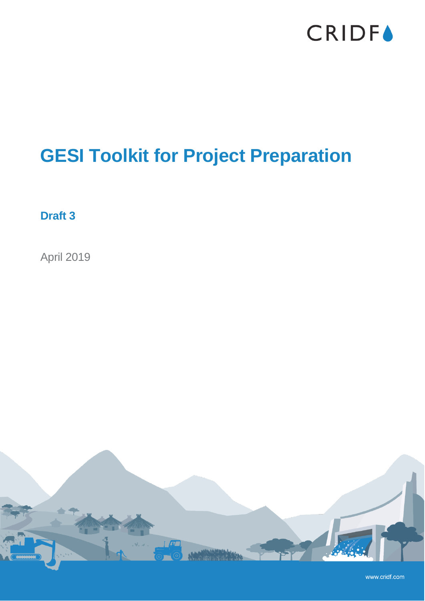

### **GESI Toolkit for Project Preparation**

**Draft 3**

April 2019



www.cridf.com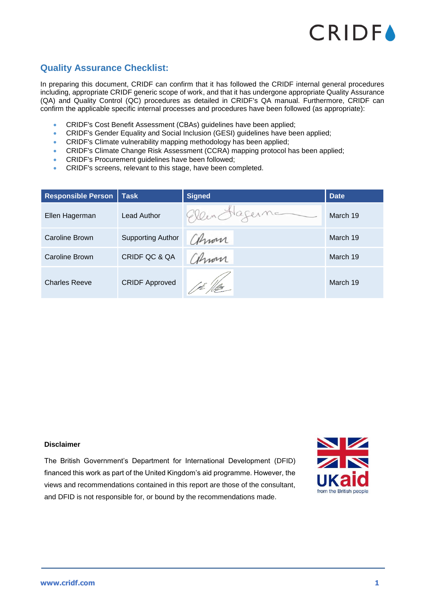

### <span id="page-1-0"></span>**Quality Assurance Checklist:**

In preparing this document, CRIDF can confirm that it has followed the CRIDF internal general procedures including, appropriate CRIDF generic scope of work, and that it has undergone appropriate Quality Assurance (QA) and Quality Control (QC) procedures as detailed in CRIDF's QA manual. Furthermore, CRIDF can confirm the applicable specific internal processes and procedures have been followed (as appropriate):

- CRIDF's Cost Benefit Assessment (CBAs) guidelines have been applied;
- CRIDF's Gender Equality and Social Inclusion (GESI) guidelines have been applied;
- CRIDF's Climate vulnerability mapping methodology has been applied;
- CRIDF's Climate Change Risk Assessment (CCRA) mapping protocol has been applied;
- CRIDF's Procurement guidelines have been followed;
- CRIDF's screens, relevant to this stage, have been completed.

| <b>Responsible Person</b> | <b>Task</b>              | <b>Signed</b>    | <b>Date</b> |
|---------------------------|--------------------------|------------------|-------------|
| Ellen Hagerman            | Lead Author              | Nagerne<br>Gleen | March 19    |
| Caroline Brown            | <b>Supporting Author</b> | Chron            | March 19    |
| Caroline Brown            | CRIDF QC & QA            | ahmon            | March 19    |
| <b>Charles Reeve</b>      | <b>CRIDF Approved</b>    | l pê 'fflur      | March 19    |

#### **Disclaimer**

The British Government's Department for International Development (DFID) financed this work as part of the United Kingdom's aid programme. However, the views and recommendations contained in this report are those of the consultant, and DFID is not responsible for, or bound by the recommendations made.

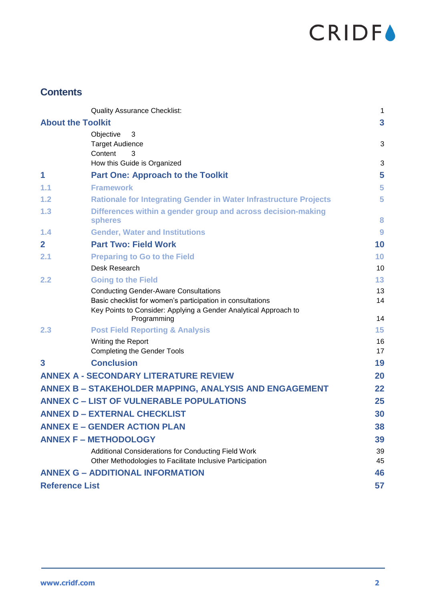### **Contents**

|                       | <b>Quality Assurance Checklist:</b>                                             | 1                       |
|-----------------------|---------------------------------------------------------------------------------|-------------------------|
|                       | <b>About the Toolkit</b>                                                        | $\overline{\mathbf{3}}$ |
|                       | Objective<br>3                                                                  |                         |
|                       | <b>Target Audience</b>                                                          | 3                       |
|                       | Content<br>3<br>How this Guide is Organized                                     | 3                       |
| 1                     | <b>Part One: Approach to the Toolkit</b>                                        | 5                       |
| 1.1                   | <b>Framework</b>                                                                | 5                       |
| 1.2                   |                                                                                 | 5                       |
| 1.3                   | <b>Rationale for Integrating Gender in Water Infrastructure Projects</b>        |                         |
|                       | Differences within a gender group and across decision-making<br><b>spheres</b>  | 8                       |
| 1.4                   | <b>Gender, Water and Institutions</b>                                           | 9                       |
| $\mathbf{2}$          | <b>Part Two: Field Work</b>                                                     | 10                      |
| 2.1                   | <b>Preparing to Go to the Field</b>                                             | 10                      |
|                       | Desk Research                                                                   | 10                      |
| 2.2                   | <b>Going to the Field</b>                                                       | 13                      |
|                       | <b>Conducting Gender-Aware Consultations</b>                                    | 13                      |
|                       | Basic checklist for women's participation in consultations                      | 14                      |
|                       | Key Points to Consider: Applying a Gender Analytical Approach to<br>Programming | 14                      |
| 2.3                   | <b>Post Field Reporting &amp; Analysis</b>                                      | 15                      |
|                       | Writing the Report                                                              | 16                      |
|                       | <b>Completing the Gender Tools</b>                                              | 17                      |
| 3                     | <b>Conclusion</b>                                                               | 19                      |
|                       | <b>ANNEX A - SECONDARY LITERATURE REVIEW</b>                                    | 20                      |
|                       | ANNEX B - STAKEHOLDER MAPPING, ANALYSIS AND ENGAGEMENT                          | 22                      |
|                       | <b>ANNEX C - LIST OF VULNERABLE POPULATIONS</b>                                 | 25                      |
|                       | <b>ANNEX D - EXTERNAL CHECKLIST</b>                                             | 30                      |
|                       | <b>ANNEX E - GENDER ACTION PLAN</b>                                             | 38                      |
|                       | <b>ANNEX F - METHODOLOGY</b>                                                    | 39                      |
|                       | Additional Considerations for Conducting Field Work                             | 39                      |
|                       | Other Methodologies to Facilitate Inclusive Participation                       | 45                      |
|                       | <b>ANNEX G - ADDITIONAL INFORMATION</b>                                         | 46                      |
| <b>Reference List</b> |                                                                                 | 57                      |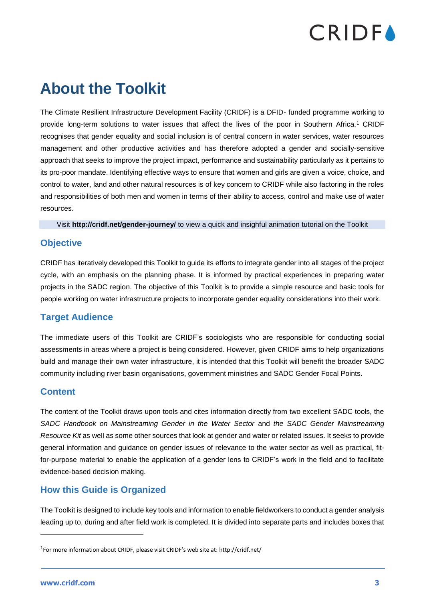### <span id="page-3-0"></span>**About the Toolkit**

The Climate Resilient Infrastructure Development Facility (CRIDF) is a DFID- funded programme working to provide long-term solutions to water issues that affect the lives of the poor in Southern Africa.<sup>1</sup> CRIDF recognises that gender equality and social inclusion is of central concern in water services, water resources management and other productive activities and has therefore adopted a gender and socially-sensitive approach that seeks to improve the project impact, performance and sustainability particularly as it pertains to its pro-poor mandate. Identifying effective ways to ensure that women and girls are given a voice, choice, and control to water, land and other natural resources is of key concern to CRIDF while also factoring in the roles and responsibilities of both men and women in terms of their ability to access, control and make use of water resources.

Visit **<http://cridf.net/gender-journey/>** to view a quick and insighful animation tutorial on the Toolkit

### <span id="page-3-1"></span>**Objective**

CRIDF has iteratively developed this Toolkit to guide its efforts to integrate gender into all stages of the project cycle, with an emphasis on the planning phase. It is informed by practical experiences in preparing water projects in the SADC region. The objective of this Toolkit is to provide a simple resource and basic tools for people working on water infrastructure projects to incorporate gender equality considerations into their work.

### <span id="page-3-2"></span>**Target Audience**

The immediate users of this Toolkit are CRIDF's sociologists who are responsible for conducting social assessments in areas where a project is being considered. However, given CRIDF aims to help organizations build and manage their own water infrastructure, it is intended that this Toolkit will benefit the broader SADC community including river basin organisations, government ministries and SADC Gender Focal Points.

### <span id="page-3-3"></span>**Content**

The content of the Toolkit draws upon tools and cites information directly from two excellent SADC tools, the *SADC Handbook on Mainstreaming Gender in the Water Sector* and *the SADC Gender Mainstreaming Resource Kit* as well as some other sources that look at gender and water or related issues. It seeks to provide general information and guidance on gender issues of relevance to the water sector as well as practical, fitfor-purpose material to enable the application of a gender lens to CRIDF's work in the field and to facilitate evidence-based decision making.

### <span id="page-3-4"></span>**How this Guide is Organized**

The Toolkit is designed to include key tools and information to enable fieldworkers to conduct a gender analysis leading up to, during and after field work is completed. It is divided into separate parts and includes boxes that

<sup>1</sup>For more information about CRIDF, please visit CRIDF's web site at: http://cridf.net/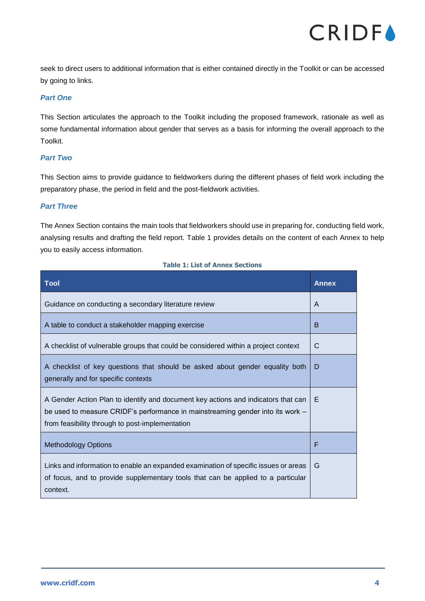

seek to direct users to additional information that is either contained directly in the Toolkit or can be accessed by going to links.

### *Part One*

This Section articulates the approach to the Toolkit including the proposed framework, rationale as well as some fundamental information about gender that serves as a basis for informing the overall approach to the Toolkit.

### *Part Two*

This Section aims to provide guidance to fieldworkers during the different phases of field work including the preparatory phase, the period in field and the post-fieldwork activities.

### *Part Three*

The Annex Section contains the main tools that fieldworkers should use in preparing for, conducting field work, analysing results and drafting the field report. [Table 1](#page-4-0) provides details on the content of each Annex to help you to easily access information.

#### **Table 1: List of Annex Sections**

<span id="page-4-0"></span>

| Tool                                                                                                                                                                                                                   | <b>Annex</b> |
|------------------------------------------------------------------------------------------------------------------------------------------------------------------------------------------------------------------------|--------------|
| Guidance on conducting a secondary literature review                                                                                                                                                                   | A            |
| A table to conduct a stakeholder mapping exercise                                                                                                                                                                      | B            |
| A checklist of vulnerable groups that could be considered within a project context                                                                                                                                     | C            |
| A checklist of key questions that should be asked about gender equality both<br>generally and for specific contexts                                                                                                    | D            |
| A Gender Action Plan to identify and document key actions and indicators that can<br>be used to measure CRIDF's performance in mainstreaming gender into its work -<br>from feasibility through to post-implementation | Е            |
| <b>Methodology Options</b>                                                                                                                                                                                             | F            |
| Links and information to enable an expanded examination of specific issues or areas<br>of focus, and to provide supplementary tools that can be applied to a particular<br>context.                                    | G            |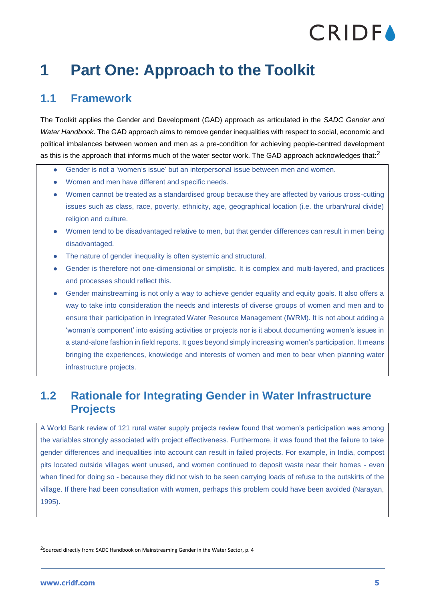### <span id="page-5-0"></span>**1 Part One: Approach to the Toolkit**

### <span id="page-5-1"></span>**1.1 Framework**

The Toolkit applies the Gender and Development (GAD) approach as articulated in the *SADC Gender and Water Handbook*. The GAD approach aims to remove gender inequalities with respect to social, economic and political imbalances between women and men as a pre-condition for achieving people-centred development as this is the approach that informs much of the water sector work. The GAD approach acknowledges that:<sup>2</sup>

- Gender is not a 'women's issue' but an interpersonal issue between men and women.
- Women and men have different and specific needs.
- Women cannot be treated as a standardised group because they are affected by various cross-cutting issues such as class, race, poverty, ethnicity, age, geographical location (i.e. the urban/rural divide) religion and culture.
- Women tend to be disadvantaged relative to men, but that gender differences can result in men being disadvantaged.
- The nature of gender inequality is often systemic and structural.
- Gender is therefore not one-dimensional or simplistic. It is complex and multi-layered, and practices and processes should reflect this.
- Gender mainstreaming is not only a way to achieve gender equality and equity goals. It also offers a way to take into consideration the needs and interests of diverse groups of women and men and to ensure their participation in Integrated Water Resource Management (IWRM). It is not about adding a 'woman's component' into existing activities or projects nor is it about documenting women's issues in a stand-alone fashion in field reports. It goes beyond simply increasing women's participation. It means bringing the experiences, knowledge and interests of women and men to bear when planning water infrastructure projects.

### <span id="page-5-2"></span>**1.2 Rationale for Integrating Gender in Water Infrastructure Projects**

A World Bank review of 121 rural water supply projects review found that women's participation was among the variables strongly associated with project effectiveness. Furthermore, it was found that the failure to take gender differences and inequalities into account can result in failed projects. For example, in India, compost pits located outside villages went unused, and women continued to deposit waste near their homes - even when fined for doing so - because they did not wish to be seen carrying loads of refuse to the outskirts of the village. If there had been consultation with women, perhaps this problem could have been avoided (Narayan, 1995).

<sup>&</sup>lt;sup>2</sup>Sourced directly from: SADC Handbook on Mainstreaming Gender in the Water Sector, p. 4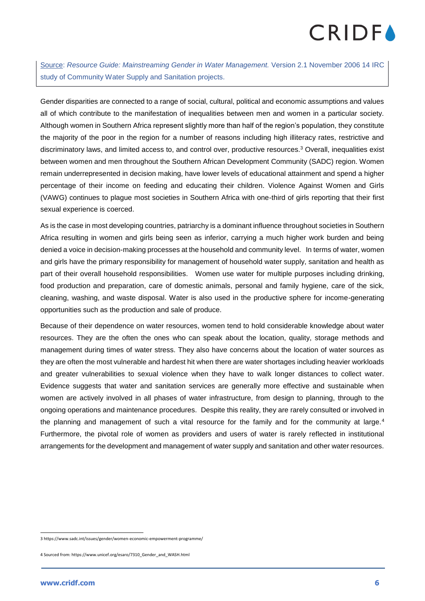Source: *Resource Guide: Mainstreaming Gender in Water Management.* Version 2.1 November 2006 14 IRC study of Community Water Supply and Sanitation projects.

Gender disparities are connected to a range of social, cultural, political and economic assumptions and values all of which contribute to the manifestation of inequalities between men and women in a particular society. Although women in Southern Africa represent slightly more than half of the region's population, they constitute the majority of the poor in the region for a number of reasons including high illiteracy rates, restrictive and discriminatory laws, and limited access to, and control over, productive resources.<sup>3</sup> Overall, inequalities exist between women and men throughout the Southern African Development Community (SADC) region. Women remain underrepresented in decision making, have lower levels of educational attainment and spend a higher percentage of their income on feeding and educating their children. Violence Against Women and Girls (VAWG) continues to plague most societies in Southern Africa with one-third of girls reporting that their first sexual experience is coerced.

As is the case in most developing countries, patriarchy is a dominant influence throughout societies in Southern Africa resulting in women and girls being seen as inferior, carrying a much higher work burden and being denied a voice in decision-making processes at the household and community level. In terms of water, women and girls have the primary responsibility for management of household water supply, sanitation and health as part of their overall household responsibilities. Women use water for multiple purposes including drinking, food production and preparation, care of domestic animals, personal and family hygiene, care of the sick, cleaning, washing, and waste disposal. Water is also used in the productive sphere for income-generating opportunities such as the production and sale of produce.

Because of their dependence on water resources, women tend to hold considerable knowledge about water resources. They are the often the ones who can speak about the location, quality, storage methods and management during times of water stress. They also have concerns about the location of water sources as they are often the most vulnerable and hardest hit when there are water shortages including heavier workloads and greater vulnerabilities to sexual violence when they have to walk longer distances to collect water. Evidence suggests that water and sanitation services are generally more effective and sustainable when women are actively involved in all phases of water infrastructure, from design to planning, through to the ongoing operations and maintenance procedures. Despite this reality, they are rarely consulted or involved in the planning and management of such a vital resource for the family and for the community at large.<sup>4</sup> Furthermore, the pivotal role of women as providers and users of water is rarely reflected in institutional arrangements for the development and management of water supply and sanitation and other water resources.

<sup>3</sup> https://www.sadc.int/issues/gender/women-economic-empowerment-programme/

<sup>4</sup> Sourced from: https://www.unicef.org/esaro/7310\_Gender\_and\_WASH.html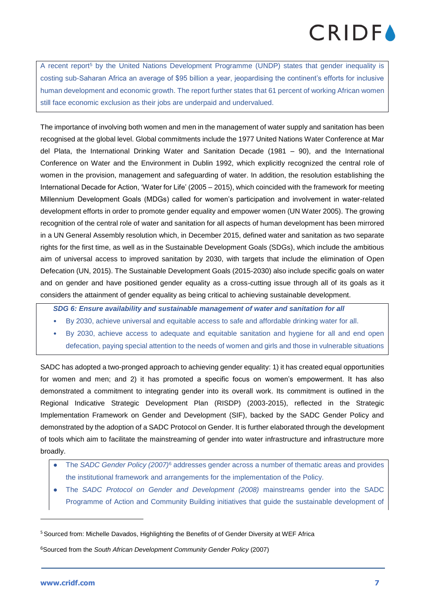A recent report<sup>5</sup> by the United Nations Development Programme [\(UNDP\)](http://www.undp.org/) states that gender inequality is costing sub-Saharan Africa an average of \$95 billion a year, jeopardising the continent's efforts for inclusive human development and economic growth. The report further states that 61 percent of working African women still face economic exclusion as their jobs are underpaid and undervalued.

The importance of involving both women and men in the management of water supply and sanitation has been recognised at the global level. Global commitments include the 1977 United Nations Water Conference at Mar del Plata, the International Drinking Water and Sanitation Decade (1981 – 90), and the International Conference on Water and the Environment in Dublin 1992, which explicitly recognized the central role of women in the provision, management and safeguarding of water. In addition, the resolution establishing the International Decade for Action, 'Water for Life' (2005 – 2015), which coincided with the framework for meeting Millennium Development Goals (MDGs) called for women's participation and involvement in water-related development efforts in order to promote gender equality and empower women (UN Water 2005). The growing recognition of the central role of water and sanitation for all aspects of human development has been mirrored in a UN General Assembly resolution which, in December 2015, defined water and sanitation as two separate rights for the first time, as well as in the Sustainable Development Goals (SDGs), which include the ambitious aim of universal access to improved sanitation by 2030, with targets that include the elimination of Open Defecation (UN, 2015). The Sustainable Development Goals (2015-2030) also include specific goals on water and on gender and have positioned gender equality as a cross-cutting issue through all of its goals as it considers the attainment of gender equality as being critical to achieving sustainable development.

*SDG 6: Ensure availability and sustainable management of water and sanitation for all*

- By 2030, achieve universal and equitable access to safe and affordable drinking water for all.
- By 2030, achieve access to adequate and equitable sanitation and hygiene for all and end open defecation, paying special attention to the needs of women and girls and those in vulnerable situations

SADC has adopted a two-pronged approach to achieving gender equality: 1) it has created equal opportunities for women and men; and 2) it has promoted a specific focus on women's empowerment. It has also demonstrated a commitment to integrating gender into its overall work. Its commitment is outlined in the Regional Indicative Strategic Development Plan (RISDP) (2003-2015), reflected in the Strategic Implementation Framework on Gender and Development (SIF), backed by the SADC Gender Policy and demonstrated by the adoption of a SADC Protocol on Gender. It is further elaborated through the development of tools which aim to facilitate the mainstreaming of gender into water infrastructure and infrastructure more broadly.

- The *SADC Gender Policy (2007)*<sup>6</sup> addresses gender across a number of thematic areas and provides the institutional framework and arrangements for the implementation of the Policy.
- The *SADC Protocol on Gender and Development (2008)* mainstreams gender into the SADC Programme of Action and Community Building initiatives that guide the sustainable development of

<sup>&</sup>lt;sup>5</sup> Sourced from: Michelle Davados, Highlighting the Benefits of of Gender Diversity at WEF Africa

<sup>6</sup>Sourced from the *South African Development Community Gender Policy* (2007)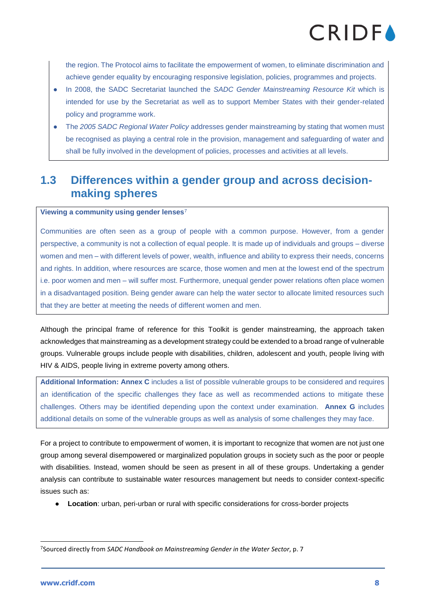the region. The Protocol aims to facilitate the empowerment of women, to eliminate discrimination and achieve gender equality by encouraging responsive legislation, policies, programmes and projects.

- In 2008, the SADC Secretariat launched the *SADC Gender Mainstreaming Resource Kit* which is intended for use by the Secretariat as well as to support Member States with their gender-related policy and programme work.
- The *2005 SADC Regional Water Policy* addresses gender mainstreaming by stating that women must be recognised as playing a central role in the provision, management and safeguarding of water and shall be fully involved in the development of policies, processes and activities at all levels.

### <span id="page-8-0"></span>**1.3 Differences within a gender group and across decisionmaking spheres**

### **Viewing a community using gender lenses**<sup>7</sup>

Communities are often seen as a group of people with a common purpose. However, from a gender perspective, a community is not a collection of equal people. It is made up of individuals and groups – diverse women and men – with different levels of power, wealth, influence and ability to express their needs, concerns and rights. In addition, where resources are scarce, those women and men at the lowest end of the spectrum i.e. poor women and men – will suffer most. Furthermore, unequal gender power relations often place women in a disadvantaged position. Being gender aware can help the water sector to allocate limited resources such that they are better at meeting the needs of different women and men.

Although the principal frame of reference for this Toolkit is gender mainstreaming, the approach taken acknowledges that mainstreaming as a development strategy could be extended to a broad range of vulnerable groups. Vulnerable groups include people with disabilities, children, adolescent and youth, people living with HIV & AIDS, people living in extreme poverty among others.

**Additional Information: Annex C** includes a list of possible vulnerable groups to be considered and requires an identification of the specific challenges they face as well as recommended actions to mitigate these challenges. Others may be identified depending upon the context under examination. **Annex G** includes additional details on some of the vulnerable groups as well as analysis of some challenges they may face.

For a project to contribute to empowerment of women, it is important to recognize that women are not just one group among several disempowered or marginalized population groups in society such as the poor or people with disabilities. Instead, women should be seen as present in all of these groups. Undertaking a gender analysis can contribute to sustainable water resources management but needs to consider context-specific issues such as:

● **Location**: urban, peri-urban or rural with specific considerations for cross-border projects

<sup>7</sup>Sourced directly from *SADC Handbook on Mainstreaming Gender in the Water Sector*, p. 7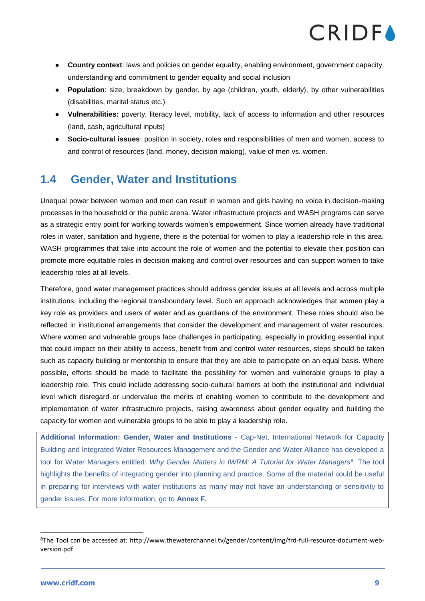

- **Country context**: laws and policies on gender equality, enabling environment, government capacity, understanding and commitment to gender equality and social inclusion
- **Population**: size, breakdown by gender, by age (children, youth, elderly), by other vulnerabilities (disabilities, marital status etc.)
- **Vulnerabilities:** poverty, literacy level, mobility, lack of access to information and other resources (land, cash, agricultural inputs)
- **Socio-cultural issues**: position in society, roles and responsibilities of men and women, access to and control of resources (land, money, decision making), value of men vs. women.

### <span id="page-9-0"></span>**1.4 Gender, Water and Institutions**

Unequal power between women and men can result in women and girls having no voice in decision-making processes in the household or the public arena. Water infrastructure projects and WASH programs can serve as a strategic entry point for working towards women's empowerment. Since women already have traditional roles in water, sanitation and hygiene, there is the potential for women to play a leadership role in this area. WASH programmes that take into account the role of women and the potential to elevate their position can promote more equitable roles in decision making and control over resources and can support women to take leadership roles at all levels.

Therefore, good water management practices should address gender issues at all levels and across multiple institutions, including the regional transboundary level. Such an approach acknowledges that women play a key role as providers and users of water and as guardians of the environment. These roles should also be reflected in institutional arrangements that consider the development and management of water resources. Where women and vulnerable groups face challenges in participating, especially in providing essential input that could impact on their ability to access, benefit from and control water resources, steps should be taken such as capacity building or mentorship to ensure that they are able to participate on an equal basis. Where possible, efforts should be made to facilitate the possibility for women and vulnerable groups to play a leadership role. This could include addressing socio-cultural barriers at both the institutional and individual level which disregard or undervalue the merits of enabling women to contribute to the development and implementation of water infrastructure projects, raising awareness about gender equality and building the capacity for women and vulnerable groups to be able to play a leadership role.

**Additional Information: Gender, Water and Institutions -** Cap-Net, International Network for Capacity Building and Integrated Water Resources Management and the Gender and Water Alliance has developed a tool for Water Managers entitled: *Why Gender Matters in IWRM: A Tutorial for Water Managers*<sup>8</sup> *.* The tool highlights the benefits of integrating gender into planning and practice. Some of the material could be useful in preparing for interviews with water institutions as many may not have an understanding or sensitivity to gender issues. For more information, go to **Annex F.**

<sup>8</sup>The Tool can be accessed at: http://www.thewaterchannel.tv/gender/content/img/frd-full-resource-document-webversion.pdf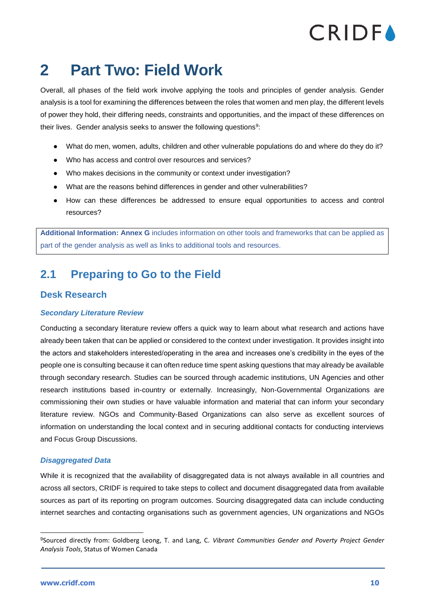### <span id="page-10-0"></span>**2 Part Two: Field Work**

Overall, all phases of the field work involve applying the tools and principles of gender analysis. Gender analysis is a tool for examining the differences between the roles that women and men play, the different levels of power they hold, their differing needs, constraints and opportunities, and the impact of these differences on their lives. Gender analysis seeks to answer the following questions<sup>9</sup>:

- What do men, women, adults, children and other vulnerable populations do and where do they do it?
- Who has access and control over resources and services?
- Who makes decisions in the community or context under investigation?
- What are the reasons behind differences in gender and other vulnerabilities?
- How can these differences be addressed to ensure equal opportunities to access and control resources?

**Additional Information: Annex G** includes information on other tools and frameworks that can be applied as part of the gender analysis as well as links to additional tools and resources.

### <span id="page-10-1"></span>**2.1 Preparing to Go to the Field**

### <span id="page-10-2"></span>**Desk Research**

### *Secondary Literature Review*

Conducting a secondary literature review offers a quick way to learn about what research and actions have already been taken that can be applied or considered to the context under investigation. It provides insight into the actors and stakeholders interested/operating in the area and increases one's credibility in the eyes of the people one is consulting because it can often reduce time spent asking questions that may already be available through secondary research. Studies can be sourced through academic institutions, UN Agencies and other research institutions based in-country or externally. Increasingly, Non-Governmental Organizations are commissioning their own studies or have valuable information and material that can inform your secondary literature review. NGOs and Community-Based Organizations can also serve as excellent sources of information on understanding the local context and in securing additional contacts for conducting interviews and Focus Group Discussions.

### *Disaggregated Data*

While it is recognized that the availability of disaggregated data is not always available in all countries and across all sectors, CRIDF is required to take steps to collect and document disaggregated data from available sources as part of its reporting on program outcomes. Sourcing disaggregated data can include conducting internet searches and contacting organisations such as government agencies, UN organizations and NGOs

<sup>9</sup>Sourced directly from: Goldberg Leong, T. and Lang, C. *Vibrant Communities Gender and Poverty Project Gender Analysis Tools*, Status of Women Canada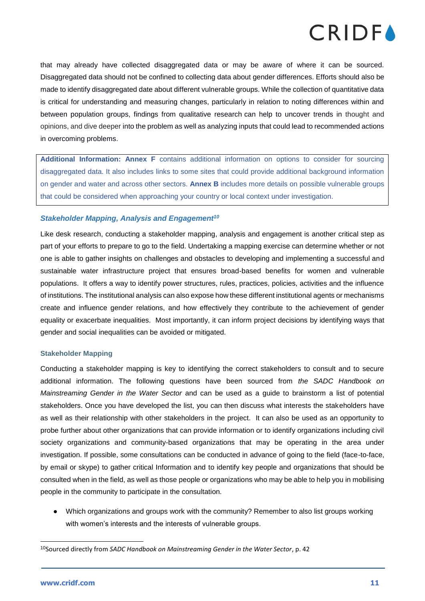

that may already have collected disaggregated data or may be aware of where it can be sourced. Disaggregated data should not be confined to collecting data about gender differences. Efforts should also be made to identify disaggregated date about different vulnerable groups. While the collection of quantitative data is critical for understanding and measuring changes, particularly in relation to noting differences within and between population groups, findings from qualitative research can help to uncover trends in thought and opinions, and dive deeper into the problem as well as analyzing inputs that could lead to recommended actions in overcoming problems.

**Additional Information: Annex F** contains additional information on options to consider for sourcing disaggregated data. It also includes links to some sites that could provide additional background information on gender and water and across other sectors. **Annex B** includes more details on possible vulnerable groups that could be considered when approaching your country or local context under investigation.

### *Stakeholder Mapping, Analysis and Engagement<sup>10</sup>*

Like desk research, conducting a stakeholder mapping, analysis and engagement is another critical step as part of your efforts to prepare to go to the field. Undertaking a mapping exercise can determine whether or not one is able to gather insights on challenges and obstacles to developing and implementing a successful and sustainable water infrastructure project that ensures broad-based benefits for women and vulnerable populations. It offers a way to identify power structures, rules, practices, policies, activities and the influence of institutions. The institutional analysis can also expose how these different institutional agents or mechanisms create and influence gender relations, and how effectively they contribute to the achievement of gender equality or exacerbate inequalities. Most importantly, it can inform project decisions by identifying ways that gender and social inequalities can be avoided or mitigated.

#### **Stakeholder Mapping**

Conducting a stakeholder mapping is key to identifying the correct stakeholders to consult and to secure additional information. The following questions have been sourced from *the SADC Handbook on Mainstreaming Gender in the Water Sector* and can be used as a guide to brainstorm a list of potential stakeholders. Once you have developed the list, you can then discuss what interests the stakeholders have as well as their relationship with other stakeholders in the project. It can also be used as an opportunity to probe further about other organizations that can provide information or to identify organizations including civil society organizations and community-based organizations that may be operating in the area under investigation. If possible, some consultations can be conducted in advance of going to the field (face-to-face, by email or skype) to gather critical Information and to identify key people and organizations that should be consulted when in the field, as well as those people or organizations who may be able to help you in mobilising people in the community to participate in the consultation.

● Which organizations and groups work with the community? Remember to also list groups working with women's interests and the interests of vulnerable groups.

<sup>10</sup>Sourced directly from *SADC Handbook on Mainstreaming Gender in the Water Sector*, p. 42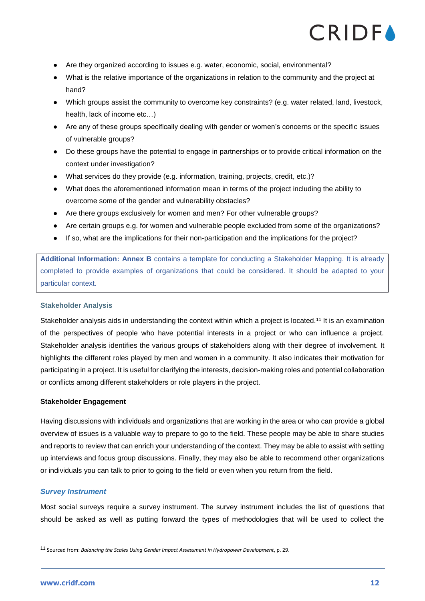- Are they organized according to issues e.g. water, economic, social, environmental?
- What is the relative importance of the organizations in relation to the community and the project at hand?
- Which groups assist the community to overcome key constraints? (e.g. water related, land, livestock, health, lack of income etc…)
- Are any of these groups specifically dealing with gender or women's concerns or the specific issues of vulnerable groups?
- Do these groups have the potential to engage in partnerships or to provide critical information on the context under investigation?
- What services do they provide (e.g. information, training, projects, credit, etc.)?
- What does the aforementioned information mean in terms of the project including the ability to overcome some of the gender and vulnerability obstacles?
- Are there groups exclusively for women and men? For other vulnerable groups?
- Are certain groups e.g. for women and vulnerable people excluded from some of the organizations?
- If so, what are the implications for their non-participation and the implications for the project?

**Additional Information: Annex B** contains a template for conducting a Stakeholder Mapping. It is already completed to provide examples of organizations that could be considered. It should be adapted to your particular context.

### **Stakeholder Analysis**

Stakeholder analysis aids in understanding the context within which a project is located.<sup>11</sup> It is an examination of the perspectives of people who have potential interests in a project or who can influence a project. Stakeholder analysis identifies the various groups of stakeholders along with their degree of involvement. It highlights the different roles played by men and women in a community. It also indicates their motivation for participating in a project. It is useful for clarifying the interests, decision-making roles and potential collaboration or conflicts among different stakeholders or role players in the project.

#### **Stakeholder Engagement**

Having discussions with individuals and organizations that are working in the area or who can provide a global overview of issues is a valuable way to prepare to go to the field. These people may be able to share studies and reports to review that can enrich your understanding of the context. They may be able to assist with setting up interviews and focus group discussions. Finally, they may also be able to recommend other organizations or individuals you can talk to prior to going to the field or even when you return from the field.

### *Survey Instrument*

Most social surveys require a survey instrument. The survey instrument includes the list of questions that should be asked as well as putting forward the types of methodologies that will be used to collect the

<sup>11</sup> Sourced from: *Balancing the Scales Using Gender Impact Assessment in Hydropower Development*, p. 29.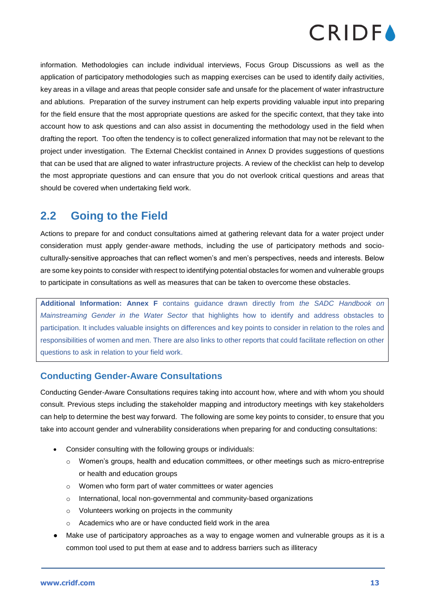

information. Methodologies can include individual interviews, Focus Group Discussions as well as the application of participatory methodologies such as mapping exercises can be used to identify daily activities, key areas in a village and areas that people consider safe and unsafe for the placement of water infrastructure and ablutions. Preparation of the survey instrument can help experts providing valuable input into preparing for the field ensure that the most appropriate questions are asked for the specific context, that they take into account how to ask questions and can also assist in documenting the methodology used in the field when drafting the report. Too often the tendency is to collect generalized information that may not be relevant to the project under investigation. The External Checklist contained in Annex D provides suggestions of questions that can be used that are aligned to water infrastructure projects. A review of the checklist can help to develop the most appropriate questions and can ensure that you do not overlook critical questions and areas that should be covered when undertaking field work.

### <span id="page-13-0"></span>**2.2 Going to the Field**

Actions to prepare for and conduct consultations aimed at gathering relevant data for a water project under consideration must apply gender-aware methods, including the use of participatory methods and socioculturally-sensitive approaches that can reflect women's and men's perspectives, needs and interests. Below are some key points to consider with respect to identifying potential obstacles for women and vulnerable groups to participate in consultations as well as measures that can be taken to overcome these obstacles.

**Additional Information: Annex F** contains guidance drawn directly from *the SADC Handbook on Mainstreaming Gender in the Water Sector* that highlights how to identify and address obstacles to participation. It includes valuable insights on differences and key points to consider in relation to the roles and responsibilities of women and men. There are also links to other reports that could facilitate reflection on other questions to ask in relation to your field work.

### <span id="page-13-1"></span>**Conducting Gender-Aware Consultations**

Conducting Gender-Aware Consultations requires taking into account how, where and with whom you should consult. Previous steps including the stakeholder mapping and introductory meetings with key stakeholders can help to determine the best way forward. The following are some key points to consider, to ensure that you take into account gender and vulnerability considerations when preparing for and conducting consultations:

- Consider consulting with the following groups or individuals:
	- o Women's groups, health and education committees, or other meetings such as micro-entreprise or health and education groups
	- o Women who form part of water committees or water agencies
	- o International, local non-governmental and community-based organizations
	- o Volunteers working on projects in the community
	- o Academics who are or have conducted field work in the area
- Make use of participatory approaches as a way to engage women and vulnerable groups as it is a common tool used to put them at ease and to address barriers such as illiteracy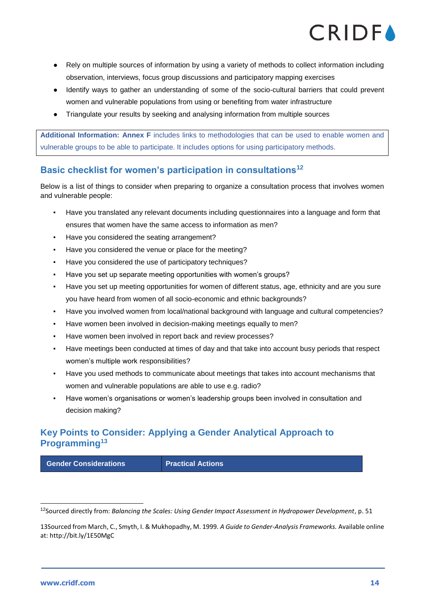

- Rely on multiple sources of information by using a variety of methods to collect information including observation, interviews, focus group discussions and participatory mapping exercises
- Identify ways to gather an understanding of some of the socio-cultural barriers that could prevent women and vulnerable populations from using or benefiting from water infrastructure
- Triangulate your results by seeking and analysing information from multiple sources

**Additional Information: Annex F** includes links to methodologies that can be used to enable women and vulnerable groups to be able to participate. It includes options for using participatory methods.

### <span id="page-14-0"></span>**Basic checklist for women's participation in consultations<sup>12</sup>**

Below is a list of things to consider when preparing to organize a consultation process that involves women and vulnerable people:

- Have you translated any relevant documents including questionnaires into a language and form that ensures that women have the same access to information as men?
- Have you considered the seating arrangement?
- Have you considered the venue or place for the meeting?
- Have you considered the use of participatory techniques?
- Have you set up separate meeting opportunities with women's groups?
- Have you set up meeting opportunities for women of different status, age, ethnicity and are you sure you have heard from women of all socio-economic and ethnic backgrounds?
- Have you involved women from local/national background with language and cultural competencies?
- Have women been involved in decision-making meetings equally to men?
- Have women been involved in report back and review processes?
- Have meetings been conducted at times of day and that take into account busy periods that respect women's multiple work responsibilities?
- Have you used methods to communicate about meetings that takes into account mechanisms that women and vulnerable populations are able to use e.g. radio?
- Have women's organisations or women's leadership groups been involved in consultation and decision making?

### <span id="page-14-1"></span>**Key Points to Consider: Applying a Gender Analytical Approach to Programming<sup>13</sup>**

**Gender Considerations Figure 1 Practical Actions** 

<sup>12</sup>Sourced directly from: *Balancing the Scales: Using Gender Impact Assessment in Hydropower Development*, p. 51

<sup>13</sup>Sourced from March, C., Smyth, I. & Mukhopadhy, M. 1999. *A Guide to Gender-Analysis Frameworks.* Available online at:<http://bit.ly/1E50MgC>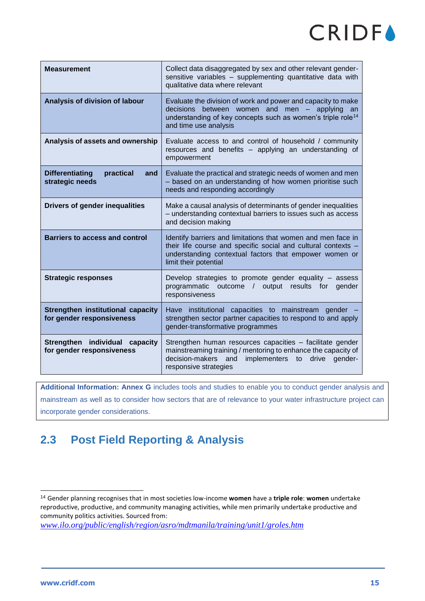| Measurement                                                    | Collect data disaggregated by sex and other relevant gender-<br>sensitive variables - supplementing quantitative data with<br>qualitative data where relevant                                                                |
|----------------------------------------------------------------|------------------------------------------------------------------------------------------------------------------------------------------------------------------------------------------------------------------------------|
| Analysis of division of labour                                 | Evaluate the division of work and power and capacity to make<br>between women and<br>decisions<br>$men - applying$<br>an<br>understanding of key concepts such as women's triple role <sup>14</sup><br>and time use analysis |
| Analysis of assets and ownership                               | Evaluate access to and control of household / community<br>resources and benefits - applying an understanding of<br>empowerment                                                                                              |
| <b>Differentiating</b><br>practical<br>and<br>strategic needs  | Evaluate the practical and strategic needs of women and men<br>- based on an understanding of how women prioritise such<br>needs and responding accordingly                                                                  |
| <b>Drivers of gender inequalities</b>                          | Make a causal analysis of determinants of gender inequalities<br>- understanding contextual barriers to issues such as access<br>and decision making                                                                         |
| <b>Barriers to access and control</b>                          | Identify barriers and limitations that women and men face in<br>their life course and specific social and cultural contexts -<br>understanding contextual factors that empower women or<br>limit their potential             |
| <b>Strategic responses</b>                                     | Develop strategies to promote gender equality - assess<br>programmatic outcome / output results for<br>aender<br>responsiveness                                                                                              |
| Strengthen institutional capacity<br>for gender responsiveness | Have institutional capacities to mainstream gender<br>strengthen sector partner capacities to respond to and apply<br>gender-transformative programmes                                                                       |
| Strengthen individual capacity<br>for gender responsiveness    | Strengthen human resources capacities – facilitate gender<br>mainstreaming training / mentoring to enhance the capacity of<br>decision-makers and<br>implementers to drive gender-<br>responsive strategies                  |

**Additional Information: Annex G** includes tools and studies to enable you to conduct gender analysis and mainstream as well as to consider how sectors that are of relevance to your water infrastructure project can incorporate gender considerations.

### <span id="page-15-0"></span>**2.3 Post Field Reporting & Analysis**

*[www.ilo.org/public/english/region/asro/mdtmanila/training/unit1/groles.htm](http://www.ilo.org/public/english/region/asro/mdtmanila/training/unit1/groles.htm)*

<sup>14</sup> Gender planning recognises that in most societies low-income **women** have a **triple role**: **women** undertake reproductive, productive, and community managing activities, while men primarily undertake productive and community politics activities. Sourced from: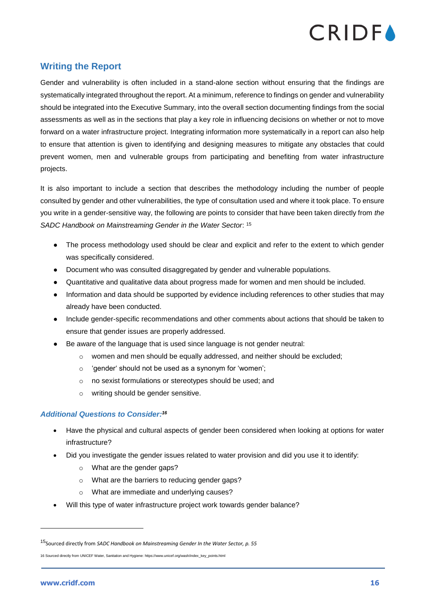

### <span id="page-16-0"></span>**Writing the Report**

Gender and vulnerability is often included in a stand-alone section without ensuring that the findings are systematically integrated throughout the report. At a minimum, reference to findings on gender and vulnerability should be integrated into the Executive Summary, into the overall section documenting findings from the social assessments as well as in the sections that play a key role in influencing decisions on whether or not to move forward on a water infrastructure project. Integrating information more systematically in a report can also help to ensure that attention is given to identifying and designing measures to mitigate any obstacles that could prevent women, men and vulnerable groups from participating and benefiting from water infrastructure projects.

It is also important to include a section that describes the methodology including the number of people consulted by gender and other vulnerabilities, the type of consultation used and where it took place. To ensure you write in a gender-sensitive way, the following are points to consider that have been taken directly from *the SADC Handbook on Mainstreaming Gender in the Water Sector*: <sup>15</sup>

- The process methodology used should be clear and explicit and refer to the extent to which gender was specifically considered.
- Document who was consulted disaggregated by gender and vulnerable populations.
- Quantitative and qualitative data about progress made for women and men should be included.
- Information and data should be supported by evidence including references to other studies that may already have been conducted.
- Include gender-specific recommendations and other comments about actions that should be taken to ensure that gender issues are properly addressed.
- Be aware of the language that is used since language is not gender neutral:
	- $\circ$  women and men should be equally addressed, and neither should be excluded;
	- o 'gender' should not be used as a synonym for 'women';
	- o no sexist formulations or stereotypes should be used; and
	- o writing should be gender sensitive.

### *Additional Questions to Consider:<sup>16</sup>*

- Have the physical and cultural aspects of gender been considered when looking at options for water infrastructure?
- Did you investigate the gender issues related to water provision and did you use it to identify:
	- o What are the gender gaps?
	- o What are the barriers to reducing gender gaps?
	- o What are immediate and underlying causes?
- Will this type of water infrastructure project work towards gender balance?

<sup>15</sup>Sourced directly from *SADC Handbook on Mainstreaming Gender In the Water Sector, p. 55*

<sup>16</sup> Sourced directly from UNICEF Water, Sanitation and Hygiene: https://www.unicef.org/wash/index\_key\_points.html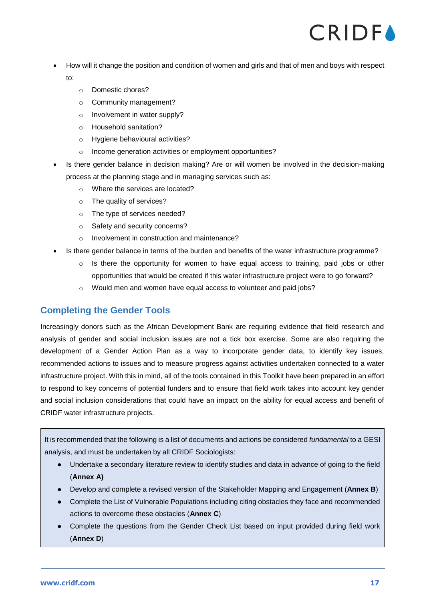- How will it change the position and condition of women and girls and that of men and boys with respect to:
	- o Domestic chores?
	- o Community management?
	- o Involvement in water supply?
	- o Household sanitation?
	- o Hygiene behavioural activities?
	- o Income generation activities or employment opportunities?
- Is there gender balance in decision making? Are or will women be involved in the decision-making process at the planning stage and in managing services such as:
	- o Where the services are located?
	- o The quality of services?
	- o The type of services needed?
	- o Safety and security concerns?
	- o Involvement in construction and maintenance?
- Is there gender balance in terms of the burden and benefits of the water infrastructure programme?
	- o Is there the opportunity for women to have equal access to training, paid jobs or other opportunities that would be created if this water infrastructure project were to go forward?
	- o Would men and women have equal access to volunteer and paid jobs?

### <span id="page-17-0"></span>**Completing the Gender Tools**

Increasingly donors such as the African Development Bank are requiring evidence that field research and analysis of gender and social inclusion issues are not a tick box exercise. Some are also requiring the development of a Gender Action Plan as a way to incorporate gender data, to identify key issues, recommended actions to issues and to measure progress against activities undertaken connected to a water infrastructure project. With this in mind, all of the tools contained in this Toolkit have been prepared in an effort to respond to key concerns of potential funders and to ensure that field work takes into account key gender and social inclusion considerations that could have an impact on the ability for equal access and benefit of CRIDF water infrastructure projects.

It is recommended that the following is a list of documents and actions be considered *fundamental* to a GESI analysis, and must be undertaken by all CRIDF Sociologists:

- Undertake a secondary literature review to identify studies and data in advance of going to the field (**Annex A)**
- Develop and complete a revised version of the Stakeholder Mapping and Engagement (**Annex B**)
- Complete the List of Vulnerable Populations including citing obstacles they face and recommended actions to overcome these obstacles (**Annex C**)
- Complete the questions from the Gender Check List based on input provided during field work (**Annex D**)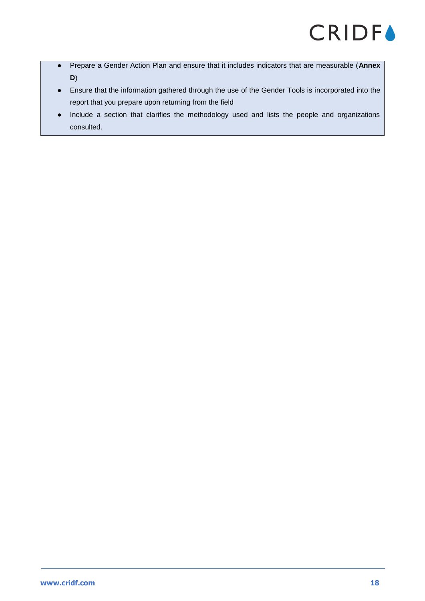- Prepare a Gender Action Plan and ensure that it includes indicators that are measurable (**Annex D**)
- Ensure that the information gathered through the use of the Gender Tools is incorporated into the report that you prepare upon returning from the field
- Include a section that clarifies the methodology used and lists the people and organizations consulted.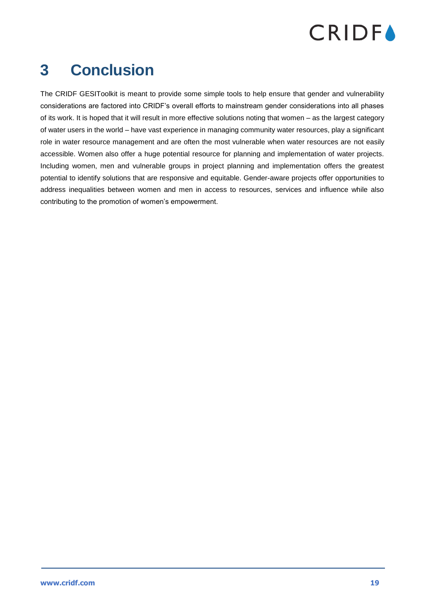

### <span id="page-19-0"></span>**3 Conclusion**

The CRIDF GESIToolkit is meant to provide some simple tools to help ensure that gender and vulnerability considerations are factored into CRIDF's overall efforts to mainstream gender considerations into all phases of its work. It is hoped that it will result in more effective solutions noting that women – as the largest category of water users in the world – have vast experience in managing community water resources, play a significant role in water resource management and are often the most vulnerable when water resources are not easily accessible. Women also offer a huge potential resource for planning and implementation of water projects. Including women, men and vulnerable groups in project planning and implementation offers the greatest potential to identify solutions that are responsive and equitable. Gender-aware projects offer opportunities to address inequalities between women and men in access to resources, services and influence while also contributing to the promotion of women's empowerment.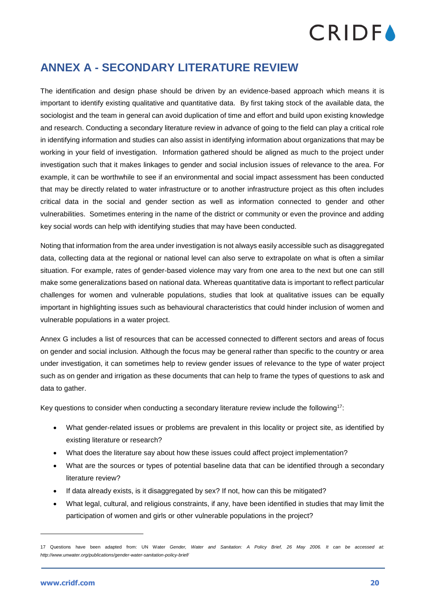### <span id="page-20-0"></span>**ANNEX A - SECONDARY LITERATURE REVIEW**

The identification and design phase should be driven by an evidence-based approach which means it is important to identify existing qualitative and quantitative data. By first taking stock of the available data, the sociologist and the team in general can avoid duplication of time and effort and build upon existing knowledge and research. Conducting a secondary literature review in advance of going to the field can play a critical role in identifying information and studies can also assist in identifying information about organizations that may be working in your field of investigation. Information gathered should be aligned as much to the project under investigation such that it makes linkages to gender and social inclusion issues of relevance to the area. For example, it can be worthwhile to see if an environmental and social impact assessment has been conducted that may be directly related to water infrastructure or to another infrastructure project as this often includes critical data in the social and gender section as well as information connected to gender and other vulnerabilities. Sometimes entering in the name of the district or community or even the province and adding key social words can help with identifying studies that may have been conducted.

Noting that information from the area under investigation is not always easily accessible such as disaggregated data, collecting data at the regional or national level can also serve to extrapolate on what is often a similar situation. For example, rates of gender-based violence may vary from one area to the next but one can still make some generalizations based on national data. Whereas quantitative data is important to reflect particular challenges for women and vulnerable populations, studies that look at qualitative issues can be equally important in highlighting issues such as behavioural characteristics that could hinder inclusion of women and vulnerable populations in a water project.

Annex G includes a list of resources that can be accessed connected to different sectors and areas of focus on gender and social inclusion. Although the focus may be general rather than specific to the country or area under investigation, it can sometimes help to review gender issues of relevance to the type of water project such as on gender and irrigation as these documents that can help to frame the types of questions to ask and data to gather.

Key questions to consider when conducting a secondary literature review include the following<sup>17</sup>:

- What gender-related issues or problems are prevalent in this locality or project site, as identified by existing literature or research?
- What does the literature say about how these issues could affect project implementation?
- What are the sources or types of potential baseline data that can be identified through a secondary literature review?
- If data already exists, is it disaggregated by sex? If not, how can this be mitigated?
- What legal, cultural, and religious constraints, if any, have been identified in studies that may limit the participation of women and girls or other vulnerable populations in the project?

<sup>17</sup> Questions have been adapted from: UN Water *Gender, Water and Sanitation: A Policy Brief, 26 May 2006. It can be accessed at: http://www.unwater.org/publications/gender-water-sanitation-policy-brief/*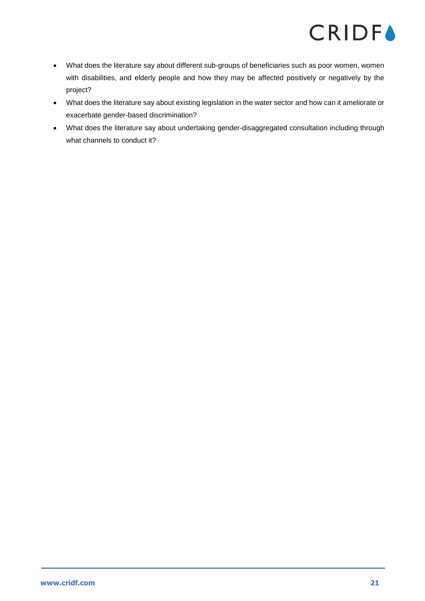- What does the literature say about different sub-groups of beneficiaries such as poor women, women with disabilities, and elderly people and how they may be affected positively or negatively by the project?
- What does the literature say about existing legislation in the water sector and how can it ameliorate or exacerbate gender-based discrimination?
- What does the literature say about undertaking gender-disaggregated consultation including through what channels to conduct it?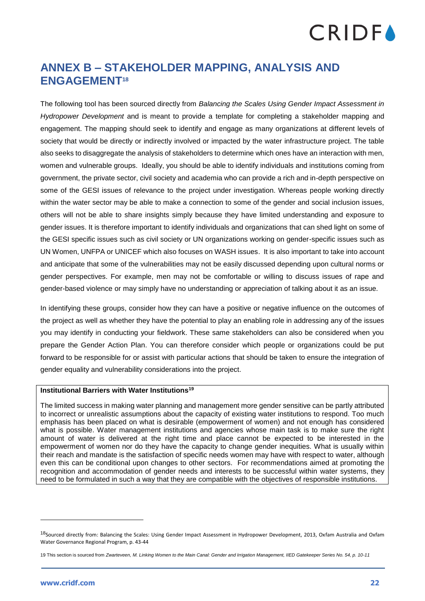### <span id="page-22-0"></span>**ANNEX B – STAKEHOLDER MAPPING, ANALYSIS AND ENGAGEMENT<sup>18</sup>**

The following tool has been sourced directly from *Balancing the Scales Using Gender Impact Assessment in Hydropower Development* and is meant to provide a template for completing a stakeholder mapping and engagement. The mapping should seek to identify and engage as many organizations at different levels of society that would be directly or indirectly involved or impacted by the water infrastructure project. The table also seeks to disaggregate the analysis of stakeholders to determine which ones have an interaction with men, women and vulnerable groups. Ideally, you should be able to identify individuals and institutions coming from government, the private sector, civil society and academia who can provide a rich and in-depth perspective on some of the GESI issues of relevance to the project under investigation. Whereas people working directly within the water sector may be able to make a connection to some of the gender and social inclusion issues, others will not be able to share insights simply because they have limited understanding and exposure to gender issues. It is therefore important to identify individuals and organizations that can shed light on some of the GESI specific issues such as civil society or UN organizations working on gender-specific issues such as UN Women, UNFPA or UNICEF which also focuses on WASH issues. It is also important to take into account and anticipate that some of the vulnerabilities may not be easily discussed depending upon cultural norms or gender perspectives. For example, men may not be comfortable or willing to discuss issues of rape and gender-based violence or may simply have no understanding or appreciation of talking about it as an issue.

In identifying these groups, consider how they can have a positive or negative influence on the outcomes of the project as well as whether they have the potential to play an enabling role in addressing any of the issues you may identify in conducting your fieldwork. These same stakeholders can also be considered when you prepare the Gender Action Plan. You can therefore consider which people or organizations could be put forward to be responsible for or assist with particular actions that should be taken to ensure the integration of gender equality and vulnerability considerations into the project.

### **Institutional Barriers with Water Institutions<sup>19</sup>**

The limited success in making water planning and management more gender sensitive can be partly attributed to incorrect or unrealistic assumptions about the capacity of existing water institutions to respond. Too much emphasis has been placed on what is desirable (empowerment of women) and not enough has considered what is possible. Water management institutions and agencies whose main task is to make sure the right amount of water is delivered at the right time and place cannot be expected to be interested in the empowerment of women nor do they have the capacity to change gender inequities. What is usually within their reach and mandate is the satisfaction of specific needs women may have with respect to water, although even this can be conditional upon changes to other sectors. For recommendations aimed at promoting the recognition and accommodation of gender needs and interests to be successful within water systems, they need to be formulated in such a way that they are compatible with the objectives of responsible institutions.

<sup>&</sup>lt;sup>18</sup>Sourced directly from: Balancing the Scales: Using Gender Impact Assessment in Hydropower Development, 2013, Oxfam Australia and Oxfam Water Governance Regional Program, p. 43-44

<sup>19</sup> This section is sourced from *Zwarteveen, M. Linking Women to the Main Canal: Gender and Irrigation Management, IIED Gatekeeper Series No. 54, p. 10-11*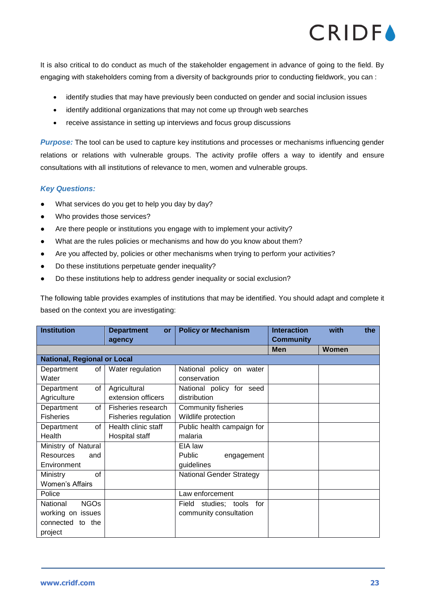It is also critical to do conduct as much of the stakeholder engagement in advance of going to the field. By engaging with stakeholders coming from a diversity of backgrounds prior to conducting fieldwork, you can :

- identify studies that may have previously been conducted on gender and social inclusion issues
- identify additional organizations that may not come up through web searches
- receive assistance in setting up interviews and focus group discussions

*Purpose:* The tool can be used to capture key institutions and processes or mechanisms influencing gender relations or relations with vulnerable groups. The activity profile offers a way to identify and ensure consultations with all institutions of relevance to men, women and vulnerable groups.

### *Key Questions:*

- What services do you get to help you day by day?
- Who provides those services?
- Are there people or institutions you engage with to implement your activity?
- What are the rules policies or mechanisms and how do you know about them?
- Are you affected by, policies or other mechanisms when trying to perform your activities?
- Do these institutions perpetuate gender inequality?
- Do these institutions help to address gender inequality or social exclusion?

The following table provides examples of institutions that may be identified. You should adapt and complete it based on the context you are investigating:

| <b>Institution</b>                 | <b>Department</b><br>or | <b>Policy or Mechanism</b>      | <b>Interaction</b> | with  | the |
|------------------------------------|-------------------------|---------------------------------|--------------------|-------|-----|
|                                    | agency                  |                                 | <b>Community</b>   |       |     |
|                                    |                         |                                 | <b>Men</b>         | Women |     |
| <b>National, Regional or Local</b> |                         |                                 |                    |       |     |
| Department<br>of <sub>l</sub>      | Water regulation        | National policy on water        |                    |       |     |
| Water                              |                         | conservation                    |                    |       |     |
| of<br>Department                   | Agricultural            | National policy for seed        |                    |       |     |
| Agriculture                        | extension officers      | distribution                    |                    |       |     |
| Department<br>of                   | Fisheries research      | <b>Community fisheries</b>      |                    |       |     |
| <b>Fisheries</b>                   | Fisheries regulation    | Wildlife protection             |                    |       |     |
| Department<br>of                   | Health clinic staff     | Public health campaign for      |                    |       |     |
| Health                             | Hospital staff          | malaria                         |                    |       |     |
| Ministry of Natural                |                         | EIA law                         |                    |       |     |
| <b>Resources</b><br>and            |                         | <b>Public</b><br>engagement     |                    |       |     |
| Environment                        |                         | guidelines                      |                    |       |     |
| of<br><b>Ministry</b>              |                         | <b>National Gender Strategy</b> |                    |       |     |
| <b>Women's Affairs</b>             |                         |                                 |                    |       |     |
| Police                             |                         | Law enforcement                 |                    |       |     |
| <b>NGOs</b><br>National            |                         | Field<br>studies; tools<br>for  |                    |       |     |
| working on issues                  |                         | community consultation          |                    |       |     |
| connected to the                   |                         |                                 |                    |       |     |
| project                            |                         |                                 |                    |       |     |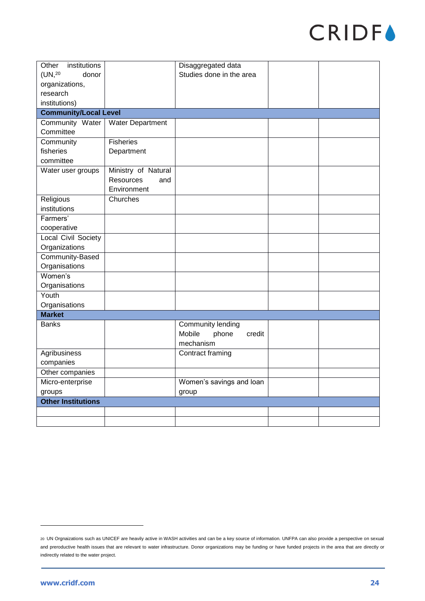| Other<br>institutions        |                         | Disaggregated data        |  |
|------------------------------|-------------------------|---------------------------|--|
| (UN, 20<br>donor             |                         | Studies done in the area  |  |
| organizations,               |                         |                           |  |
| research                     |                         |                           |  |
| institutions)                |                         |                           |  |
| <b>Community/Local Level</b> |                         |                           |  |
| Community Water              | <b>Water Department</b> |                           |  |
| Committee                    |                         |                           |  |
| Community                    | <b>Fisheries</b>        |                           |  |
| fisheries                    | Department              |                           |  |
| committee                    |                         |                           |  |
| Water user groups            | Ministry of Natural     |                           |  |
|                              | Resources<br>and        |                           |  |
|                              | Environment             |                           |  |
| Religious                    | Churches                |                           |  |
| institutions                 |                         |                           |  |
| Farmers'                     |                         |                           |  |
| cooperative                  |                         |                           |  |
| Local Civil Society          |                         |                           |  |
| Organizations                |                         |                           |  |
| Community-Based              |                         |                           |  |
| Organisations                |                         |                           |  |
| Women's                      |                         |                           |  |
| Organisations                |                         |                           |  |
| Youth                        |                         |                           |  |
| Organisations                |                         |                           |  |
| <b>Market</b>                |                         |                           |  |
| <b>Banks</b>                 |                         | Community lending         |  |
|                              |                         | Mobile<br>credit<br>phone |  |
|                              |                         | mechanism                 |  |
| Agribusiness                 |                         | Contract framing          |  |
| companies                    |                         |                           |  |
| Other companies              |                         |                           |  |
| Micro-enterprise             |                         | Women's savings and loan  |  |
| groups                       |                         | group                     |  |
| <b>Other Institutions</b>    |                         |                           |  |
|                              |                         |                           |  |
|                              |                         |                           |  |

<sup>20</sup> UN Orgnaizations such as UNICEF are heavily active in WASH activities and can be a key source of information. UNFPA can also provide a perspective on sexual and preroductive health issues that are relevant to water infrastructure. Donor organizations may be funding or have funded projects in the area that are directly or indirectly related to the water project.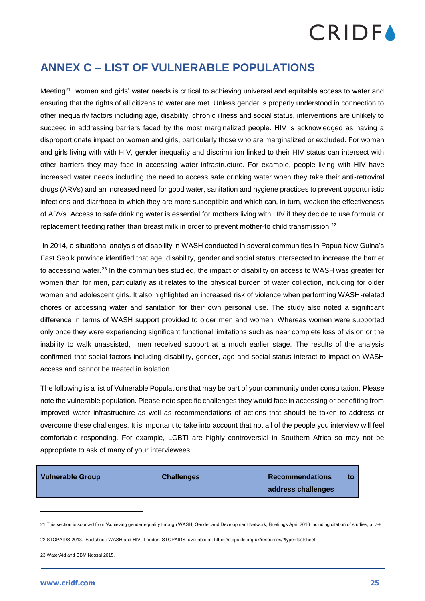### <span id="page-25-0"></span>**ANNEX C – LIST OF VULNERABLE POPULATIONS**

Meeting<sup>21</sup> women and girls' water needs is critical to achieving universal and equitable access to water and ensuring that the rights of all citizens to water are met. Unless gender is properly understood in connection to other inequality factors including age, disability, chronic illness and social status, interventions are unlikely to succeed in addressing barriers faced by the most marginalized people. HIV is acknowledged as having a disproportionate impact on women and girls, particularly those who are marginalized or excluded. For women and girls living with with HIV, gender inequality and discriminion linked to their HIV status can intersect with other barriers they may face in accessing water infrastructure. For example, people living with HIV have increased water needs including the need to access safe drinking water when they take their anti-retroviral drugs (ARVs) and an increased need for good water, sanitation and hygiene practices to prevent opportunistic infections and diarrhoea to which they are more susceptible and which can, in turn, weaken the effectiveness of ARVs. Access to safe drinking water is essential for mothers living with HIV if they decide to use formula or replacement feeding rather than breast milk in order to prevent mother-to child transmission.<sup>22</sup>

In 2014, a situational analysis of disability in WASH conducted in several communities in Papua New Guina's East Sepik province identified that age, disability, gender and social status intersected to increase the barrier to accessing water.<sup>23</sup> In the communities studied, the impact of disability on access to WASH was greater for women than for men, particularly as it relates to the physical burden of water collection, including for older women and adolescent girls. It also highlighted an increased risk of violence when performing WASH-related chores or accessing water and sanitation for their own personal use. The study also noted a significant difference in terms of WASH support provided to older men and women. Whereas women were supported only once they were experiencing significant functional limitations such as near complete loss of vision or the inability to walk unassisted, men received support at a much earlier stage. The results of the analysis confirmed that social factors including disability, gender, age and social status interact to impact on WASH access and cannot be treated in isolation.

The following is a list of Vulnerable Populations that may be part of your community under consultation. Please note the vulnerable population. Please note specific challenges they would face in accessing or benefiting from improved water infrastructure as well as recommendations of actions that should be taken to address or overcome these challenges. It is important to take into account that not all of the people you interview will feel comfortable responding. For example, LGBTI are highly controversial in Southern Africa so may not be appropriate to ask of many of your interviewees.

| <b>Vulnerable Group</b> | <b>Challenges</b> | <b>Recommendations</b> | to |
|-------------------------|-------------------|------------------------|----|
|                         |                   | address challenges     |    |

<sup>21</sup> This section is sourced from 'Achieving gender equality through WASH, Gender and Development Network, Briefiings April 2016 including citation of studies, p. 7-8

22 STOPAIDS 2013. 'Factsheet: WASH and HIV'. London: STOPAIDS, available at: https://stopaids.org.uk/resources/?type=factsheet

23 WaterAid and CBM Nossal 2015.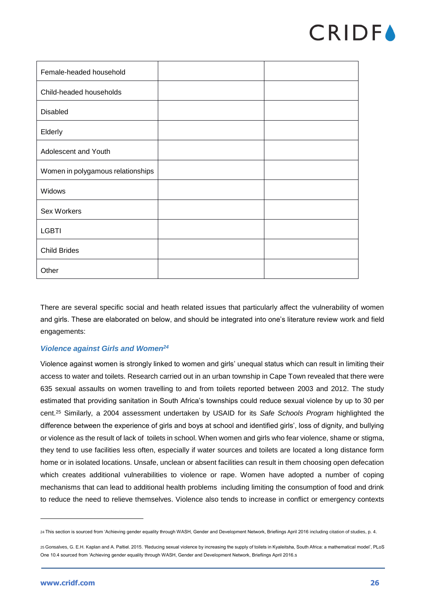

| Female-headed household           |  |
|-----------------------------------|--|
| Child-headed households           |  |
| Disabled                          |  |
| Elderly                           |  |
| Adolescent and Youth              |  |
| Women in polygamous relationships |  |
| Widows                            |  |
| Sex Workers                       |  |
| <b>LGBTI</b>                      |  |
| <b>Child Brides</b>               |  |
| Other                             |  |

There are several specific social and heath related issues that particularly affect the vulnerability of women and girls. These are elaborated on below, and should be integrated into one's literature review work and field engagements:

### *Violence against Girls and Women<sup>24</sup>*

Violence against women is strongly linked to women and girls' unequal status which can result in limiting their access to water and toilets. Research carried out in an urban township in Cape Town revealed that there were 635 sexual assaults on women travelling to and from toilets reported between 2003 and 2012. The study estimated that providing sanitation in South Africa's townships could reduce sexual violence by up to 30 per cent.<sup>25</sup> Similarly, a 2004 assessment undertaken by USAID for its *Safe Schools Program* highlighted the difference between the experience of girls and boys at school and identified girls', loss of dignity, and bullying or violence as the result of lack of toilets in school. When women and girls who fear violence, shame or stigma, they tend to use facilities less often, especially if water sources and toilets are located a long distance form home or in isolated locations. Unsafe, unclean or absent facilities can result in them choosing open defecation which creates additional vulnerabilities to violence or rape. Women have adopted a number of coping mechanisms that can lead to additional health problems including limiting the consumption of food and drink to reduce the need to relieve themselves. Violence also tends to increase in conflict or emergency contexts

<sup>24</sup> This section is sourced from 'Achieving gender equality through WASH, Gender and Development Network, Briefiings April 2016 including citation of studies, p. 4.

<sup>25</sup> Gonsalves, G. E.H. Kaplan and A. Paltiel. 2015. 'Reducing sexual violence by increasing the supply of toilets in Kyaleitsha, South Africa: a mathematical model', PLoS One 10.4 sourced from 'Achieving gender equality through WASH, Gender and Development Network, Briefiings April 2016.s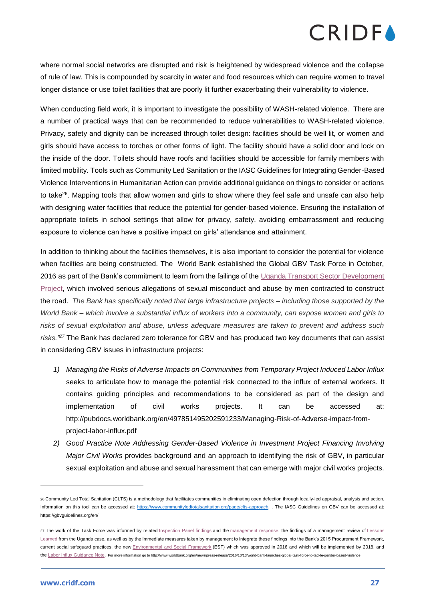where normal social networks are disrupted and risk is heightened by widespread violence and the collapse of rule of law. This is compounded by scarcity in water and food resources which can require women to travel longer distance or use toilet facilities that are poorly lit further exacerbating their vulnerability to violence.

When conducting field work, it is important to investigate the possibility of WASH-related violence. There are a number of practical ways that can be recommended to reduce vulnerabilities to WASH-related violence. Privacy, safety and dignity can be increased through toilet design: facilities should be well lit, or women and girls should have access to torches or other forms of light. The facility should have a solid door and lock on the inside of the door. Toilets should have roofs and facilities should be accessible for family members with limited mobility. Tools such as Community Led Sanitation or the IASC Guidelines for Integrating Gender-Based Violence Interventions in Humanitarian Action can provide additional guidance on things to consider or actions to take<sup>26</sup>. Mapping tools that allow women and girls to show where they feel safe and unsafe can also help with designing water facilities that reduce the potential for gender-based violence. Ensuring the installation of appropriate toilets in school settings that allow for privacy, safety, avoiding embarrassment and reducing exposure to violence can have a positive impact on girls' attendance and attainment.

In addition to thinking about the facilities themselves, it is also important to consider the potential for violence when facilties are being constructed. The World Bank established the Global GBV Task Force in October, 2016 as part of the Bank's commitment to learn from the failings of the Uganda Transport Sector Development [Project,](http://www.worldbank.org/en/country/uganda/brief/uganda-transport-sector-development-project-fact-sheet) which involved serious allegations of sexual misconduct and abuse by men contracted to construct the road. *The Bank has specifically noted that large infrastructure projects – including those supported by the World Bank – which involve a substantial influx of workers into a community, can expose women and girls to risks of sexual exploitation and abuse, unless adequate measures are taken to prevent and address such risks."<sup>27</sup>* The Bank has declared zero tolerance for GBV and has produced two key documents that can assist in considering GBV issues in infrastructure projects:

- *1) Managing the Risks of Adverse Impacts on Communities from Temporary Project Induced Labor Influx* seeks to articulate how to manage the potential risk connected to the influx of external workers. It contains guiding principles and recommendations to be considered as part of the design and implementation of civil works projects. It can be accessed at: http://pubdocs.worldbank.org/en/497851495202591233/Managing-Risk-of-Adverse-impact-fromproject-labor-influx.pdf
- *2) Good Practice Note Addressing Gender-Based Violence in Investment Project Financing Involving Major Civil Works* provides background and an approach to identifying the risk of GBV, in particular sexual exploitation and abuse and sexual harassment that can emerge with major civil works projects.

<sup>26</sup> Community Led Total Sanitation (CLTS) is a methodology that facilitates communities in eliminating open defection through locally-led appraisal, analysis and action. Information on this tool can be accessed at: [https://www.communityledtotalsanitation.org/page/clts-approach.](https://www.communityledtotalsanitation.org/page/clts-approach) . The IASC Guidelines on GBV can be accessed at: https://gbvguidelines.org/en/

<sup>27</sup> The work of the Task Force was informed by related [Inspection Panel findings](http://ewebapps.worldbank.org/apps/ip/PanelCases/98-Inspection%20Panel%20Investigation%20Report.pdf) and the [management response,](http://ewebapps.worldbank.org/apps/ip/PanelCases/98-Management%20Report%20and%20Recommendation.pdf) the findings of a management review of Lessons [Learned](http://documents.worldbank.org/curated/en/948341479845064519/pdf/110455-BR-PUBLIC-LESSONS-LEARNT-IDA-SecM2016-0204.pdf) from the Uganda case, as well as by the immediate measures taken by management to integrate these findings into the Bank's 2015 Procurement Framework, current social safeguard practices, the new [Environmental and Social Framework](http://www.worldbank.org/en/programs/environmental-and-social-policies-for-projects/brief/the-environmental-and-social-framework-esf) (ESF) which was approved in 2016 and which will be implemented by 2018, and the [Labor Influx Guidance Note.](http://pubdocs.worldbank.org/en/497851495202591233/Managing-Risk-of-Adverse-impact-from-project-labor-influx.pdf) For more information go to http://www.worldbank.org/en/news/press-release/2016/10/13/world-bank-launches-global-task-force-to-tackle-gender-based-violence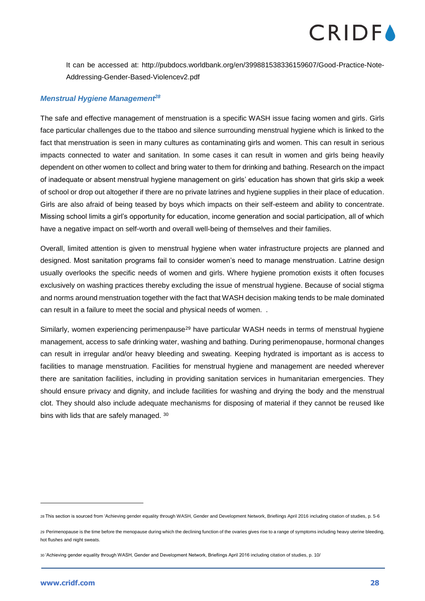It can be accessed at: http://pubdocs.worldbank.org/en/399881538336159607/Good-Practice-Note-Addressing-Gender-Based-Violencev2.pdf

### *Menstrual Hygiene Management<sup>28</sup>*

The safe and effective management of menstruation is a specific WASH issue facing women and girls. Girls face particular challenges due to the ttaboo and silence surrounding menstrual hygiene which is linked to the fact that menstruation is seen in many cultures as contaminating girls and women. This can result in serious impacts connected to water and sanitation. In some cases it can result in women and girls being heavily dependent on other women to collect and bring water to them for drinking and bathing. Research on the impact of inadequate or absent menstrual hygiene management on girls' education has shown that girls skip a week of school or drop out altogether if there are no private latrines and hygiene supplies in their place of education. Girls are also afraid of being teased by boys which impacts on their self-esteem and ability to concentrate. Missing school limits a girl's opportunity for education, income generation and social participation, all of which have a negative impact on self-worth and overall well-being of themselves and their families.

Overall, limited attention is given to menstrual hygiene when water infrastructure projects are planned and designed. Most sanitation programs fail to consider women's need to manage menstruation. Latrine design usually overlooks the specific needs of women and girls. Where hygiene promotion exists it often focuses exclusively on washing practices thereby excluding the issue of menstrual hygiene. Because of social stigma and norms around menstruation together with the fact that WASH decision making tends to be male dominated can result in a failure to meet the social and physical needs of women. .

Similarly, women experiencing perimenpause<sup>29</sup> have particular WASH needs in terms of menstrual hygiene management, access to safe drinking water, washing and bathing. During perimenopause, hormonal changes can result in irregular and/or heavy bleeding and sweating. Keeping hydrated is important as is access to facilities to manage menstruation. Facilities for menstrual hygiene and management are needed wherever there are sanitation facilities, including in providing sanitation services in humanitarian emergencies. They should ensure privacy and dignity, and include facilities for washing and drying the body and the menstrual clot. They should also include adequate mechanisms for disposing of material if they cannot be reused like bins with lids that are safely managed. 30

<sup>28</sup> This section is sourced from 'Achieving gender equality through WASH, Gender and Development Network, Briefiings April 2016 including citation of studies, p. 5-6

<sup>29</sup> Perimenopause is the time before the menopause during which the declining function of the ovaries gives rise to a range of symptoms including heavy uterine bleeding, hot flushes and night sweats.

<sup>30</sup> 'Achieving gender equality through WASH, Gender and Development Network, Briefiings April 2016 including citation of studies, p. 10/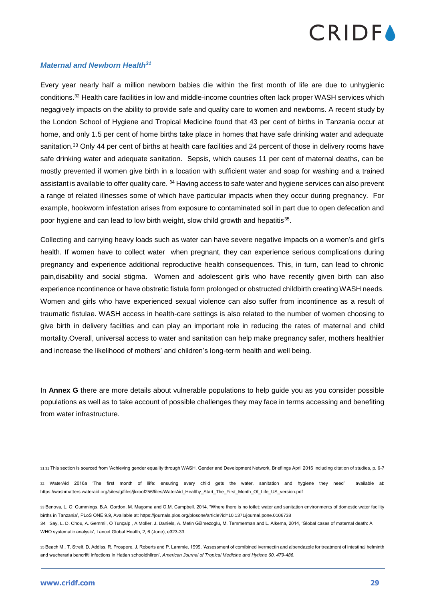

#### *Maternal and Newborn Health<sup>31</sup>*

Every year nearly half a million newborn babies die within the first month of life are due to unhygienic conditions.<sup>32</sup> Health care facilities in low and middle-income countries often lack proper WASH services which negagively impacts on the ability to provide safe and quality care to women and newborns. A recent study by the London School of Hygiene and Tropical Medicine found that 43 per cent of births in Tanzania occur at home, and only 1.5 per cent of home births take place in homes that have safe drinking water and adequate sanitation.<sup>33</sup> Only 44 per cent of births at health care facilities and 24 percent of those in delivery rooms have safe drinking water and adequate sanitation. Sepsis, which causes 11 per cent of maternal deaths, can be mostly prevented if women give birth in a location with sufficient water and soap for washing and a trained assistant is available to offer quality care. <sup>34</sup> Having access to safe water and hygiene services can also prevent a range of related illnesses some of which have particular impacts when they occur during pregnancy. For example, hookworm infestation arises from exposure to contaminated soil in part due to open defecation and poor hygiene and can lead to low birth weight, slow child growth and hepatitis<sup>35</sup>.

Collecting and carrying heavy loads such as water can have severe negative impacts on a women's and girl's health. If women have to collect water when pregnant, they can experience serious complications during pregnancy and experience additional reproductive health consequences. This, in turn, can lead to chronic pain,disability and social stigma. Women and adolescent girls who have recently given birth can also experience ncontinence or have obstretic fistula form prolonged or obstructed childbirth creating WASH needs. Women and girls who have experienced sexual violence can also suffer from incontinence as a result of traumatic fistulae. WASH access in health-care settings is also related to the number of women choosing to give birth in delivery facilties and can play an important role in reducing the rates of maternal and child mortality.Overall, universal access to water and sanitation can help make pregnancy safer, mothers healthier and increase the likelihood of mothers' and children's long-term health and well being.

In **Annex G** there are more details about vulnerable populations to help guide you as you consider possible populations as well as to take account of possible challenges they may face in terms accessing and benefiting from water infrastructure.

<sup>31</sup> 31 This section is sourced from 'Achieving gender equality through WASH, Gender and Development Network, Briefiings April 2016 including citation of studies, p. 6-7

<sup>32</sup> WaterAid 2016a 'The first month of llife: ensuring every child gets the water, sanitation and hygiene they need' available at: https://washmatters.wateraid.org/sites/g/files/jkxoof256/files/WaterAid\_Healthy\_Start\_The\_First\_Month\_Of\_Life\_US\_version.pdf

<sup>33</sup> Benova, L. O. Cummings, B.A. Gordon, M. Magoma and O.M. Campbell. 2014. "Where there is no toilet: water and sanitation environments of domestic water facility births in Tanzania', PLoS ONE 9.9, Available at: https://journals.plos.org/plosone/article?id=10.1371/journal.pone.0106738 34 Say, L. D. Chou, A. Gemmil, Ö Tunçalp , A Moller, J. Daniels, A. Metin Gülmezoglu, M. Temmerman and L. Alkema, 2014, 'Global cases of maternal death: A WHO systematic analysis', Lancet Global Health, 2, 6 (June), e323-33.

<sup>35</sup> Beach M., T. Streit, D. Addiss, R. Prospere. J. Roberts and P. Lammie. 1999. 'Assessment of comibined ivermectin and albendazole for treatment of intestinal helminth and wucheraria bancrifti infections in Hatian schooldhilren', *American Journal of Tropical Medicine and Hytiene 60, 479-486.*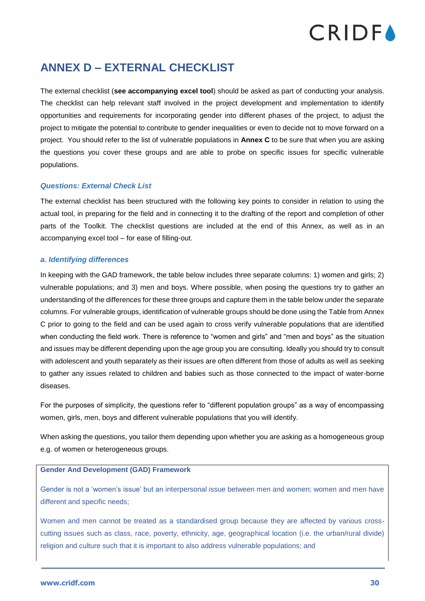### <span id="page-30-0"></span>**ANNEX D – EXTERNAL CHECKLIST**

The external checklist (**see accompanying excel tool**) should be asked as part of conducting your analysis. The checklist can help relevant staff involved in the project development and implementation to identify opportunities and requirements for incorporating gender into different phases of the project, to adjust the project to mitigate the potential to contribute to gender inequalities or even to decide not to move forward on a project. You should refer to the list of vulnerable populations in **Annex C** to be sure that when you are asking the questions you cover these groups and are able to probe on specific issues for specific vulnerable populations.

### *Questions: External Check List*

The external checklist has been structured with the following key points to consider in relation to using the actual tool, in preparing for the field and in connecting it to the drafting of the report and completion of other parts of the Toolkit. The checklist questions are included at the end of this Annex, as well as in an accompanying excel tool – for ease of filling-out.

### *a. Identifying differences*

In keeping with the GAD framework, the table below includes three separate columns: 1) women and girls; 2) vulnerable populations; and 3) men and boys. Where possible, when posing the questions try to gather an understanding of the differences for these three groups and capture them in the table below under the separate columns. For vulnerable groups, identification of vulnerable groups should be done using the Table from Annex C prior to going to the field and can be used again to cross verify vulnerable populations that are identified when conducting the field work. There is reference to "women and girls" and "men and boys" as the situation and issues may be different depending upon the age group you are consulting. Ideally you should try to consult with adolescent and youth separately as their issues are often different from those of adults as well as seeking to gather any issues related to children and babies such as those connected to the impact of water-borne diseases.

For the purposes of simplicity, the questions refer to "different population groups" as a way of encompassing women, girls, men, boys and different vulnerable populations that you will identify.

When asking the questions, you tailor them depending upon whether you are asking as a homogeneous group e.g. of women or heterogeneous groups.

### **Gender And Development (GAD) Framework**

Gender is not a 'women's issue' but an interpersonal issue between men and women; women and men have different and specific needs;

Women and men cannot be treated as a standardised group because they are affected by various crosscutting issues such as class, race, poverty, ethnicity, age, geographical location (i.e. the urban/rural divide) religion and culture such that it is important to also address vulnerable populations; and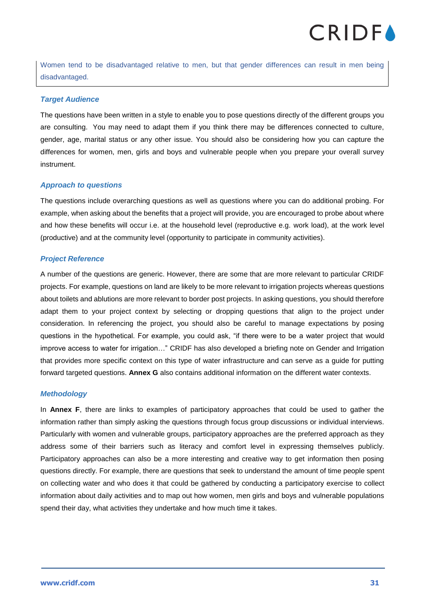Women tend to be disadvantaged relative to men, but that gender differences can result in men being disadvantaged.

### *Target Audience*

The questions have been written in a style to enable you to pose questions directly of the different groups you are consulting. You may need to adapt them if you think there may be differences connected to culture, gender, age, marital status or any other issue. You should also be considering how you can capture the differences for women, men, girls and boys and vulnerable people when you prepare your overall survey instrument.

### *Approach to questions*

The questions include overarching questions as well as questions where you can do additional probing. For example, when asking about the benefits that a project will provide, you are encouraged to probe about where and how these benefits will occur i.e. at the household level (reproductive e.g. work load), at the work level (productive) and at the community level (opportunity to participate in community activities).

### *Project Reference*

A number of the questions are generic. However, there are some that are more relevant to particular CRIDF projects. For example, questions on land are likely to be more relevant to irrigation projects whereas questions about toilets and ablutions are more relevant to border post projects. In asking questions, you should therefore adapt them to your project context by selecting or dropping questions that align to the project under consideration. In referencing the project, you should also be careful to manage expectations by posing questions in the hypothetical. For example, you could ask, "if there were to be a water project that would improve access to water for irrigation…" CRIDF has also developed a briefing note on Gender and Irrigation that provides more specific context on this type of water infrastructure and can serve as a guide for putting forward targeted questions. **Annex G** also contains additional information on the different water contexts.

### *Methodology*

In **Annex F**, there are links to examples of participatory approaches that could be used to gather the information rather than simply asking the questions through focus group discussions or individual interviews. Particularly with women and vulnerable groups, participatory approaches are the preferred approach as they address some of their barriers such as literacy and comfort level in expressing themselves publicly. Participatory approaches can also be a more interesting and creative way to get information then posing questions directly. For example, there are questions that seek to understand the amount of time people spent on collecting water and who does it that could be gathered by conducting a participatory exercise to collect information about daily activities and to map out how women, men girls and boys and vulnerable populations spend their day, what activities they undertake and how much time it takes.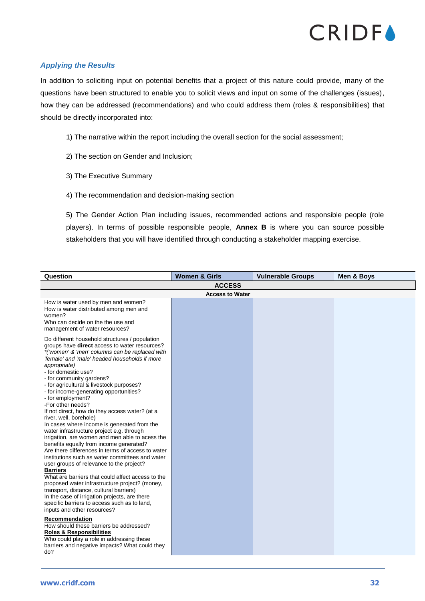

### *Applying the Results*

In addition to soliciting input on potential benefits that a project of this nature could provide, many of the questions have been structured to enable you to solicit views and input on some of the challenges (issues), how they can be addressed (recommendations) and who could address them (roles & responsibilities) that should be directly incorporated into:

- 1) The narrative within the report including the overall section for the social assessment;
- 2) The section on Gender and Inclusion;
- 3) The Executive Summary
- 4) The recommendation and decision-making section

5) The Gender Action Plan including issues, recommended actions and responsible people (role players). In terms of possible responsible people, **Annex B** is where you can source possible stakeholders that you will have identified through conducting a stakeholder mapping exercise.

| Question                                                                                                                                                                                                                                                                                                                                                                                                                                                                                                                                                                                                                                                                                                                                                                                                                                                                                                                                                                                                                                                                                                                                                                                                                                                                                                                                              | <b>Women &amp; Girls</b> | <b>Vulnerable Groups</b> | Men & Boys |
|-------------------------------------------------------------------------------------------------------------------------------------------------------------------------------------------------------------------------------------------------------------------------------------------------------------------------------------------------------------------------------------------------------------------------------------------------------------------------------------------------------------------------------------------------------------------------------------------------------------------------------------------------------------------------------------------------------------------------------------------------------------------------------------------------------------------------------------------------------------------------------------------------------------------------------------------------------------------------------------------------------------------------------------------------------------------------------------------------------------------------------------------------------------------------------------------------------------------------------------------------------------------------------------------------------------------------------------------------------|--------------------------|--------------------------|------------|
|                                                                                                                                                                                                                                                                                                                                                                                                                                                                                                                                                                                                                                                                                                                                                                                                                                                                                                                                                                                                                                                                                                                                                                                                                                                                                                                                                       | <b>ACCESS</b>            |                          |            |
|                                                                                                                                                                                                                                                                                                                                                                                                                                                                                                                                                                                                                                                                                                                                                                                                                                                                                                                                                                                                                                                                                                                                                                                                                                                                                                                                                       | <b>Access to Water</b>   |                          |            |
| How is water used by men and women?<br>How is water distributed among men and<br>women?<br>Who can decide on the the use and<br>management of water resources?                                                                                                                                                                                                                                                                                                                                                                                                                                                                                                                                                                                                                                                                                                                                                                                                                                                                                                                                                                                                                                                                                                                                                                                        |                          |                          |            |
| Do different household structures / population<br>groups have <b>direct</b> access to water resources?<br>*('women' & 'men' columns can be replaced with<br>'female' and 'male' headed households if more<br>appropriate)<br>- for domestic use?<br>- for community gardens?<br>- for agricultural & livestock purposes?<br>- for income-generating opportunities?<br>- for employment?<br>-For other needs?<br>If not direct, how do they access water? (at a<br>river, well, borehole)<br>In cases where income is generated from the<br>water infrastructure project e.g. through<br>irrigation, are women and men able to acess the<br>benefits equally from income generated?<br>Are there differences in terms of access to water<br>institutions such as water committees and water<br>user groups of relevance to the project?<br><b>Barriers</b><br>What are barriers that could affect access to the<br>proposed water infrastructure project? (money,<br>transport, distance, cultural barriers)<br>In the case of irrigation projects, are there<br>specific barriers to access such as to land,<br>inputs and other resources?<br>Recommendation<br>How should these barriers be addressed?<br><b>Roles &amp; Responsibilities</b><br>Who could play a role in addressing these<br>barriers and negative impacts? What could they<br>do? |                          |                          |            |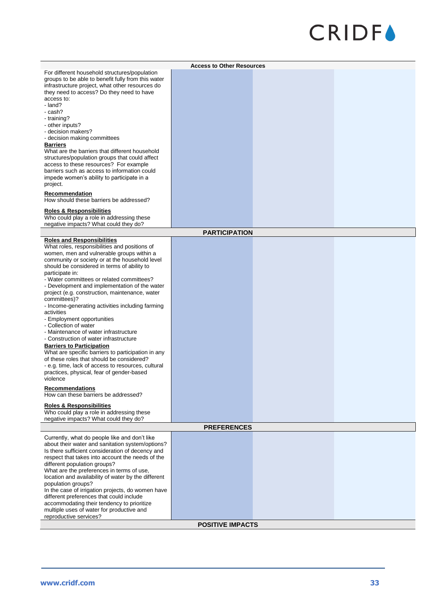| <b>Access to Other Resources</b><br>For different household structures/population<br>groups to be able to benefit fully from this water<br>infrastructure project, what other resources do<br>they need to access? Do they need to have<br>access to:<br>- land?<br>- cash?<br>- training?<br>- other inputs?<br>- decision makers?<br>- decision making committees<br><b>Barriers</b><br>What are the barriers that different household<br>structures/population groups that could affect<br>access to these resources? For example<br>barriers such as access to information could<br>impede women's ability to participate in a<br>project.<br><b>Recommendation</b><br>How should these barriers be addressed?<br><b>Roles &amp; Responsibilities</b><br>Who could play a role in addressing these<br>negative impacts? What could they do?<br><b>PARTICIPATION</b><br><b>Roles and Responsibilities</b><br>What roles, responsibilities and positions of<br>women, men and vulnerable groups within a<br>community or society or at the household level<br>should be considered in terms of ability to<br>participate in:<br>- Water committees or related committees?<br>- Development and implementation of the water<br>project (e.g. construction, maintenance, water<br>committees)?<br>- Income-generating activities including farming<br>activities<br>- Employment opportunities<br>- Collection of water<br>- Maintenance of water infrastructure<br>- Construction of water infrastructure<br><b>Barriers to Participation</b><br>What are specific barriers to participation in any<br>of these roles that should be considered?<br>- e.g. time, lack of access to resources, cultural<br>practices, physical, fear of gender-based<br>violence<br><b>Recommendations</b><br>How can these barriers be addressed?<br><b>Roles &amp; Responsibilities</b><br>Who could play a role in addressing these<br>negative impacts? What could they do?<br><b>PREFERENCES</b><br>Currently, what do people like and don't like<br>about their water and sanitation system/options?<br>Is there sufficient consideration of decency and<br>respect that takes into account the needs of the<br>different population groups?<br>What are the preferences in terms of use,<br>location and availability of water by the different<br>population groups?<br>In the case of irrigation projects, do women have<br>different preferences that could include<br>accommodating their tendency to prioritize<br>multiple uses of water for productive and<br>reproductive services?<br><b>POSITIVE IMPACTS</b> |  |  |  |  |
|---------------------------------------------------------------------------------------------------------------------------------------------------------------------------------------------------------------------------------------------------------------------------------------------------------------------------------------------------------------------------------------------------------------------------------------------------------------------------------------------------------------------------------------------------------------------------------------------------------------------------------------------------------------------------------------------------------------------------------------------------------------------------------------------------------------------------------------------------------------------------------------------------------------------------------------------------------------------------------------------------------------------------------------------------------------------------------------------------------------------------------------------------------------------------------------------------------------------------------------------------------------------------------------------------------------------------------------------------------------------------------------------------------------------------------------------------------------------------------------------------------------------------------------------------------------------------------------------------------------------------------------------------------------------------------------------------------------------------------------------------------------------------------------------------------------------------------------------------------------------------------------------------------------------------------------------------------------------------------------------------------------------------------------------------------------------------------------------------------------------------------------------------------------------------------------------------------------------------------------------------------------------------------------------------------------------------------------------------------------------------------------------------------------------------------------------------------------------------------------------------------------------------------------------------------------------------------------------------------------|--|--|--|--|
|                                                                                                                                                                                                                                                                                                                                                                                                                                                                                                                                                                                                                                                                                                                                                                                                                                                                                                                                                                                                                                                                                                                                                                                                                                                                                                                                                                                                                                                                                                                                                                                                                                                                                                                                                                                                                                                                                                                                                                                                                                                                                                                                                                                                                                                                                                                                                                                                                                                                                                                                                                                                               |  |  |  |  |
|                                                                                                                                                                                                                                                                                                                                                                                                                                                                                                                                                                                                                                                                                                                                                                                                                                                                                                                                                                                                                                                                                                                                                                                                                                                                                                                                                                                                                                                                                                                                                                                                                                                                                                                                                                                                                                                                                                                                                                                                                                                                                                                                                                                                                                                                                                                                                                                                                                                                                                                                                                                                               |  |  |  |  |
|                                                                                                                                                                                                                                                                                                                                                                                                                                                                                                                                                                                                                                                                                                                                                                                                                                                                                                                                                                                                                                                                                                                                                                                                                                                                                                                                                                                                                                                                                                                                                                                                                                                                                                                                                                                                                                                                                                                                                                                                                                                                                                                                                                                                                                                                                                                                                                                                                                                                                                                                                                                                               |  |  |  |  |
|                                                                                                                                                                                                                                                                                                                                                                                                                                                                                                                                                                                                                                                                                                                                                                                                                                                                                                                                                                                                                                                                                                                                                                                                                                                                                                                                                                                                                                                                                                                                                                                                                                                                                                                                                                                                                                                                                                                                                                                                                                                                                                                                                                                                                                                                                                                                                                                                                                                                                                                                                                                                               |  |  |  |  |
|                                                                                                                                                                                                                                                                                                                                                                                                                                                                                                                                                                                                                                                                                                                                                                                                                                                                                                                                                                                                                                                                                                                                                                                                                                                                                                                                                                                                                                                                                                                                                                                                                                                                                                                                                                                                                                                                                                                                                                                                                                                                                                                                                                                                                                                                                                                                                                                                                                                                                                                                                                                                               |  |  |  |  |
|                                                                                                                                                                                                                                                                                                                                                                                                                                                                                                                                                                                                                                                                                                                                                                                                                                                                                                                                                                                                                                                                                                                                                                                                                                                                                                                                                                                                                                                                                                                                                                                                                                                                                                                                                                                                                                                                                                                                                                                                                                                                                                                                                                                                                                                                                                                                                                                                                                                                                                                                                                                                               |  |  |  |  |
|                                                                                                                                                                                                                                                                                                                                                                                                                                                                                                                                                                                                                                                                                                                                                                                                                                                                                                                                                                                                                                                                                                                                                                                                                                                                                                                                                                                                                                                                                                                                                                                                                                                                                                                                                                                                                                                                                                                                                                                                                                                                                                                                                                                                                                                                                                                                                                                                                                                                                                                                                                                                               |  |  |  |  |
|                                                                                                                                                                                                                                                                                                                                                                                                                                                                                                                                                                                                                                                                                                                                                                                                                                                                                                                                                                                                                                                                                                                                                                                                                                                                                                                                                                                                                                                                                                                                                                                                                                                                                                                                                                                                                                                                                                                                                                                                                                                                                                                                                                                                                                                                                                                                                                                                                                                                                                                                                                                                               |  |  |  |  |
|                                                                                                                                                                                                                                                                                                                                                                                                                                                                                                                                                                                                                                                                                                                                                                                                                                                                                                                                                                                                                                                                                                                                                                                                                                                                                                                                                                                                                                                                                                                                                                                                                                                                                                                                                                                                                                                                                                                                                                                                                                                                                                                                                                                                                                                                                                                                                                                                                                                                                                                                                                                                               |  |  |  |  |
|                                                                                                                                                                                                                                                                                                                                                                                                                                                                                                                                                                                                                                                                                                                                                                                                                                                                                                                                                                                                                                                                                                                                                                                                                                                                                                                                                                                                                                                                                                                                                                                                                                                                                                                                                                                                                                                                                                                                                                                                                                                                                                                                                                                                                                                                                                                                                                                                                                                                                                                                                                                                               |  |  |  |  |
|                                                                                                                                                                                                                                                                                                                                                                                                                                                                                                                                                                                                                                                                                                                                                                                                                                                                                                                                                                                                                                                                                                                                                                                                                                                                                                                                                                                                                                                                                                                                                                                                                                                                                                                                                                                                                                                                                                                                                                                                                                                                                                                                                                                                                                                                                                                                                                                                                                                                                                                                                                                                               |  |  |  |  |
|                                                                                                                                                                                                                                                                                                                                                                                                                                                                                                                                                                                                                                                                                                                                                                                                                                                                                                                                                                                                                                                                                                                                                                                                                                                                                                                                                                                                                                                                                                                                                                                                                                                                                                                                                                                                                                                                                                                                                                                                                                                                                                                                                                                                                                                                                                                                                                                                                                                                                                                                                                                                               |  |  |  |  |
|                                                                                                                                                                                                                                                                                                                                                                                                                                                                                                                                                                                                                                                                                                                                                                                                                                                                                                                                                                                                                                                                                                                                                                                                                                                                                                                                                                                                                                                                                                                                                                                                                                                                                                                                                                                                                                                                                                                                                                                                                                                                                                                                                                                                                                                                                                                                                                                                                                                                                                                                                                                                               |  |  |  |  |
|                                                                                                                                                                                                                                                                                                                                                                                                                                                                                                                                                                                                                                                                                                                                                                                                                                                                                                                                                                                                                                                                                                                                                                                                                                                                                                                                                                                                                                                                                                                                                                                                                                                                                                                                                                                                                                                                                                                                                                                                                                                                                                                                                                                                                                                                                                                                                                                                                                                                                                                                                                                                               |  |  |  |  |
|                                                                                                                                                                                                                                                                                                                                                                                                                                                                                                                                                                                                                                                                                                                                                                                                                                                                                                                                                                                                                                                                                                                                                                                                                                                                                                                                                                                                                                                                                                                                                                                                                                                                                                                                                                                                                                                                                                                                                                                                                                                                                                                                                                                                                                                                                                                                                                                                                                                                                                                                                                                                               |  |  |  |  |
|                                                                                                                                                                                                                                                                                                                                                                                                                                                                                                                                                                                                                                                                                                                                                                                                                                                                                                                                                                                                                                                                                                                                                                                                                                                                                                                                                                                                                                                                                                                                                                                                                                                                                                                                                                                                                                                                                                                                                                                                                                                                                                                                                                                                                                                                                                                                                                                                                                                                                                                                                                                                               |  |  |  |  |
|                                                                                                                                                                                                                                                                                                                                                                                                                                                                                                                                                                                                                                                                                                                                                                                                                                                                                                                                                                                                                                                                                                                                                                                                                                                                                                                                                                                                                                                                                                                                                                                                                                                                                                                                                                                                                                                                                                                                                                                                                                                                                                                                                                                                                                                                                                                                                                                                                                                                                                                                                                                                               |  |  |  |  |
|                                                                                                                                                                                                                                                                                                                                                                                                                                                                                                                                                                                                                                                                                                                                                                                                                                                                                                                                                                                                                                                                                                                                                                                                                                                                                                                                                                                                                                                                                                                                                                                                                                                                                                                                                                                                                                                                                                                                                                                                                                                                                                                                                                                                                                                                                                                                                                                                                                                                                                                                                                                                               |  |  |  |  |
|                                                                                                                                                                                                                                                                                                                                                                                                                                                                                                                                                                                                                                                                                                                                                                                                                                                                                                                                                                                                                                                                                                                                                                                                                                                                                                                                                                                                                                                                                                                                                                                                                                                                                                                                                                                                                                                                                                                                                                                                                                                                                                                                                                                                                                                                                                                                                                                                                                                                                                                                                                                                               |  |  |  |  |
|                                                                                                                                                                                                                                                                                                                                                                                                                                                                                                                                                                                                                                                                                                                                                                                                                                                                                                                                                                                                                                                                                                                                                                                                                                                                                                                                                                                                                                                                                                                                                                                                                                                                                                                                                                                                                                                                                                                                                                                                                                                                                                                                                                                                                                                                                                                                                                                                                                                                                                                                                                                                               |  |  |  |  |
|                                                                                                                                                                                                                                                                                                                                                                                                                                                                                                                                                                                                                                                                                                                                                                                                                                                                                                                                                                                                                                                                                                                                                                                                                                                                                                                                                                                                                                                                                                                                                                                                                                                                                                                                                                                                                                                                                                                                                                                                                                                                                                                                                                                                                                                                                                                                                                                                                                                                                                                                                                                                               |  |  |  |  |
|                                                                                                                                                                                                                                                                                                                                                                                                                                                                                                                                                                                                                                                                                                                                                                                                                                                                                                                                                                                                                                                                                                                                                                                                                                                                                                                                                                                                                                                                                                                                                                                                                                                                                                                                                                                                                                                                                                                                                                                                                                                                                                                                                                                                                                                                                                                                                                                                                                                                                                                                                                                                               |  |  |  |  |
|                                                                                                                                                                                                                                                                                                                                                                                                                                                                                                                                                                                                                                                                                                                                                                                                                                                                                                                                                                                                                                                                                                                                                                                                                                                                                                                                                                                                                                                                                                                                                                                                                                                                                                                                                                                                                                                                                                                                                                                                                                                                                                                                                                                                                                                                                                                                                                                                                                                                                                                                                                                                               |  |  |  |  |
|                                                                                                                                                                                                                                                                                                                                                                                                                                                                                                                                                                                                                                                                                                                                                                                                                                                                                                                                                                                                                                                                                                                                                                                                                                                                                                                                                                                                                                                                                                                                                                                                                                                                                                                                                                                                                                                                                                                                                                                                                                                                                                                                                                                                                                                                                                                                                                                                                                                                                                                                                                                                               |  |  |  |  |
|                                                                                                                                                                                                                                                                                                                                                                                                                                                                                                                                                                                                                                                                                                                                                                                                                                                                                                                                                                                                                                                                                                                                                                                                                                                                                                                                                                                                                                                                                                                                                                                                                                                                                                                                                                                                                                                                                                                                                                                                                                                                                                                                                                                                                                                                                                                                                                                                                                                                                                                                                                                                               |  |  |  |  |
|                                                                                                                                                                                                                                                                                                                                                                                                                                                                                                                                                                                                                                                                                                                                                                                                                                                                                                                                                                                                                                                                                                                                                                                                                                                                                                                                                                                                                                                                                                                                                                                                                                                                                                                                                                                                                                                                                                                                                                                                                                                                                                                                                                                                                                                                                                                                                                                                                                                                                                                                                                                                               |  |  |  |  |
|                                                                                                                                                                                                                                                                                                                                                                                                                                                                                                                                                                                                                                                                                                                                                                                                                                                                                                                                                                                                                                                                                                                                                                                                                                                                                                                                                                                                                                                                                                                                                                                                                                                                                                                                                                                                                                                                                                                                                                                                                                                                                                                                                                                                                                                                                                                                                                                                                                                                                                                                                                                                               |  |  |  |  |
|                                                                                                                                                                                                                                                                                                                                                                                                                                                                                                                                                                                                                                                                                                                                                                                                                                                                                                                                                                                                                                                                                                                                                                                                                                                                                                                                                                                                                                                                                                                                                                                                                                                                                                                                                                                                                                                                                                                                                                                                                                                                                                                                                                                                                                                                                                                                                                                                                                                                                                                                                                                                               |  |  |  |  |
|                                                                                                                                                                                                                                                                                                                                                                                                                                                                                                                                                                                                                                                                                                                                                                                                                                                                                                                                                                                                                                                                                                                                                                                                                                                                                                                                                                                                                                                                                                                                                                                                                                                                                                                                                                                                                                                                                                                                                                                                                                                                                                                                                                                                                                                                                                                                                                                                                                                                                                                                                                                                               |  |  |  |  |
|                                                                                                                                                                                                                                                                                                                                                                                                                                                                                                                                                                                                                                                                                                                                                                                                                                                                                                                                                                                                                                                                                                                                                                                                                                                                                                                                                                                                                                                                                                                                                                                                                                                                                                                                                                                                                                                                                                                                                                                                                                                                                                                                                                                                                                                                                                                                                                                                                                                                                                                                                                                                               |  |  |  |  |
|                                                                                                                                                                                                                                                                                                                                                                                                                                                                                                                                                                                                                                                                                                                                                                                                                                                                                                                                                                                                                                                                                                                                                                                                                                                                                                                                                                                                                                                                                                                                                                                                                                                                                                                                                                                                                                                                                                                                                                                                                                                                                                                                                                                                                                                                                                                                                                                                                                                                                                                                                                                                               |  |  |  |  |
|                                                                                                                                                                                                                                                                                                                                                                                                                                                                                                                                                                                                                                                                                                                                                                                                                                                                                                                                                                                                                                                                                                                                                                                                                                                                                                                                                                                                                                                                                                                                                                                                                                                                                                                                                                                                                                                                                                                                                                                                                                                                                                                                                                                                                                                                                                                                                                                                                                                                                                                                                                                                               |  |  |  |  |
|                                                                                                                                                                                                                                                                                                                                                                                                                                                                                                                                                                                                                                                                                                                                                                                                                                                                                                                                                                                                                                                                                                                                                                                                                                                                                                                                                                                                                                                                                                                                                                                                                                                                                                                                                                                                                                                                                                                                                                                                                                                                                                                                                                                                                                                                                                                                                                                                                                                                                                                                                                                                               |  |  |  |  |
|                                                                                                                                                                                                                                                                                                                                                                                                                                                                                                                                                                                                                                                                                                                                                                                                                                                                                                                                                                                                                                                                                                                                                                                                                                                                                                                                                                                                                                                                                                                                                                                                                                                                                                                                                                                                                                                                                                                                                                                                                                                                                                                                                                                                                                                                                                                                                                                                                                                                                                                                                                                                               |  |  |  |  |
|                                                                                                                                                                                                                                                                                                                                                                                                                                                                                                                                                                                                                                                                                                                                                                                                                                                                                                                                                                                                                                                                                                                                                                                                                                                                                                                                                                                                                                                                                                                                                                                                                                                                                                                                                                                                                                                                                                                                                                                                                                                                                                                                                                                                                                                                                                                                                                                                                                                                                                                                                                                                               |  |  |  |  |
|                                                                                                                                                                                                                                                                                                                                                                                                                                                                                                                                                                                                                                                                                                                                                                                                                                                                                                                                                                                                                                                                                                                                                                                                                                                                                                                                                                                                                                                                                                                                                                                                                                                                                                                                                                                                                                                                                                                                                                                                                                                                                                                                                                                                                                                                                                                                                                                                                                                                                                                                                                                                               |  |  |  |  |
|                                                                                                                                                                                                                                                                                                                                                                                                                                                                                                                                                                                                                                                                                                                                                                                                                                                                                                                                                                                                                                                                                                                                                                                                                                                                                                                                                                                                                                                                                                                                                                                                                                                                                                                                                                                                                                                                                                                                                                                                                                                                                                                                                                                                                                                                                                                                                                                                                                                                                                                                                                                                               |  |  |  |  |
|                                                                                                                                                                                                                                                                                                                                                                                                                                                                                                                                                                                                                                                                                                                                                                                                                                                                                                                                                                                                                                                                                                                                                                                                                                                                                                                                                                                                                                                                                                                                                                                                                                                                                                                                                                                                                                                                                                                                                                                                                                                                                                                                                                                                                                                                                                                                                                                                                                                                                                                                                                                                               |  |  |  |  |
|                                                                                                                                                                                                                                                                                                                                                                                                                                                                                                                                                                                                                                                                                                                                                                                                                                                                                                                                                                                                                                                                                                                                                                                                                                                                                                                                                                                                                                                                                                                                                                                                                                                                                                                                                                                                                                                                                                                                                                                                                                                                                                                                                                                                                                                                                                                                                                                                                                                                                                                                                                                                               |  |  |  |  |
|                                                                                                                                                                                                                                                                                                                                                                                                                                                                                                                                                                                                                                                                                                                                                                                                                                                                                                                                                                                                                                                                                                                                                                                                                                                                                                                                                                                                                                                                                                                                                                                                                                                                                                                                                                                                                                                                                                                                                                                                                                                                                                                                                                                                                                                                                                                                                                                                                                                                                                                                                                                                               |  |  |  |  |
|                                                                                                                                                                                                                                                                                                                                                                                                                                                                                                                                                                                                                                                                                                                                                                                                                                                                                                                                                                                                                                                                                                                                                                                                                                                                                                                                                                                                                                                                                                                                                                                                                                                                                                                                                                                                                                                                                                                                                                                                                                                                                                                                                                                                                                                                                                                                                                                                                                                                                                                                                                                                               |  |  |  |  |
|                                                                                                                                                                                                                                                                                                                                                                                                                                                                                                                                                                                                                                                                                                                                                                                                                                                                                                                                                                                                                                                                                                                                                                                                                                                                                                                                                                                                                                                                                                                                                                                                                                                                                                                                                                                                                                                                                                                                                                                                                                                                                                                                                                                                                                                                                                                                                                                                                                                                                                                                                                                                               |  |  |  |  |
|                                                                                                                                                                                                                                                                                                                                                                                                                                                                                                                                                                                                                                                                                                                                                                                                                                                                                                                                                                                                                                                                                                                                                                                                                                                                                                                                                                                                                                                                                                                                                                                                                                                                                                                                                                                                                                                                                                                                                                                                                                                                                                                                                                                                                                                                                                                                                                                                                                                                                                                                                                                                               |  |  |  |  |
|                                                                                                                                                                                                                                                                                                                                                                                                                                                                                                                                                                                                                                                                                                                                                                                                                                                                                                                                                                                                                                                                                                                                                                                                                                                                                                                                                                                                                                                                                                                                                                                                                                                                                                                                                                                                                                                                                                                                                                                                                                                                                                                                                                                                                                                                                                                                                                                                                                                                                                                                                                                                               |  |  |  |  |
|                                                                                                                                                                                                                                                                                                                                                                                                                                                                                                                                                                                                                                                                                                                                                                                                                                                                                                                                                                                                                                                                                                                                                                                                                                                                                                                                                                                                                                                                                                                                                                                                                                                                                                                                                                                                                                                                                                                                                                                                                                                                                                                                                                                                                                                                                                                                                                                                                                                                                                                                                                                                               |  |  |  |  |
|                                                                                                                                                                                                                                                                                                                                                                                                                                                                                                                                                                                                                                                                                                                                                                                                                                                                                                                                                                                                                                                                                                                                                                                                                                                                                                                                                                                                                                                                                                                                                                                                                                                                                                                                                                                                                                                                                                                                                                                                                                                                                                                                                                                                                                                                                                                                                                                                                                                                                                                                                                                                               |  |  |  |  |
|                                                                                                                                                                                                                                                                                                                                                                                                                                                                                                                                                                                                                                                                                                                                                                                                                                                                                                                                                                                                                                                                                                                                                                                                                                                                                                                                                                                                                                                                                                                                                                                                                                                                                                                                                                                                                                                                                                                                                                                                                                                                                                                                                                                                                                                                                                                                                                                                                                                                                                                                                                                                               |  |  |  |  |
|                                                                                                                                                                                                                                                                                                                                                                                                                                                                                                                                                                                                                                                                                                                                                                                                                                                                                                                                                                                                                                                                                                                                                                                                                                                                                                                                                                                                                                                                                                                                                                                                                                                                                                                                                                                                                                                                                                                                                                                                                                                                                                                                                                                                                                                                                                                                                                                                                                                                                                                                                                                                               |  |  |  |  |
|                                                                                                                                                                                                                                                                                                                                                                                                                                                                                                                                                                                                                                                                                                                                                                                                                                                                                                                                                                                                                                                                                                                                                                                                                                                                                                                                                                                                                                                                                                                                                                                                                                                                                                                                                                                                                                                                                                                                                                                                                                                                                                                                                                                                                                                                                                                                                                                                                                                                                                                                                                                                               |  |  |  |  |
|                                                                                                                                                                                                                                                                                                                                                                                                                                                                                                                                                                                                                                                                                                                                                                                                                                                                                                                                                                                                                                                                                                                                                                                                                                                                                                                                                                                                                                                                                                                                                                                                                                                                                                                                                                                                                                                                                                                                                                                                                                                                                                                                                                                                                                                                                                                                                                                                                                                                                                                                                                                                               |  |  |  |  |
|                                                                                                                                                                                                                                                                                                                                                                                                                                                                                                                                                                                                                                                                                                                                                                                                                                                                                                                                                                                                                                                                                                                                                                                                                                                                                                                                                                                                                                                                                                                                                                                                                                                                                                                                                                                                                                                                                                                                                                                                                                                                                                                                                                                                                                                                                                                                                                                                                                                                                                                                                                                                               |  |  |  |  |
|                                                                                                                                                                                                                                                                                                                                                                                                                                                                                                                                                                                                                                                                                                                                                                                                                                                                                                                                                                                                                                                                                                                                                                                                                                                                                                                                                                                                                                                                                                                                                                                                                                                                                                                                                                                                                                                                                                                                                                                                                                                                                                                                                                                                                                                                                                                                                                                                                                                                                                                                                                                                               |  |  |  |  |
|                                                                                                                                                                                                                                                                                                                                                                                                                                                                                                                                                                                                                                                                                                                                                                                                                                                                                                                                                                                                                                                                                                                                                                                                                                                                                                                                                                                                                                                                                                                                                                                                                                                                                                                                                                                                                                                                                                                                                                                                                                                                                                                                                                                                                                                                                                                                                                                                                                                                                                                                                                                                               |  |  |  |  |
|                                                                                                                                                                                                                                                                                                                                                                                                                                                                                                                                                                                                                                                                                                                                                                                                                                                                                                                                                                                                                                                                                                                                                                                                                                                                                                                                                                                                                                                                                                                                                                                                                                                                                                                                                                                                                                                                                                                                                                                                                                                                                                                                                                                                                                                                                                                                                                                                                                                                                                                                                                                                               |  |  |  |  |
|                                                                                                                                                                                                                                                                                                                                                                                                                                                                                                                                                                                                                                                                                                                                                                                                                                                                                                                                                                                                                                                                                                                                                                                                                                                                                                                                                                                                                                                                                                                                                                                                                                                                                                                                                                                                                                                                                                                                                                                                                                                                                                                                                                                                                                                                                                                                                                                                                                                                                                                                                                                                               |  |  |  |  |
|                                                                                                                                                                                                                                                                                                                                                                                                                                                                                                                                                                                                                                                                                                                                                                                                                                                                                                                                                                                                                                                                                                                                                                                                                                                                                                                                                                                                                                                                                                                                                                                                                                                                                                                                                                                                                                                                                                                                                                                                                                                                                                                                                                                                                                                                                                                                                                                                                                                                                                                                                                                                               |  |  |  |  |
|                                                                                                                                                                                                                                                                                                                                                                                                                                                                                                                                                                                                                                                                                                                                                                                                                                                                                                                                                                                                                                                                                                                                                                                                                                                                                                                                                                                                                                                                                                                                                                                                                                                                                                                                                                                                                                                                                                                                                                                                                                                                                                                                                                                                                                                                                                                                                                                                                                                                                                                                                                                                               |  |  |  |  |
|                                                                                                                                                                                                                                                                                                                                                                                                                                                                                                                                                                                                                                                                                                                                                                                                                                                                                                                                                                                                                                                                                                                                                                                                                                                                                                                                                                                                                                                                                                                                                                                                                                                                                                                                                                                                                                                                                                                                                                                                                                                                                                                                                                                                                                                                                                                                                                                                                                                                                                                                                                                                               |  |  |  |  |
|                                                                                                                                                                                                                                                                                                                                                                                                                                                                                                                                                                                                                                                                                                                                                                                                                                                                                                                                                                                                                                                                                                                                                                                                                                                                                                                                                                                                                                                                                                                                                                                                                                                                                                                                                                                                                                                                                                                                                                                                                                                                                                                                                                                                                                                                                                                                                                                                                                                                                                                                                                                                               |  |  |  |  |
|                                                                                                                                                                                                                                                                                                                                                                                                                                                                                                                                                                                                                                                                                                                                                                                                                                                                                                                                                                                                                                                                                                                                                                                                                                                                                                                                                                                                                                                                                                                                                                                                                                                                                                                                                                                                                                                                                                                                                                                                                                                                                                                                                                                                                                                                                                                                                                                                                                                                                                                                                                                                               |  |  |  |  |
|                                                                                                                                                                                                                                                                                                                                                                                                                                                                                                                                                                                                                                                                                                                                                                                                                                                                                                                                                                                                                                                                                                                                                                                                                                                                                                                                                                                                                                                                                                                                                                                                                                                                                                                                                                                                                                                                                                                                                                                                                                                                                                                                                                                                                                                                                                                                                                                                                                                                                                                                                                                                               |  |  |  |  |
|                                                                                                                                                                                                                                                                                                                                                                                                                                                                                                                                                                                                                                                                                                                                                                                                                                                                                                                                                                                                                                                                                                                                                                                                                                                                                                                                                                                                                                                                                                                                                                                                                                                                                                                                                                                                                                                                                                                                                                                                                                                                                                                                                                                                                                                                                                                                                                                                                                                                                                                                                                                                               |  |  |  |  |
|                                                                                                                                                                                                                                                                                                                                                                                                                                                                                                                                                                                                                                                                                                                                                                                                                                                                                                                                                                                                                                                                                                                                                                                                                                                                                                                                                                                                                                                                                                                                                                                                                                                                                                                                                                                                                                                                                                                                                                                                                                                                                                                                                                                                                                                                                                                                                                                                                                                                                                                                                                                                               |  |  |  |  |
|                                                                                                                                                                                                                                                                                                                                                                                                                                                                                                                                                                                                                                                                                                                                                                                                                                                                                                                                                                                                                                                                                                                                                                                                                                                                                                                                                                                                                                                                                                                                                                                                                                                                                                                                                                                                                                                                                                                                                                                                                                                                                                                                                                                                                                                                                                                                                                                                                                                                                                                                                                                                               |  |  |  |  |
|                                                                                                                                                                                                                                                                                                                                                                                                                                                                                                                                                                                                                                                                                                                                                                                                                                                                                                                                                                                                                                                                                                                                                                                                                                                                                                                                                                                                                                                                                                                                                                                                                                                                                                                                                                                                                                                                                                                                                                                                                                                                                                                                                                                                                                                                                                                                                                                                                                                                                                                                                                                                               |  |  |  |  |
|                                                                                                                                                                                                                                                                                                                                                                                                                                                                                                                                                                                                                                                                                                                                                                                                                                                                                                                                                                                                                                                                                                                                                                                                                                                                                                                                                                                                                                                                                                                                                                                                                                                                                                                                                                                                                                                                                                                                                                                                                                                                                                                                                                                                                                                                                                                                                                                                                                                                                                                                                                                                               |  |  |  |  |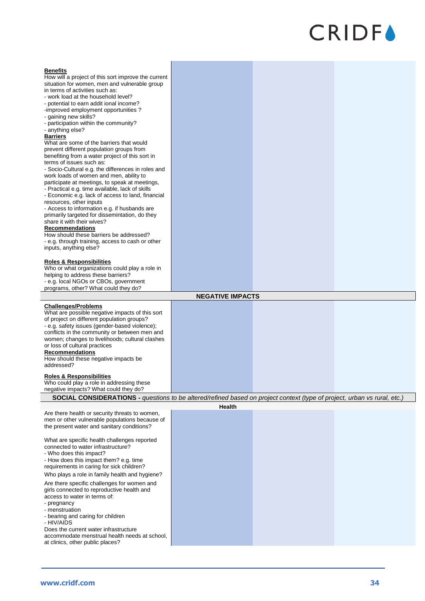| <b>Benefits</b><br>How will a project of this sort improve the current<br>situation for women, men and vulnerable group<br>in terms of activities such as:<br>- work load at the household level?<br>- potential to earn addit ional income?<br>-improved employment opportunities?<br>- gaining new skills?<br>- participation within the community?<br>- anything else?<br><b>Barriers</b><br>What are some of the barriers that would<br>prevent different population groups from<br>benefiting from a water project of this sort in<br>terms of issues such as:<br>- Socio-Cultural e.g. the differences in roles and<br>work loads of women and men, ability to<br>participate at meetings, to speak at meetings,<br>- Practical e.g. time available, lack of skills<br>- Economic e.g. lack of access to land, financial<br>resources, other inputs<br>- Access to information e.g. if husbands are<br>primarily targeted for dissemintation, do they<br>share it with their wives?<br><b>Recommendations</b><br>How should these barriers be addressed?<br>- e.g. through training, access to cash or other<br>inputs, anything else?<br><b>Roles &amp; Responsibilities</b> |                         |  |
|-------------------------------------------------------------------------------------------------------------------------------------------------------------------------------------------------------------------------------------------------------------------------------------------------------------------------------------------------------------------------------------------------------------------------------------------------------------------------------------------------------------------------------------------------------------------------------------------------------------------------------------------------------------------------------------------------------------------------------------------------------------------------------------------------------------------------------------------------------------------------------------------------------------------------------------------------------------------------------------------------------------------------------------------------------------------------------------------------------------------------------------------------------------------------------------|-------------------------|--|
| Who or what organizations could play a role in                                                                                                                                                                                                                                                                                                                                                                                                                                                                                                                                                                                                                                                                                                                                                                                                                                                                                                                                                                                                                                                                                                                                      |                         |  |
| helping to address these barriers?<br>- e.g. local NGOs or CBOs, government<br>programs, other? What could they do?                                                                                                                                                                                                                                                                                                                                                                                                                                                                                                                                                                                                                                                                                                                                                                                                                                                                                                                                                                                                                                                                 |                         |  |
|                                                                                                                                                                                                                                                                                                                                                                                                                                                                                                                                                                                                                                                                                                                                                                                                                                                                                                                                                                                                                                                                                                                                                                                     | <b>NEGATIVE IMPACTS</b> |  |
| <b>Challenges/Problems</b>                                                                                                                                                                                                                                                                                                                                                                                                                                                                                                                                                                                                                                                                                                                                                                                                                                                                                                                                                                                                                                                                                                                                                          |                         |  |
| What are possible negative impacts of this sort<br>of project on different population groups?<br>- e.g. safety issues (gender-based violence);<br>conflicts in the community or between men and<br>women; changes to livelihoods; cultural clashes<br>or loss of cultural practices<br><b>Recommendations</b><br>How should these negative impacts be<br>addressed?                                                                                                                                                                                                                                                                                                                                                                                                                                                                                                                                                                                                                                                                                                                                                                                                                 |                         |  |
| <b>Roles &amp; Responsibilities</b>                                                                                                                                                                                                                                                                                                                                                                                                                                                                                                                                                                                                                                                                                                                                                                                                                                                                                                                                                                                                                                                                                                                                                 |                         |  |
| Who could play a role in addressing these<br>negative impacts? What could they do?                                                                                                                                                                                                                                                                                                                                                                                                                                                                                                                                                                                                                                                                                                                                                                                                                                                                                                                                                                                                                                                                                                  |                         |  |
| SOCIAL CONSIDERATIONS - questions to be altered/refined based on project context (type of project, urban vs rural, etc.)                                                                                                                                                                                                                                                                                                                                                                                                                                                                                                                                                                                                                                                                                                                                                                                                                                                                                                                                                                                                                                                            |                         |  |
|                                                                                                                                                                                                                                                                                                                                                                                                                                                                                                                                                                                                                                                                                                                                                                                                                                                                                                                                                                                                                                                                                                                                                                                     | Health                  |  |
| Are there health or security threats to women,<br>men or other vulnerable populations because of<br>the present water and sanitary conditions?                                                                                                                                                                                                                                                                                                                                                                                                                                                                                                                                                                                                                                                                                                                                                                                                                                                                                                                                                                                                                                      |                         |  |
| What are specific health challenges reported<br>connected to water infrastructure?<br>- Who does this impact?<br>- How does this impact them? e.g. time<br>requirements in caring for sick children?                                                                                                                                                                                                                                                                                                                                                                                                                                                                                                                                                                                                                                                                                                                                                                                                                                                                                                                                                                                |                         |  |
| Who plays a role in family health and hygiene?                                                                                                                                                                                                                                                                                                                                                                                                                                                                                                                                                                                                                                                                                                                                                                                                                                                                                                                                                                                                                                                                                                                                      |                         |  |
| Are there specific challenges for women and<br>girls connected to reproductive health and<br>access to water in terms of:<br>- pregnancy<br>- menstruation<br>- bearing and caring for children<br>- HIV/AIDS                                                                                                                                                                                                                                                                                                                                                                                                                                                                                                                                                                                                                                                                                                                                                                                                                                                                                                                                                                       |                         |  |
| Does the current water infrastructure<br>accommodate menstrual health needs at school,<br>at clinics, other public places?                                                                                                                                                                                                                                                                                                                                                                                                                                                                                                                                                                                                                                                                                                                                                                                                                                                                                                                                                                                                                                                          |                         |  |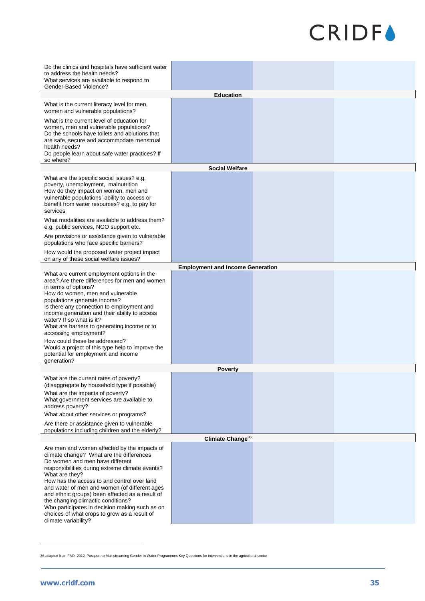| Do the clinics and hospitals have sufficient water<br>to address the health needs?<br>What services are available to respond to<br>Gender-Based Violence?                                                                                                                                                                                                                                                                                                                                                                             |                                         |  |
|---------------------------------------------------------------------------------------------------------------------------------------------------------------------------------------------------------------------------------------------------------------------------------------------------------------------------------------------------------------------------------------------------------------------------------------------------------------------------------------------------------------------------------------|-----------------------------------------|--|
|                                                                                                                                                                                                                                                                                                                                                                                                                                                                                                                                       | <b>Education</b>                        |  |
| What is the current literacy level for men,<br>women and vulnerable populations?<br>What is the current level of education for<br>women, men and vulnerable populations?<br>Do the schools have toilets and ablutions that<br>are safe, secure and accommodate menstrual<br>health needs?<br>Do people learn about safe water practices? If<br>so where?                                                                                                                                                                              |                                         |  |
|                                                                                                                                                                                                                                                                                                                                                                                                                                                                                                                                       | <b>Social Welfare</b>                   |  |
| What are the specific social issues? e.g.<br>poverty, unemployment, malnutrition<br>How do they impact on women, men and<br>vulnerable populations' ability to access or<br>benefit from water resources? e.g. to pay for<br>services<br>What modalities are available to address them?                                                                                                                                                                                                                                               |                                         |  |
| e.g. public services, NGO support etc.<br>Are provisions or assistance given to vulnerable<br>populations who face specific barriers?                                                                                                                                                                                                                                                                                                                                                                                                 |                                         |  |
| How would the proposed water project impact<br>on any of these social welfare issues?                                                                                                                                                                                                                                                                                                                                                                                                                                                 |                                         |  |
|                                                                                                                                                                                                                                                                                                                                                                                                                                                                                                                                       | <b>Employment and Income Generation</b> |  |
| What are current employment options in the<br>area? Are there differences for men and women<br>in terms of options?<br>How do women, men and vulnerable<br>populations generate income?<br>Is there any connection to employment and<br>income generation and their ability to access<br>water? If so what is it?<br>What are barriers to generating income or to<br>accessing employment?<br>How could these be addressed?<br>Would a project of this type help to improve the<br>potential for employment and income<br>qeneration? |                                         |  |
|                                                                                                                                                                                                                                                                                                                                                                                                                                                                                                                                       | <b>Poverty</b>                          |  |
| What are the current rates of poverty?<br>(disaggregate by household type if possible)<br>What are the impacts of poverty?<br>What government services are available to<br>address poverty?<br>What about other services or programs?<br>Are there or assistance given to vulnerable                                                                                                                                                                                                                                                  |                                         |  |
| populations including children and the elderly?                                                                                                                                                                                                                                                                                                                                                                                                                                                                                       |                                         |  |
|                                                                                                                                                                                                                                                                                                                                                                                                                                                                                                                                       | Climate Change <sup>36</sup>            |  |
| Are men and women affected by the impacts of<br>climate change? What are the differences<br>Do women and men have different<br>responsibilities during extreme climate events?<br>What are they?<br>How has the access to and control over land<br>and water of men and women (of different ages<br>and ethnic groups) been affected as a result of<br>the changing climactic conditions?<br>Who participates in decision making such as on<br>choices of what crops to grow as a result of<br>climate variability?                   |                                         |  |

<sup>36</sup> adapted from FAO. 2012. Passport to Mainstreaming Gender in Water Programmes Key Questions for interventions in the agricultural sector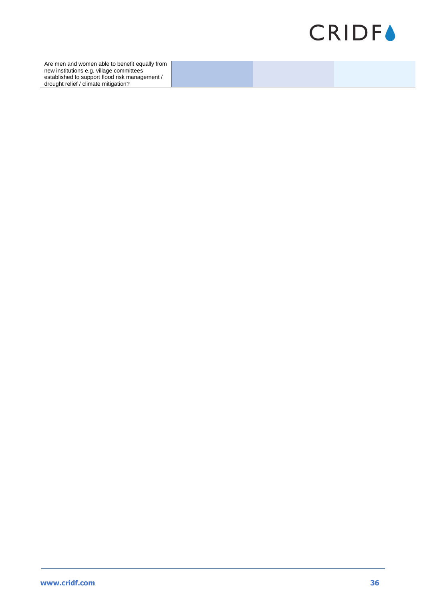

Are men and women able to benefit equally from new institutions e.g. village committees established to support flood risk management / drought relief / climate mitigation?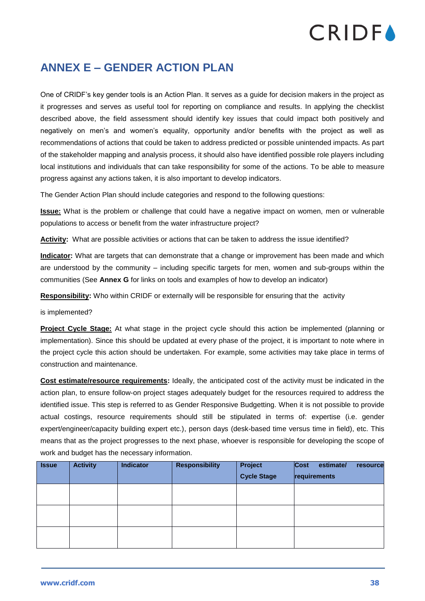### <span id="page-38-0"></span>**ANNEX E – GENDER ACTION PLAN**

One of CRIDF's key gender tools is an Action Plan. It serves as a guide for decision makers in the project as it progresses and serves as useful tool for reporting on compliance and results. In applying the checklist described above, the field assessment should identify key issues that could impact both positively and negatively on men's and women's equality, opportunity and/or benefits with the project as well as recommendations of actions that could be taken to address predicted or possible unintended impacts. As part of the stakeholder mapping and analysis process, it should also have identified possible role players including local institutions and individuals that can take responsibility for some of the actions. To be able to measure progress against any actions taken, it is also important to develop indicators.

The Gender Action Plan should include categories and respond to the following questions:

**Issue:** What is the problem or challenge that could have a negative impact on women, men or vulnerable populations to access or benefit from the water infrastructure project?

**Activity:** What are possible activities or actions that can be taken to address the issue identified?

**Indicator:** What are targets that can demonstrate that a change or improvement has been made and which are understood by the community – including specific targets for men, women and sub-groups within the communities (See **Annex G** for links on tools and examples of how to develop an indicator)

**Responsibility:** Who within CRIDF or externally will be responsible for ensuring that the activity

is implemented?

**Project Cycle Stage:** At what stage in the project cycle should this action be implemented (planning or implementation). Since this should be updated at every phase of the project, it is important to note where in the project cycle this action should be undertaken. For example, some activities may take place in terms of construction and maintenance.

**Cost estimate/resource requirements:** Ideally, the anticipated cost of the activity must be indicated in the action plan, to ensure follow-on project stages adequately budget for the resources required to address the identified issue. This step is referred to as Gender Responsive Budgetting. When it is not possible to provide actual costings, resource requirements should still be stipulated in terms of: expertise (i.e. gender expert/engineer/capacity building expert etc.), person days (desk-based time versus time in field), etc. This means that as the project progresses to the next phase, whoever is responsible for developing the scope of work and budget has the necessary information.

| <b>Issue</b> | <b>Activity</b> | <b>Indicator</b> | <b>Responsibility</b> | Project<br><b>Cycle Stage</b> | Cost<br>estimate/<br>resource<br>requirements |
|--------------|-----------------|------------------|-----------------------|-------------------------------|-----------------------------------------------|
|              |                 |                  |                       |                               |                                               |
|              |                 |                  |                       |                               |                                               |
|              |                 |                  |                       |                               |                                               |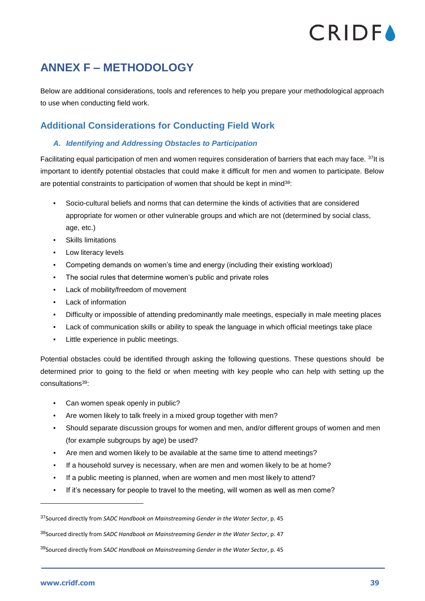### <span id="page-39-0"></span>**ANNEX F – METHODOLOGY**

Below are additional considerations, tools and references to help you prepare your methodological approach to use when conducting field work.

### <span id="page-39-1"></span>**Additional Considerations for Conducting Field Work**

### *A. Identifying and Addressing Obstacles to Participation*

Facilitating equal participation of men and women requires consideration of barriers that each may face. <sup>37</sup>It is important to identify potential obstacles that could make it difficult for men and women to participate. Below are potential constraints to participation of women that should be kept in mind<sup>38</sup>:

- Socio-cultural beliefs and norms that can determine the kinds of activities that are considered appropriate for women or other vulnerable groups and which are not (determined by social class, age, etc.)
- **Skills limitations**
- Low literacy levels
- Competing demands on women's time and energy (including their existing workload)
- The social rules that determine women's public and private roles
- Lack of mobility/freedom of movement
- Lack of information
- Difficulty or impossible of attending predominantly male meetings, especially in male meeting places
- Lack of communication skills or ability to speak the language in which official meetings take place
- Little experience in public meetings.

Potential obstacles could be identified through asking the following questions. These questions should be determined prior to going to the field or when meeting with key people who can help with setting up the consultations<sup>39</sup>:

- Can women speak openly in public?
- Are women likely to talk freely in a mixed group together with men?
- Should separate discussion groups for women and men, and/or different groups of women and men (for example subgroups by age) be used?
- Are men and women likely to be available at the same time to attend meetings?
- If a household survey is necessary, when are men and women likely to be at home?
- If a public meeting is planned, when are women and men most likely to attend?
- If it's necessary for people to travel to the meeting, will women as well as men come?

<sup>39</sup>Sourced directly from *SADC Handbook on Mainstreaming Gender in the Water Sector*, p. 45

<sup>37</sup>Sourced directly from *SADC Handbook on Mainstreaming Gender in the Water Sector*, p. 45

<sup>38</sup>Sourced directly from *SADC Handbook on Mainstreaming Gender in the Water Sector*, p. 47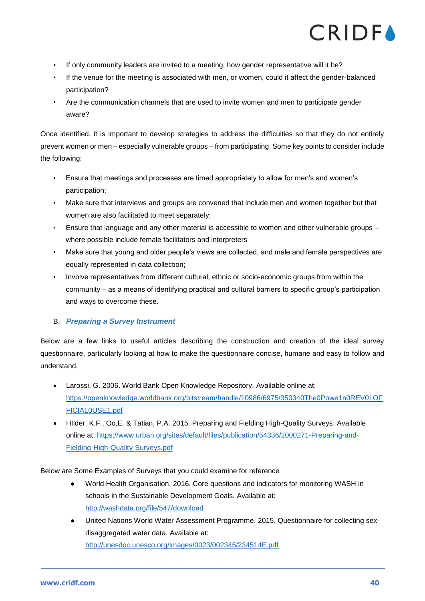- If only community leaders are invited to a meeting, how gender representative will it be?
- If the venue for the meeting is associated with men, or women, could it affect the gender-balanced participation?
- Are the communication channels that are used to invite women and men to participate gender aware?

Once identified, it is important to develop strategies to address the difficulties so that they do not entirely prevent women or men – especially vulnerable groups – from participating. Some key points to consider include the following:

- Ensure that meetings and processes are timed appropriately to allow for men's and women's participation;
- Make sure that interviews and groups are convened that include men and women together but that women are also facilitated to meet separately;
- Ensure that language and any other material is accessible to women and other vulnerable groups where possible include female facilitators and interpreters
- Make sure that young and older people's views are collected, and male and female perspectives are equally represented in data collection;
- Involve representatives from different cultural, ethnic or socio-economic groups from within the community – as a means of identifying practical and cultural barriers to specific group's participation and ways to overcome these.

### B. *Preparing a Survey Instrument*

Below are a few links to useful articles describing the construction and creation of the ideal survey questionnaire, particularly looking at how to make the questionnaire concise, humane and easy to follow and understand.

- Larossi, G. 2006. World Bank Open Knowledge Repository. Available online at: [https://openknowledge.worldbank.org/bitstream/handle/10986/6975/350340The0Powe1n0REV01OF](https://openknowledge.worldbank.org/bitstream/handle/10986/6975/350340The0Powe1n0REV01OFFICIAL0USE1.pdf) [FICIAL0USE1.pdf](https://openknowledge.worldbank.org/bitstream/handle/10986/6975/350340The0Powe1n0REV01OFFICIAL0USE1.pdf)
- HIlder, K.F., Oo,E. & Tatian, P.A. 2015. Preparing and Fielding High-Quality Surveys. Available online at: [https://www.urban.org/sites/default/files/publication/54336/2000271-Preparing-and-](https://www.urban.org/sites/default/files/publication/54336/2000271-Preparing-and-Fielding-High-Quality-Surveys.pdf)[Fielding-High-Quality-Surveys.pdf](https://www.urban.org/sites/default/files/publication/54336/2000271-Preparing-and-Fielding-High-Quality-Surveys.pdf)

Below are Some Examples of Surveys that you could examine for reference

- World Health Organisation. 2016. Core questions and indicators for monitoring WASH in schools in the Sustainable Development Goals. Available at: <http://washdata.org/file/547/download>
- United Nations World Water Assessment Programme. 2015. Questionnaire for collecting sexdisaggregated water data. Available at: <http://unesdoc.unesco.org/images/0023/002345/234514E.pdf>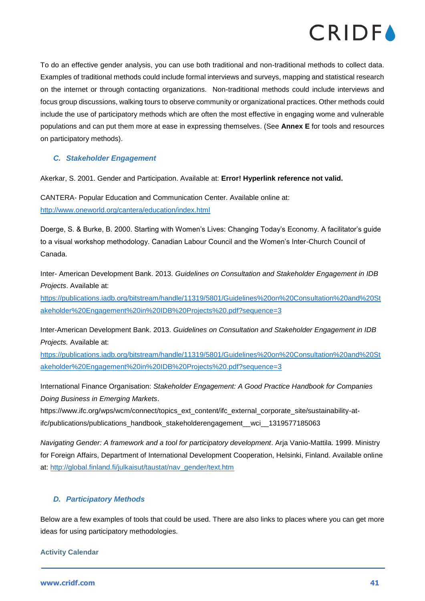

To do an effective gender analysis, you can use both traditional and non-traditional methods to collect data. Examples of traditional methods could include formal interviews and surveys, mapping and statistical research on the internet or through contacting organizations. Non-traditional methods could include interviews and focus group discussions, walking tours to observe community or organizational practices. Other methods could include the use of participatory methods which are often the most effective in engaging wome and vulnerable populations and can put them more at ease in expressing themselves. (See **Annex E** for tools and resources on participatory methods).

### *C. Stakeholder Engagement*

Akerkar, S. 2001. Gender and Participation. Available at: **Error! Hyperlink reference not valid.**

CANTERA- Popular Education and Communication Center. Available online at: <http://www.oneworld.org/cantera/education/index.html>

Doerge, S. & Burke, B. 2000. Starting with Women's Lives: Changing Today's Economy. A facilitator's guide to a visual workshop methodology. Canadian Labour Council and the Women's Inter-Church Council of Canada.

Inter- American Development Bank. 2013. *Guidelines on Consultation and Stakeholder Engagement in IDB Projects*. Available at:

[https://publications.iadb.org/bitstream/handle/11319/5801/Guidelines%20on%20Consultation%20and%20St](https://publications.iadb.org/bitstream/handle/11319/5801/Guidelines%20on%20Consultation%20and%20Stakeholder%20Engagement%20in%20IDB%20Projects%20.pdf?sequence=3) [akeholder%20Engagement%20in%20IDB%20Projects%20.pdf?sequence=3](https://publications.iadb.org/bitstream/handle/11319/5801/Guidelines%20on%20Consultation%20and%20Stakeholder%20Engagement%20in%20IDB%20Projects%20.pdf?sequence=3)

Inter-American Development Bank. 2013. *Guidelines on Consultation and Stakeholder Engagement in IDB Projects.* Available at:

[https://publications.iadb.org/bitstream/handle/11319/5801/Guidelines%20on%20Consultation%20and%20St](https://publications.iadb.org/bitstream/handle/11319/5801/Guidelines%20on%20Consultation%20and%20Stakeholder%20Engagement%20in%20IDB%20Projects%20.pdf?sequence=3) [akeholder%20Engagement%20in%20IDB%20Projects%20.pdf?sequence=3](https://publications.iadb.org/bitstream/handle/11319/5801/Guidelines%20on%20Consultation%20and%20Stakeholder%20Engagement%20in%20IDB%20Projects%20.pdf?sequence=3)

International Finance Organisation: *Stakeholder Engagement: A Good Practice Handbook for Companies Doing Business in Emerging Markets*.

[https://www.ifc.org/wps/wcm/connect/topics\\_ext\\_content/ifc\\_external\\_corporate\\_site/sustainability-at](https://www.ifc.org/wps/wcm/connect/topics_ext_content/ifc_external_corporate_site/sustainability-at-ifc/publications/publications_handbook_stakeholderengagement__wci__1319577185063)[ifc/publications/publications\\_handbook\\_stakeholderengagement\\_\\_wci\\_\\_1319577185063](https://www.ifc.org/wps/wcm/connect/topics_ext_content/ifc_external_corporate_site/sustainability-at-ifc/publications/publications_handbook_stakeholderengagement__wci__1319577185063)

*Navigating Gender: A framework and a tool for participatory development*. Arja Vanio-Mattila. 1999. Ministry for Foreign Affairs, Department of International Development Cooperation, Helsinki, Finland. Available online at: [http://global.finland.fi/julkaisut/taustat/nav\\_gender/text.htm](http://global.finland.fi/julkaisut/taustat/nav_gender/text.htm)

### *D. Participatory Methods*

Below are a few examples of tools that could be used. There are also links to places where you can get more ideas for using participatory methodologies.

**Activity Calendar**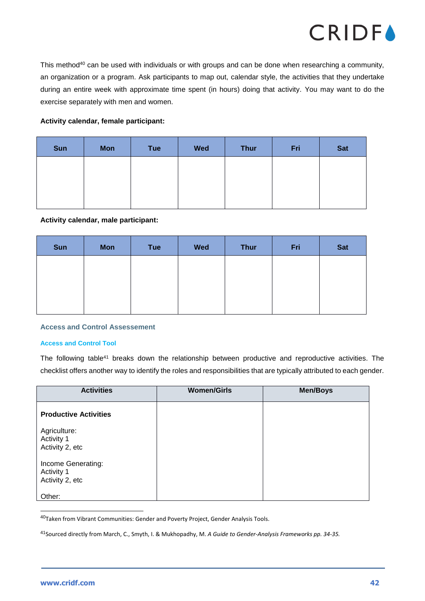

This method<sup>40</sup> can be used with individuals or with groups and can be done when researching a community, an organization or a program. Ask participants to map out, calendar style, the activities that they undertake during an entire week with approximate time spent (in hours) doing that activity. You may want to do the exercise separately with men and women.

### **Activity calendar, female participant:**

| <b>Sun</b> | <b>Mon</b> | Tue | <b>Wed</b> | <b>Thur</b> | Fri | <b>Sat</b> |
|------------|------------|-----|------------|-------------|-----|------------|
|            |            |     |            |             |     |            |
|            |            |     |            |             |     |            |
|            |            |     |            |             |     |            |

#### **Activity calendar, male participant:**

| Sun | <b>Mon</b> | <b>Tue</b> | <b>Wed</b> | <b>Thur</b> | Fri | <b>Sat</b> |
|-----|------------|------------|------------|-------------|-----|------------|
|     |            |            |            |             |     |            |
|     |            |            |            |             |     |            |
|     |            |            |            |             |     |            |

#### **Access and Control Assessement**

#### **Access and Control Tool**

The following table<sup>41</sup> breaks down the relationship between productive and reproductive activities. The checklist offers another way to identify the roles and responsibilities that are typically attributed to each gender.

| <b>Activities</b>                                   | <b>Women/Girls</b> | <b>Men/Boys</b> |
|-----------------------------------------------------|--------------------|-----------------|
| <b>Productive Activities</b>                        |                    |                 |
| Agriculture:<br>Activity 1<br>Activity 2, etc       |                    |                 |
| Income Generating:<br>Activity 1<br>Activity 2, etc |                    |                 |
| Other:                                              |                    |                 |

<sup>40</sup>Taken from Vibrant Communities: Gender and Poverty Project, Gender Analysis Tools.

<sup>41</sup>Sourced directly from March, C., Smyth, I. & Mukhopadhy, M. *A Guide to Gender-Analysis Frameworks pp. 34-35.*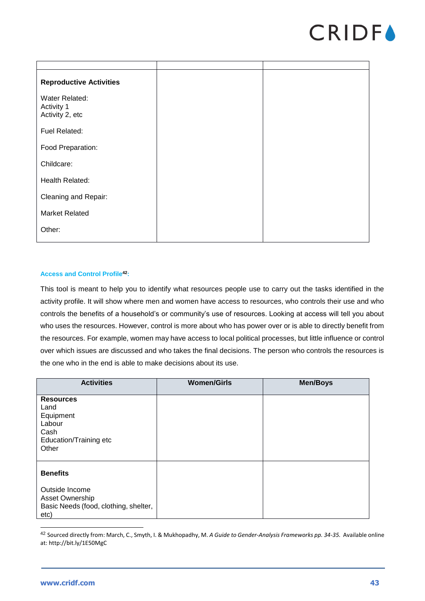

| <b>Reproductive Activities</b>                  |  |
|-------------------------------------------------|--|
| Water Related:<br>Activity 1<br>Activity 2, etc |  |
| Fuel Related:                                   |  |
| Food Preparation:                               |  |
| Childcare:                                      |  |
| Health Related:                                 |  |
| Cleaning and Repair:                            |  |
| <b>Market Related</b>                           |  |
| Other:                                          |  |

#### **Access and Control Profile<sup>42</sup>:**

This tool is meant to help you to identify what resources people use to carry out the tasks identified in the activity profile. It will show where men and women have access to resources, who controls their use and who controls the benefits of a household's or community's use of resources. Looking at access will tell you about who uses the resources. However, control is more about who has power over or is able to directly benefit from the resources. For example, women may have access to local political processes, but little influence or control over which issues are discussed and who takes the final decisions. The person who controls the resources is the one who in the end is able to make decisions about its use.

| <b>Activities</b>                                                                                     | <b>Women/Girls</b> | <b>Men/Boys</b> |
|-------------------------------------------------------------------------------------------------------|--------------------|-----------------|
| <b>Resources</b><br>Land<br>Equipment<br>Labour<br>Cash<br>Education/Training etc<br>Other            |                    |                 |
| <b>Benefits</b><br>Outside Income<br>Asset Ownership<br>Basic Needs (food, clothing, shelter,<br>etc) |                    |                 |

<sup>42</sup> Sourced directly from: March, C., Smyth, I. & Mukhopadhy, M. *A Guide to Gender-Analysis Frameworks pp. 34-35.* Available online at[: http://bit.ly/1E50MgC](http://bit.ly/1E50MgC)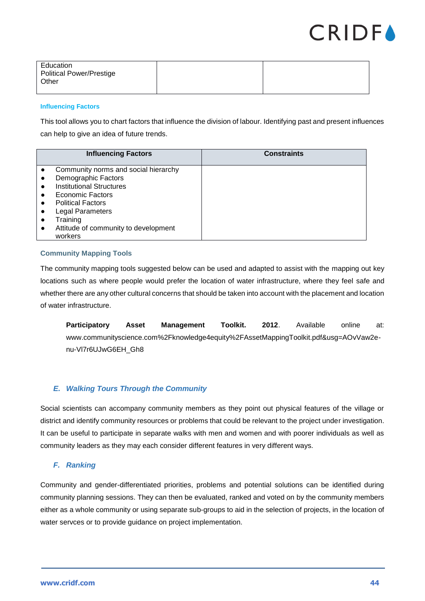

| Education<br><b>Political Power/Prestige</b><br>Other |  |
|-------------------------------------------------------|--|
|                                                       |  |

#### **Influencing Factors**

This tool allows you to chart factors that influence the division of labour. Identifying past and present influences can help to give an idea of future trends.

| <b>Influencing Factors</b>           | <b>Constraints</b> |
|--------------------------------------|--------------------|
|                                      |                    |
| Community norms and social hierarchy |                    |
| Demographic Factors                  |                    |
| <b>Institutional Structures</b>      |                    |
| Economic Factors                     |                    |
| <b>Political Factors</b>             |                    |
| Legal Parameters                     |                    |
| Training                             |                    |
| Attitude of community to development |                    |
| workers                              |                    |

### **Community Mapping Tools**

The community mapping tools suggested below can be used and adapted to assist with the mapping out key locations such as where people would prefer the location of water infrastructure, where they feel safe and whether there are any other cultural concerns that should be taken into account with the placement and location of water infrastructure.

**Participatory Asset Management Toolkit. 2012**. Available online at: [www.communityscience.com%2Fknowledge4equity%2FAssetMappingToolkit.pdf&usg=AOvVaw2e](https://www.google.com/url?sa=t&rct=j&q=&esrc=s&source=web&cd=12&cad=rja&uact=8&ved=2ahUKEwizi7KrhIjeAhVlDsAKHYQYArw4ChAWMAF6BAgEEAI&url=http%3A%2F%2Fwww.communityscience.com%2Fknowledge4equity%2FAssetMappingToolkit.pdf&usg=AOvVaw2e-nu-Vl7r6UJwG6EH_Gh8)[nu-Vl7r6UJwG6EH\\_Gh8](https://www.google.com/url?sa=t&rct=j&q=&esrc=s&source=web&cd=12&cad=rja&uact=8&ved=2ahUKEwizi7KrhIjeAhVlDsAKHYQYArw4ChAWMAF6BAgEEAI&url=http%3A%2F%2Fwww.communityscience.com%2Fknowledge4equity%2FAssetMappingToolkit.pdf&usg=AOvVaw2e-nu-Vl7r6UJwG6EH_Gh8)

### *E. Walking Tours Through the Community*

Social scientists can accompany community members as they point out physical features of the village or district and identify community resources or problems that could be relevant to the project under investigation. It can be useful to participate in separate walks with men and women and with poorer individuals as well as community leaders as they may each consider different features in very different ways.

### *F. Ranking*

Community and gender-differentiated priorities, problems and potential solutions can be identified during community planning sessions. They can then be evaluated, ranked and voted on by the community members either as a whole community or using separate sub-groups to aid in the selection of projects, in the location of water servces or to provide guidance on project implementation.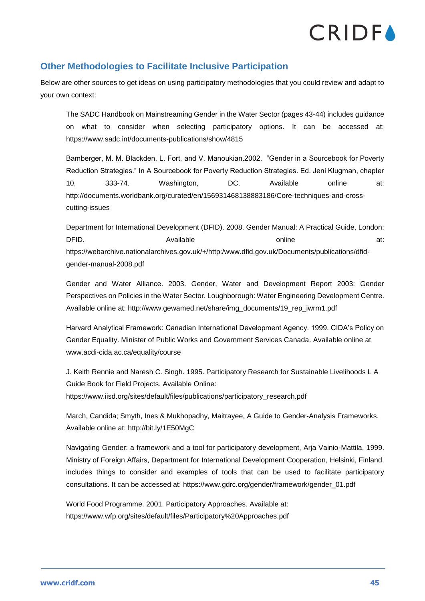### <span id="page-45-0"></span>**Other Methodologies to Facilitate Inclusive Participation**

Below are other sources to get ideas on using participatory methodologies that you could review and adapt to your own context:

The SADC Handbook on Mainstreaming Gender in the Water Sector (pages 43-44) includes guidance on what to consider when selecting participatory options. It can be accessed at: <https://www.sadc.int/documents-publications/show/4815>

Bamberger, M. M. Blackden, L. Fort, and V. Manoukian.2002. "Gender in a Sourcebook for Poverty Reduction Strategies." In A Sourcebook for Poverty Reduction Strategies. Ed. Jeni Klugman, chapter 10, 333-74. Washington, DC. Available online at: [http://documents.worldbank.org/curated/en/156931468138883186/Core-techniques-and-cross](http://documents.worldbank.org/curated/en/156931468138883186/Core-techniques-and-cross-cutting-issues)[cutting-issues](http://documents.worldbank.org/curated/en/156931468138883186/Core-techniques-and-cross-cutting-issues)

Department for International Development (DFID). 2008. Gender Manual: A Practical Guide, London: DFID. Available and the state online at: [https://webarchive.nationalarchives.gov.uk/+/http:/www.dfid.gov.uk/Documents/publications/dfid](https://webarchive.nationalarchives.gov.uk/+/http:/www.dfid.gov.uk/Documents/publications/dfid-gender-manual-2008.pdf)[gender-manual-2008.pdf](https://webarchive.nationalarchives.gov.uk/+/http:/www.dfid.gov.uk/Documents/publications/dfid-gender-manual-2008.pdf)

Gender and Water Alliance. 2003. Gender, Water and Development Report 2003: Gender Perspectives on Policies in the Water Sector. Loughborough: Water Engineering Development Centre. Available online at: http://www.gewamed.net/share/img\_documents/19\_rep\_iwrm1.pdf

Harvard Analytical Framework: Canadian International Development Agency. 1999. CIDA's Policy on Gender Equality. Minister of Public Works and Government Services Canada. Available online at [www.acdi-cida.ac.ca/equality/course](http://www.acdi-cida.ac.ca/equality/course)

J. Keith Rennie and Naresh C. Singh. 1995. Participatory Research for Sustainable Livelihoods L A Guide Book for Field Projects. Available Online: [https://www.iisd.org/sites/default/files/publications/participatory\\_research.pdf](https://www.iisd.org/sites/default/files/publications/participatory_research.pdf) 

March, Candida; Smyth, Ines & Mukhopadhy, Maitrayee, A Guide to Gender-Analysis Frameworks. Available online at:<http://bit.ly/1E50MgC>

Navigating Gender: a framework and a tool for participatory development, Arja Vainio-Mattila, 1999. Ministry of Foreign Affairs, Department for International Development Cooperation, Helsinki, Finland, includes things to consider and examples of tools that can be used to facilitate participatory consultations. It can be accessed at: [https://www.gdrc.org/gender/framework/gender\\_01.pdf](https://www.gdrc.org/gender/framework/gender_01.pdf)

World Food Programme. 2001. Participatory Approaches. Available at: <https://www.wfp.org/sites/default/files/Participatory%20Approaches.pdf>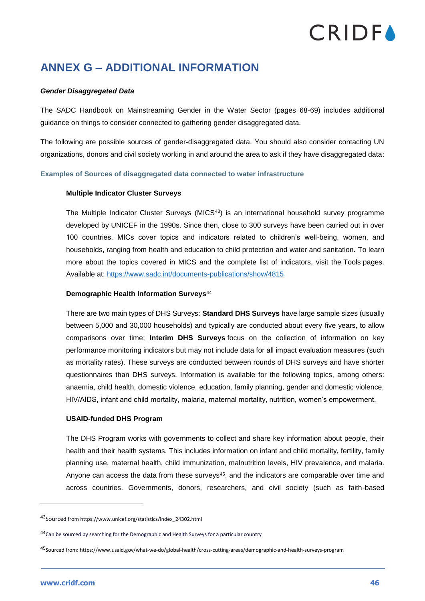### <span id="page-46-0"></span>**ANNEX G – ADDITIONAL INFORMATION**

#### *Gender Disaggregated Data*

The SADC Handbook on Mainstreaming Gender in the Water Sector (pages 68-69) includes additional guidance on things to consider connected to gathering gender disaggregated data.

The following are possible sources of gender-disaggregated data. You should also consider contacting UN organizations, donors and civil society working in and around the area to ask if they have disaggregated data:

#### **Examples of Sources of disaggregated data connected to water infrastructure**

#### **Multiple Indicator Cluster Surveys**

The Multiple Indicator Cluster Surveys (MICS<sup>43</sup>) is an international household survey programme developed by UNICEF in the 1990s. Since then, close to 300 surveys have been carried out in over 100 countries. MICs cover topics and indicators related to children's well-being, women, and households, ranging from health and education to child protection and water and sanitation. To learn more about the topics covered in MICS and the complete list of indicators, visit the [Tools](http://mics.unicef.org/tools) pages. Available at:<https://www.sadc.int/documents-publications/show/4815>

#### **Demographic Health Information Surveys**<sup>44</sup>

There are two main types of DHS Surveys: **Standard DHS Surveys** have large sample sizes (usually between 5,000 and 30,000 households) and typically are conducted about every five years, to allow comparisons over time; **Interim DHS Surveys** focus on the collection of information on key performance monitoring indicators but may not include data for all impact evaluation measures (such as mortality rates). These surveys are conducted between rounds of DHS surveys and have shorter questionnaires than DHS surveys. Information is available for the following topics, among others: anaemia, child health, domestic violence, education, family planning, gender and domestic violence, HIV/AIDS, infant and child mortality, malaria, maternal mortality, nutrition, women's empowerment.

#### **USAID-funded DHS Program**

The DHS Program works with governments to collect and share key information about people, their health and their health systems. This includes information on infant and child mortality, fertility, family planning use, maternal health, child immunization, malnutrition levels, HIV prevalence, and malaria. Anyone can access the data from these surveys<sup>45</sup>, and the indicators are comparable over time and across countries. Governments, donors, researchers, and civil society (such as faith-based

<sup>43</sup>Sourced from https://www.unicef.org/statistics/index\_24302.html

<sup>44</sup>Can be sourced by searching for the Demographic and Health Surveys for a particular country

<sup>45</sup>Sourced from: https://www.usaid.gov/what-we-do/global-health/cross-cutting-areas/demographic-and-health-surveys-program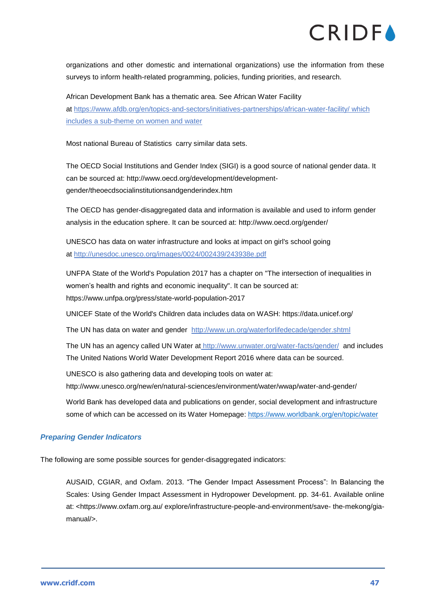organizations and other domestic and international organizations) use the information from these surveys to inform health-related programming, policies, funding priorities, and research.

African Development Bank has a thematic area. See African Water Facility at <https://www.afdb.org/en/topics-and-sectors/initiatives-partnerships/african-water-facility/> which includes a sub-theme on women and water

Most national Bureau of Statistics carry similar data sets.

The OECD Social Institutions and Gender Index (SIGI) is a good source of national gender data. It can be sourced at: http://www.oecd.org/development/developmentgender/theoecdsocialinstitutionsandgenderindex.htm

The OECD has gender-disaggregated data and information is available and used to inform gender analysis in the education sphere. It can be sourced at: http://www.oecd.org/gender/

UNESCO has data on water infrastructure and looks at impact on girl's school going at <http://unesdoc.unesco.org/images/0024/002439/243938e.pdf>

UNFPA State of the World's Population 2017 has a chapter on "The intersection of inequalities in women's health and rights and economic inequality". It can be sourced at: https://www.unfpa.org/press/state-world-population-2017

UNICEF State of the World's Children data includes data on WASH: https://data.unicef.org/

The UN has data on water and gender <http://www.un.org/waterforlifedecade/gender.shtml>

The UN has an agency called UN Water at <http://www.unwater.org/water-facts/gender/> and includes The United Nations World Water Development Report 2016 where data can be sourced.

UNESCO is also gathering data and developing tools on water at:

http://www.unesco.org/new/en/natural-sciences/environment/water/wwap/water-and-gender/

World Bank has developed data and publications on gender, social development and infrastructure some of which can be accessed on its Water Homepage:<https://www.worldbank.org/en/topic/water>

### *Preparing Gender Indicators*

The following are some possible sources for gender-disaggregated indicators:

AUSAID, CGIAR, and Oxfam. 2013. "The Gender Impact Assessment Process": In Balancing the Scales: Using Gender Impact Assessment in Hydropower Development. pp. 34-61. Available online at: <https://www.oxfam.org.au/ explore/infrastructure-people-and-environment/save- the-mekong/giamanual/>.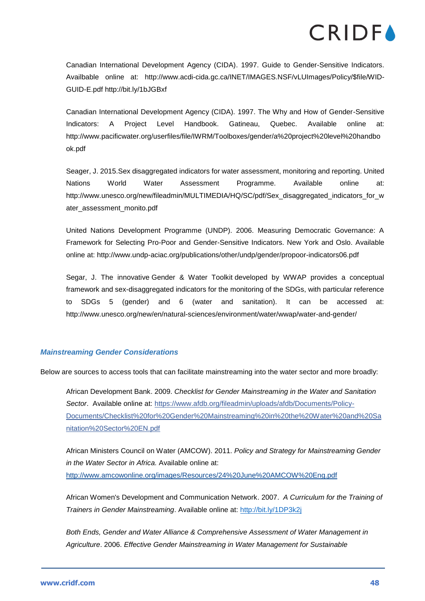Canadian International Development Agency (CIDA). 1997. Guide to Gender-Sensitive Indicators. Availbable online at: http://www.acdi-cida.gc.ca/INET/IMAGES.NSF/vLUImages/Policy/\$file/WID-GUID-E.pdf http://bit.ly/1bJGBxf

Canadian International Development Agency (CIDA). 1997. The Why and How of Gender-Sensitive Indicators: A Project Level Handbook. Gatineau, Quebec. Available online at: [http://www.pacificwater.org/userfiles/file/IWRM/Toolboxes/gender/a%20project%20level%20handbo](http://www.pacificwater.org/userfiles/file/IWRM/Toolboxes/gender/a%20project%20level%20handbook.pdf) [ok.pdf](http://www.pacificwater.org/userfiles/file/IWRM/Toolboxes/gender/a%20project%20level%20handbook.pdf)

Seager, J. 2015.Sex disaggregated indicators for water assessment, monitoring and reporting. United Nations World Water Assessment Programme. Available online at: [http://www.unesco.org/new/fileadmin/MULTIMEDIA/HQ/SC/pdf/Sex\\_disaggregated\\_indicators\\_for\\_w](http://www.unesco.org/new/fileadmin/MULTIMEDIA/HQ/SC/pdf/Sex_disaggregated_indicators_for_water_assessment_monito.pdf) [ater\\_assessment\\_monito.pdf](http://www.unesco.org/new/fileadmin/MULTIMEDIA/HQ/SC/pdf/Sex_disaggregated_indicators_for_water_assessment_monito.pdf)

United Nations Development Programme (UNDP). 2006. Measuring Democratic Governance: A Framework for Selecting Pro-Poor and Gender-Sensitive Indicators. New York and Oslo. Available online at:<http://www.undp-aciac.org/publications/other/undp/gender/propoor-indicators06.pdf>

Segar, J. The innovative [Gender & Water Toolkit](http://www.unesco.org/new/en/natural-sciences/environment/water/wwap/water-and-gender/water-and-gender-toolkit/) developed by WWAP provides a conceptual framework and sex-disaggregated indicators for the monitoring of the SDGs, with particular reference to SDGs 5 (gender) and 6 (water and sanitation). It can be accessed at: <http://www.unesco.org/new/en/natural-sciences/environment/water/wwap/water-and-gender/>

### *Mainstreaming Gender Considerations*

Below are sources to access tools that can facilitate mainstreaming into the water sector and more broadly:

African Development Bank. 2009. *Checklist for Gender Mainstreaming in the Water and Sanitation Sector*. Available online at: [https://www.afdb.org/fileadmin/uploads/afdb/Documents/Policy-](https://www.afdb.org/fileadmin/uploads/afdb/Documents/Policy-Documents/Checklist%20for%20Gender%20Mainstreaming%20in%20the%20Water%20and%20Sanitation%20Sector%20EN.pdf)[Documents/Checklist%20for%20Gender%20Mainstreaming%20in%20the%20Water%20and%20Sa](https://www.afdb.org/fileadmin/uploads/afdb/Documents/Policy-Documents/Checklist%20for%20Gender%20Mainstreaming%20in%20the%20Water%20and%20Sanitation%20Sector%20EN.pdf) [nitation%20Sector%20EN.pdf](https://www.afdb.org/fileadmin/uploads/afdb/Documents/Policy-Documents/Checklist%20for%20Gender%20Mainstreaming%20in%20the%20Water%20and%20Sanitation%20Sector%20EN.pdf)

African Ministers Council on Water (AMCOW). 2011. *Policy and Strategy for Mainstreaming Gender in the Water Sector in Africa.* Available online at: http://www.amcowonline.org/images/Resources/24%20June%20AMCOW%20Eng.pdf

African Women's Development and Communication Network. 2007. *A Curriculum for the Training of Trainers in Gender Mainstreaming*. Available online at: <http://bit.ly/1DP3k2j>

*Both Ends, Gender and Water Alliance & Comprehensive Assessment of Water Management in Agriculture*. 2006. *Effective Gender Mainstreaming in Water Management for Sustainable*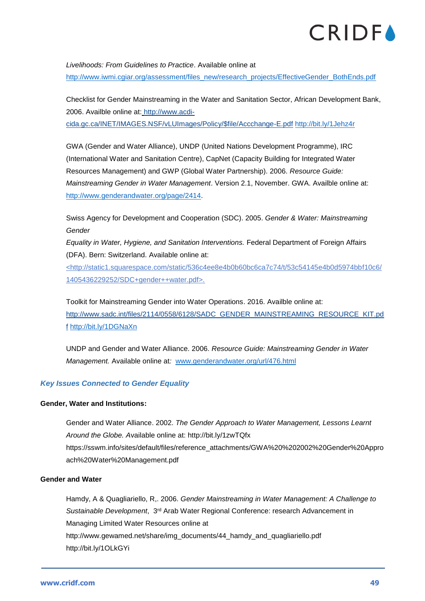*Livelihoods: From Guidelines to Practice*. Available online at [http://www.iwmi.cgiar.org/assessment/files\\_new/research\\_projects/EffectiveGender\\_BothEnds.pdf](http://www.iwmi.cgiar.org/assessment/files_new/research_projects/EffectiveGender_BothEnds.pdf)

Checklist for Gender Mainstreaming in the Water and Sanitation Sector, African Development Bank, 2006. Availble online at: http://www.acdi-

cida.gc.ca/INET/IMAGES.NSF/vLUImages/Policy/\$file/Accchange-E.pdf <http://bit.ly/1Jehz4r>

GWA (Gender and Water Alliance), UNDP (United Nations Development Programme), IRC (International Water and Sanitation Centre), CapNet (Capacity Building for Integrated Water Resources Management) and GWP (Global Water Partnership). 2006. *Resource Guide: Mainstreaming Gender in Water Management*. Version 2.1, November. GWA. Availble online at: [http://www.genderandwater.org/page/2414.](http://www.genderandwater.org/page/2414)

Swiss Agency for Development and Cooperation (SDC). 2005. *Gender & Water: Mainstreaming Gender*

*Equality in Water, Hygiene, and Sanitation Interventions.* Federal Department of Foreign Affairs (DFA). Bern: Switzerland. Available online at:

<http://static1.squarespace.com/static/536c4ee8e4b0b60bc6ca7c74/t/53c54145e4b0d5974bbf10c6/ 1405436229252/SDC+gender++water.pdf>.

Toolkit for Mainstreaming Gender into Water Operations. 2016. Availble online at: http://www.sadc.int/files/2114/0558/6128/SADC\_GENDER\_MAINSTREAMING\_RESOURCE\_KIT.pd f <http://bit.ly/1DGNaXn>

UNDP and Gender and Water Alliance. 2006. *Resource Guide: Mainstreaming Gender in Water Management.* Available online at*:* [www.genderandwater.org/url/476.html](http://www.genderandwater.org/url/476.html)

### *Key Issues Connected to Gender Equality*

### **Gender, Water and Institutions:**

Gender and Water Alliance. 2002. *The Gender Approach to Water Management, Lessons Learnt Around the Globe. A*vailable online at:<http://bit.ly/1zwTQfx> [https://sswm.info/sites/default/files/reference\\_attachments/GWA%20%202002%20Gender%20Appro](https://sswm.info/sites/default/files/reference_attachments/GWA%20%202002%20Gender%20Approach%20Water%20Management.pdf) [ach%20Water%20Management.pdf](https://sswm.info/sites/default/files/reference_attachments/GWA%20%202002%20Gender%20Approach%20Water%20Management.pdf)

### **Gender and Water**

Hamdy, A & Quagliariello, R,. 2006. *Gender Mainstreaming in Water Management: A Challenge to Sustainable Development*, 3rd Arab Water Regional Conference: research Advancement in Managing Limited Water Resources online at http://www.gewamed.net/share/img\_documents/44\_hamdy\_and\_quagliariello.pdf http://bit.ly/1OLkGYi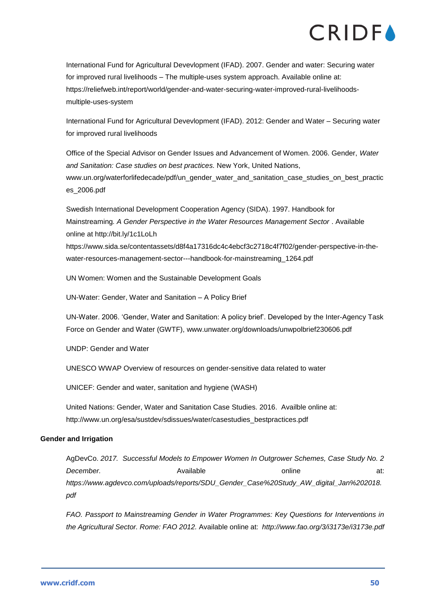International Fund for Agricultural Devevlopment (IFAD). 2007. Gender and water: Securing water for improved rural livelihoods – The multiple-uses system approach. Available online at: [https://reliefweb.int/report/world/gender-and-water-securing-water-improved-rural-livelihoods](https://reliefweb.int/report/world/gender-and-water-securing-water-improved-rural-livelihoods-multiple-uses-system)[multiple-uses-system](https://reliefweb.int/report/world/gender-and-water-securing-water-improved-rural-livelihoods-multiple-uses-system)

International Fund for Agricultural Devevlopment (IFAD). 2012: [Gender and Water –](https://reliefweb.int/sites/reliefweb.int/files/resources/A58637F43BDB51064325765700469821-IFAD_Dec2007.pdf) Securing water [for improved rural livelihoods](https://reliefweb.int/sites/reliefweb.int/files/resources/A58637F43BDB51064325765700469821-IFAD_Dec2007.pdf)

Office of the Special Advisor on Gender Issues and Advancement of Women. 2006. Gender, *Water and Sanitation: Case studies on best practices.* New York, United Nations, [www.un.org/waterforlifedecade/pdf/un\\_gender\\_water\\_and\\_sanitation\\_case\\_studies\\_on\\_best\\_practic](http://www.un.org/waterforlifedecade/pdf/un_gender_water_and_sanitation_case_studies_on_best_practices_2006.pdf) [es\\_2006.pdf](http://www.un.org/waterforlifedecade/pdf/un_gender_water_and_sanitation_case_studies_on_best_practices_2006.pdf)

Swedish International Development Cooperation Agency (SIDA). 1997. Handbook for Mainstreaming*. A Gender Perspective in the Water Resources Management Sector* . Available online at http://bit.ly/1c1LoLh https://www.sida.se/contentassets/d8f4a17316dc4c4ebcf3c2718c4f7f02/gender-perspective-in-the-

water-resources-management-sector---handbook-for-mainstreaming\_1264.pdf

UN Women: [Women and the Sustainable Development Goals](http://www.unwomen.org/en/news/in-focus/women-and-the-sdgs/sdg-6-clean-water-sanitation)

UN-Water: [Gender, Water and Sanitation –](http://www.unwater.org/publications/gender-water-sanitation-policy-brief/) A Policy Brief

UN-Water. 2006. 'Gender, Water and Sanitation: A policy brief'. Developed by the Inter-Agency Task Force on Gender and Water (GWTF), [www.unwater.org/downloads/unwpolbrief230606.pdf](http://www.unwater.org/downloads/unwpolbrief230606.pdf)

UNDP: [Gender and Water](http://www.undp.org/content/undp/en/home/librarypage/environment-energy/water_governance/sub-topic_genderandwater.html)

UNESCO WWAP [Overview of resources on gender-sensitive data related to water](http://www.unesco.org/new/fileadmin/MULTIMEDIA/HQ/SC/pdf/Overview_of_resources_on_gender_sensitive_data_related_t_01.pdf)

UNICEF: [Gender and water, sanitation and hygiene \(WASH\)](https://www.unicef.org/esaro/7310_Gender_and_WASH.html)

United Nations: Gender, Water and Sanitation Case Studies. 2016. Availble online at: [http://www.un.org/esa/sustdev/sdissues/water/casestudies\\_bestpractices.pdf](http://www.un.org/esa/sustdev/sdissues/water/casestudies_bestpractices.pdf)

### **Gender and Irrigation**

AgDevCo. *2017. Successful Models to Empower Women In Outgrower Schemes, Case Study No. 2*  **December. Available by a state online** at: *https://www.agdevco.com/uploads/reports/SDU\_Gender\_Case%20Study\_AW\_digital\_Jan%202018. pdf*

*FAO. Passport to Mainstreaming Gender in Water Programmes: Key Questions for Interventions in the Agricultural Sector. Rome: FAO 2012.* Available online at: *http://www.fao.org/3/i3173e/i3173e.pdf*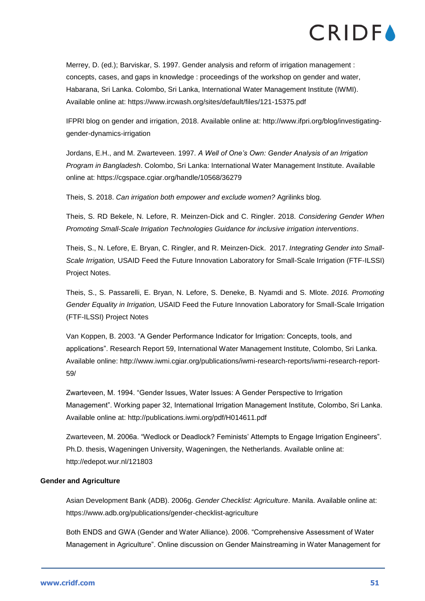Merrey, D. (ed.); Barviskar, S. 1997. Gender analysis and reform of irrigation management : concepts, cases, and gaps in knowledge : proceedings of the workshop on gender and water, Habarana, Sri Lanka. Colombo, Sri Lanka, International Water Management Institute (IWMI). Available online at:<https://www.ircwash.org/sites/default/files/121-15375.pdf>

IFPRI blog on gender and irrigation, 2018. Available online at: [http://www.ifpri.org/blog/investigating](http://www.ifpri.org/blog/investigating-gender-dynamics-irrigation)[gender-dynamics-irrigation](http://www.ifpri.org/blog/investigating-gender-dynamics-irrigation)

Jordans, E.H., and M. Zwarteveen. 1997. *A Well of One's Own: Gender Analysis of an Irrigation Program in Bangladesh*. Colombo, Sri Lanka: International Water Management Institute. Available online at:<https://cgspace.cgiar.org/handle/10568/36279>

Theis, S. 2018. *Can irrigation both empower and exclude women?* Agrilinks blog.

Theis, S. RD Bekele, N. Lefore, R. Meinzen-Dick and C. Ringler. 2018. *Considering Gender When Promoting Small-Scale Irrigation Technologies Guidance for inclusive irrigation interventions*.

Theis, S., N. Lefore, E. Bryan, C. Ringler, and R. Meinzen-Dick. 2017. *Integrating Gender into Small-Scale Irrigation,* USAID Feed the Future Innovation Laboratory for Small-Scale Irrigation (FTF-ILSSI) Project Notes.

Theis, S., S. Passarelli, E. Bryan, N. Lefore, S. Deneke, B. Nyamdi and S. Mlote. *2016. Promoting Gender Equality in Irrigation,* USAID Feed the Future Innovation Laboratory for Small-Scale Irrigation (FTF-ILSSI) Project Notes

Van Koppen, B. 2003. "A Gender Performance Indicator for Irrigation: Concepts, tools, and applications". Research Report 59, International Water Management Institute, Colombo, Sri Lanka. Available online: [http://www.iwmi.cgiar.org/publications/iwmi-research-reports/iwmi-research-report-](http://www.iwmi.cgiar.org/publications/iwmi-research-reports/iwmi-research-report-59/)[59/](http://www.iwmi.cgiar.org/publications/iwmi-research-reports/iwmi-research-report-59/)

Zwarteveen, M. 1994. "Gender Issues, Water Issues: A Gender Perspective to Irrigation Management". Working paper 32, International Irrigation Management Institute, Colombo, Sri Lanka. Available online at:<http://publications.iwmi.org/pdf/H014611.pdf>

Zwarteveen, M. 2006a. "Wedlock or Deadlock? Feminists' Attempts to Engage Irrigation Engineers". Ph.D. thesis, Wageningen University, Wageningen, the Netherlands. Available online at: <http://edepot.wur.nl/121803>

### **Gender and Agriculture**

Asian Development Bank (ADB). 2006g. *Gender Checklist: Agriculture*. Manila. Available online at: <https://www.adb.org/publications/gender-checklist-agriculture>

Both ENDS and GWA (Gender and Water Alliance). 2006. "Comprehensive Assessment of Water Management in Agriculture". Online discussion on Gender Mainstreaming in Water Management for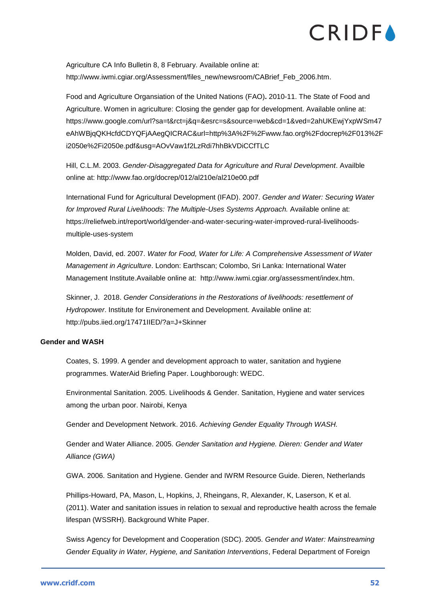Agriculture CA Info Bulletin 8, 8 February. Available online at: http://www.iwmi.cgiar.org/Assessment/files\_new/newsroom/CABrief\_Feb\_2006.htm.

Food and Agriculture Organsiation of the United Nations (FAO)**.** 2010-11. The State of Food and Agriculture. Women in agriculture: Closing the gender gap for development. Available online at: [https://www.google.com/url?sa=t&rct=j&q=&esrc=s&source=web&cd=1&ved=2ahUKEwjYxpWSm47](https://www.google.com/url?sa=t&rct=j&q=&esrc=s&source=web&cd=1&ved=2ahUKEwjYxpWSm47eAhWBjqQKHcfdCDYQFjAAegQICRAC&url=http%3A%2F%2Fwww.fao.org%2Fdocrep%2F013%2Fi2050e%2Fi2050e.pdf&usg=AOvVaw1f2LzRdi7hhBkVDiCCfTLC) [eAhWBjqQKHcfdCDYQFjAAegQICRAC&url=http%3A%2F%2Fwww.fao.org%2Fdocrep%2F013%2F](https://www.google.com/url?sa=t&rct=j&q=&esrc=s&source=web&cd=1&ved=2ahUKEwjYxpWSm47eAhWBjqQKHcfdCDYQFjAAegQICRAC&url=http%3A%2F%2Fwww.fao.org%2Fdocrep%2F013%2Fi2050e%2Fi2050e.pdf&usg=AOvVaw1f2LzRdi7hhBkVDiCCfTLC) [i2050e%2Fi2050e.pdf&usg=AOvVaw1f2LzRdi7hhBkVDiCCfTLC](https://www.google.com/url?sa=t&rct=j&q=&esrc=s&source=web&cd=1&ved=2ahUKEwjYxpWSm47eAhWBjqQKHcfdCDYQFjAAegQICRAC&url=http%3A%2F%2Fwww.fao.org%2Fdocrep%2F013%2Fi2050e%2Fi2050e.pdf&usg=AOvVaw1f2LzRdi7hhBkVDiCCfTLC)

Hill, C.L.M. 2003. *Gender-Disaggregated Data for Agriculture and Rural Development*. Availble online at:<http://www.fao.org/docrep/012/al210e/al210e00.pdf>

International Fund for Agricultural Development (IFAD). 2007. *Gender and Water: Securing Water*  for Improved Rural Livelihoods: The Multiple-Uses Systems Approach. Available online at: [https://reliefweb.int/report/world/gender-and-water-securing-water-improved-rural-livelihoods](https://reliefweb.int/report/world/gender-and-water-securing-water-improved-rural-livelihoods-multiple-uses-system)[multiple-uses-system](https://reliefweb.int/report/world/gender-and-water-securing-water-improved-rural-livelihoods-multiple-uses-system)

Molden, David, ed. 2007. *Water for Food, Water for Life: A Comprehensive Assessment of Water Management in Agriculture*. London: Earthscan; Colombo, Sri Lanka: International Water Management Institute.Available online at: http://www.iwmi.cgiar.org/assessment/index.htm.

Skinner, J. 2018. *Gender Considerations in the Restorations of livelihoods: resettlement of Hydropower*. Institute for Environement and Development. Available online at: <http://pubs.iied.org/17471IIED/?a=J+Skinner>

### **Gender and WASH**

Coates, S. 1999. A gender and development approach to water, sanitation and hygiene programmes. WaterAid Briefing Paper. Loughborough: WEDC.

Environmental Sanitation. 2005. Livelihoods & Gender. Sanitation, Hygiene and water services among the urban poor. Nairobi, Kenya

Gender and Development Network. 2016. *Achieving Gender Equality Through WASH.*

Gender and Water Alliance. 2005. *Gender Sanitation and Hygiene. Dieren: Gender and Water Alliance (GWA)*

GWA. 2006. Sanitation and Hygiene. Gender and IWRM Resource Guide. Dieren, Netherlands

Phillips-Howard, PA, Mason, L, Hopkins, J, Rheingans, R, Alexander, K, Laserson, K et al. (2011). Water and sanitation issues in relation to sexual and reproductive health across the female lifespan (WSSRH). Background White Paper.

Swiss Agency for Development and Cooperation (SDC). 2005. *Gender and Water: Mainstreaming Gender Equality in Water, Hygiene, and Sanitation Interventions*, Federal Department of Foreign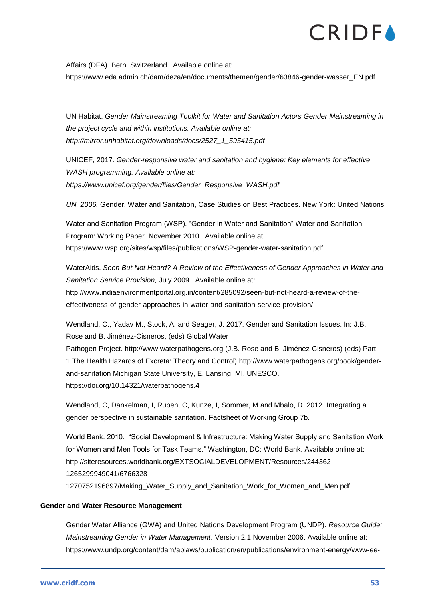Affairs (DFA). Bern. Switzerland. Available online at: [https://www.eda.admin.ch/dam/deza/en/documents/themen/gender/63846-gender-wasser\\_EN.pdf](https://www.eda.admin.ch/dam/deza/en/documents/themen/gender/63846-gender-wasser_EN.pdf)

UN Habitat. *Gender Mainstreaming Toolkit for Water and Sanitation Actors Gender Mainstreaming in the project cycle and within institutions. Available online at: http://mirror.unhabitat.org/downloads/docs/2527\_1\_595415.pdf*

UNICEF, 2017. *Gender-responsive water and sanitation and hygiene: Key elements for effective WASH programming. Available online at: [https://www.unicef.org/gender/files/Gender\\_Responsive\\_WASH.pdf](https://www.unicef.org/gender/files/Gender_Responsive_WASH.pdf)*

*UN. 2006.* Gender, Water and Sanitation, Case Studies on Best Practices. New York: United Nations

Water and Sanitation Program (WSP). "Gender in Water and Sanitation" Water and Sanitation Program: Working Paper. November 2010. Available online at: <https://www.wsp.org/sites/wsp/files/publications/WSP-gender-water-sanitation.pdf>

WaterAids. *Seen But Not Heard? A Review of the Effectiveness of Gender Approaches in Water and Sanitation Service Provision,* July 2009. Available online at: [http://www.indiaenvironmentportal.org.in/content/285092/seen-but-not-heard-a-review-of-the](http://www.indiaenvironmentportal.org.in/content/285092/seen-but-not-heard-a-review-of-the-effectiveness-of-gender-approaches-in-water-and-sanitation-service-provision/)[effectiveness-of-gender-approaches-in-water-and-sanitation-service-provision/](http://www.indiaenvironmentportal.org.in/content/285092/seen-but-not-heard-a-review-of-the-effectiveness-of-gender-approaches-in-water-and-sanitation-service-provision/)

Wendland, C., Yadav M., Stock, A. and Seager, J. 2017. Gender and Sanitation Issues. In: J.B. Rose and B. Jiménez-Cisneros, (eds) Global Water

Pathogen Project. [http://www.waterpathogens.org](http://www.waterpathogens.org/) (J.B. Rose and B. Jiménez-Cisneros) (eds) Part 1 The Health Hazards of Excreta: Theory and Control) [http://www.waterpathogens.org/book/gender](http://www.waterpathogens.org/book/gender-and-sanitation)[and-sanitation](http://www.waterpathogens.org/book/gender-and-sanitation) Michigan State University, E. Lansing, MI, UNESCO. <https://doi.org/10.14321/waterpathogens.4>

Wendland, C, Dankelman, I, Ruben, C, Kunze, I, Sommer, M and Mbalo, D. 2012. Integrating a gender perspective in sustainable sanitation. Factsheet of Working Group 7b.

World Bank. 2010. "Social Development & Infrastructure: Making Water Supply and Sanitation Work for Women and Men Tools for Task Teams." Washington, DC: World Bank. Available online at: [http://siteresources.worldbank.org/EXTSOCIALDEVELOPMENT/Resources/244362-](http://siteresources.worldbank.org/EXTSOCIALDEVELOPMENT/Resources/244362-1265299949041/6766328-1270752196897/Making_Water_Supply_and_Sanitation_Work_for_Women_and_Men.pdf) [1265299949041/6766328-](http://siteresources.worldbank.org/EXTSOCIALDEVELOPMENT/Resources/244362-1265299949041/6766328-1270752196897/Making_Water_Supply_and_Sanitation_Work_for_Women_and_Men.pdf) [1270752196897/Making\\_Water\\_Supply\\_and\\_Sanitation\\_Work\\_for\\_Women\\_and\\_Men.pdf](http://siteresources.worldbank.org/EXTSOCIALDEVELOPMENT/Resources/244362-1265299949041/6766328-1270752196897/Making_Water_Supply_and_Sanitation_Work_for_Women_and_Men.pdf)

### **Gender and Water Resource Management**

Gender Water Alliance (GWA) and United Nations Development Program (UNDP). *Resource Guide: Mainstreaming Gender in Water Management,* Version 2.1 November 2006. Available online at: [https://www.undp.org/content/dam/aplaws/publication/en/publications/environment-energy/www-ee-](https://www.undp.org/content/dam/aplaws/publication/en/publications/environment-energy/www-ee-library/water-governance/resource-guide-mainstreaming-gender-in-water-management/IWRMGenderResourceGuide-English-200610.pdf)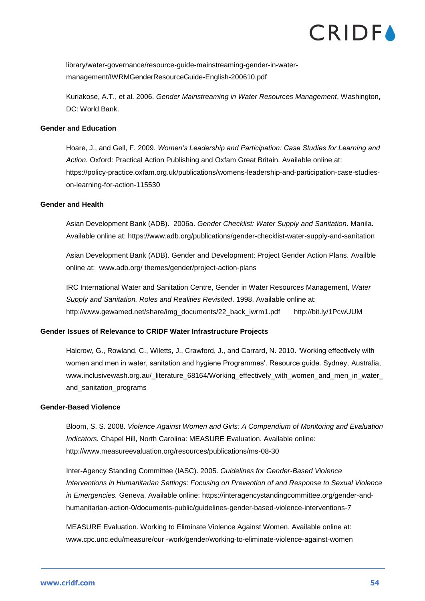[library/water-governance/resource-guide-mainstreaming-gender-in-water](https://www.undp.org/content/dam/aplaws/publication/en/publications/environment-energy/www-ee-library/water-governance/resource-guide-mainstreaming-gender-in-water-management/IWRMGenderResourceGuide-English-200610.pdf)[management/IWRMGenderResourceGuide-English-200610.pdf](https://www.undp.org/content/dam/aplaws/publication/en/publications/environment-energy/www-ee-library/water-governance/resource-guide-mainstreaming-gender-in-water-management/IWRMGenderResourceGuide-English-200610.pdf)

Kuriakose, A.T., et al. 2006. *Gender Mainstreaming in Water Resources Management*, Washington, DC: World Bank.

#### **Gender and Education**

Hoare, J., and Gell, F. 2009. *Women's Leadership and Participation: Case Studies for Learning and Action.* Oxford: Practical Action Publishing and Oxfam Great Britain. Available online at: [https://policy-practice.oxfam.org.uk/publications/womens-leadership-and-participation-case-studies](https://policy-practice.oxfam.org.uk/publications/womens-leadership-and-participation-case-studies-on-learning-for-action-115530)[on-learning-for-action-115530](https://policy-practice.oxfam.org.uk/publications/womens-leadership-and-participation-case-studies-on-learning-for-action-115530)

#### **Gender and Health**

Asian Development Bank (ADB). 2006a. *Gender Checklist: Water Supply and Sanitation*. Manila. Available online at:<https://www.adb.org/publications/gender-checklist-water-supply-and-sanitation>

Asian Development Bank (ADB). Gender and Development: Project Gender Action Plans. Availble online at: www.adb.org/ themes/gender/project-action-plans

IRC International Water and Sanitation Centre, Gender in Water Resources Management, *Water Supply and Sanitation. Roles and Realities Revisited*. 1998. Available online at: http://www.gewamed.net/share/img\_documents/22\_back\_iwrm1.pdf http://bit.ly/1PcwUUM

### **Gender Issues of Relevance to CRIDF Water Infrastructure Projects**

Halcrow, G., Rowland, C., Wiletts, J., Crawford, J., and Carrard, N. 2010. 'Working effectively with women and men in water, sanitation and hygiene Programmes'. Resource guide. Sydney, Australia, [www.inclusivewash.org.au/\\_literature\\_68164/Working\\_effectively\\_with\\_women\\_and\\_men\\_in\\_water\\_](http://www.inclusivewash.org.au/_literature_68164/Working_effectively_with_women_and_men_in_water_and_sanitation_programs) [and\\_sanitation\\_programs](http://www.inclusivewash.org.au/_literature_68164/Working_effectively_with_women_and_men_in_water_and_sanitation_programs)

#### **Gender-Based Violence**

Bloom, S. S. 2008. *Violence Against Women and Girls: A Compendium of Monitoring and Evaluation Indicators.* Chapel Hill, North Carolina: MEASURE Evaluation. Available online: <http://www.measureevaluation.org/resources/publications/ms-08-30>

Inter-Agency Standing Committee (IASC). 2005. *Guidelines for Gender-Based Violence Interventions in Humanitarian Settings: Focusing on Prevention of and Response to Sexual Violence in Emergencies.* Geneva. Available online: [https://interagencystandingcommittee.org/gender-and](https://interagencystandingcommittee.org/gender-and-humanitarian-action-0/documents-public/guidelines-gender-based-violence-interventions-7)[humanitarian-action-0/documents-public/guidelines-gender-based-violence-interventions-7](https://interagencystandingcommittee.org/gender-and-humanitarian-action-0/documents-public/guidelines-gender-based-violence-interventions-7)

MEASURE Evaluation. Working to Eliminate Violence Against Women. Available online at: www.cpc.unc.edu/measure/our -work/gender/working-to-eliminate-violence-against-women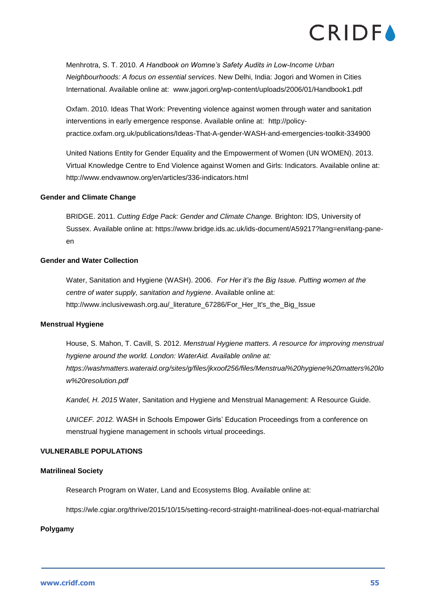Menhrotra, S. T. 2010. *A Handbook on Womne's Safety Audits in Low-Income Urban Neighbourhoods: A focus on essential services*. New Delhi, India: Jogori and Women in Cities International. Available online at: [www.jagori.org/wp-content/uploads/2006/01/Handbook1.pdf](http://www.jagori.org/wp-content/uploads/2006/01/Handbook1.pdf)

Oxfam. 2010. Ideas That Work: Preventing violence against women through water and sanitation interventions in early emergence response. Available online at: [http://policy](http://policy-practice.oxfam.org.uk/publications/Ideas-That-A-gender-WASH-and-emergencies-toolkit-334900)[practice.oxfam.org.uk/publications/Ideas-That-A-gender-WASH-and-emergencies-toolkit-334900](http://policy-practice.oxfam.org.uk/publications/Ideas-That-A-gender-WASH-and-emergencies-toolkit-334900)

United Nations Entity for Gender Equality and the Empowerment of Women (UN WOMEN). 2013. Virtual Knowledge Centre to End Violence against Women and Girls: Indicators. Available online at: <http://www.endvawnow.org/en/articles/336-indicators.html>

### **Gender and Climate Change**

BRIDGE. 2011. *Cutting Edge Pack: Gender and Climate Change.* Brighton: IDS, University of Sussex. Available online at: [https://www.bridge.ids.ac.uk/ids-document/A59217?lang=en#lang-pane](https://www.bridge.ids.ac.uk/ids-document/A59217?lang=en#lang-pane-en)[en](https://www.bridge.ids.ac.uk/ids-document/A59217?lang=en#lang-pane-en)

### **Gender and Water Collection**

Water, Sanitation and Hygiene (WASH). 2006. *For Her it's the Big Issue. Putting women at the centre of water supply, sanitation and hygiene*. Available online at: http://www.inclusivewash.org.au/\_literature\_67286/For\_Her\_It's\_the\_Big\_Issue

### **Menstrual Hygiene**

House, S. Mahon, T. Cavill, S. 2012. *Menstrual Hygiene matters. A resource for improving menstrual hygiene around the world. London: WaterAid. Available online at: [https://washmatters.wateraid.org/sites/g/files/jkxoof256/files/Menstrual%20hygiene%20matters%20lo](https://washmatters.wateraid.org/sites/g/files/jkxoof256/files/Menstrual%20hygiene%20matters%20low%20resolution.pdf) [w%20resolution.pdf](https://washmatters.wateraid.org/sites/g/files/jkxoof256/files/Menstrual%20hygiene%20matters%20low%20resolution.pdf)*

*Kandel, H. 2015* Water, Sanitation and Hygiene and Menstrual Management: A Resource Guide.

*UNICEF. 2012.* WASH in Schools Empower Girls' Education Proceedings from a conference on menstrual hygiene management in schools virtual proceedings.

### **VULNERABLE POPULATIONS**

### **Matrilineal Society**

Research Program on Water, Land and Ecosystems Blog. Available online at:

<https://wle.cgiar.org/thrive/2015/10/15/setting-record-straight-matrilineal-does-not-equal-matriarchal>

### **Polygamy**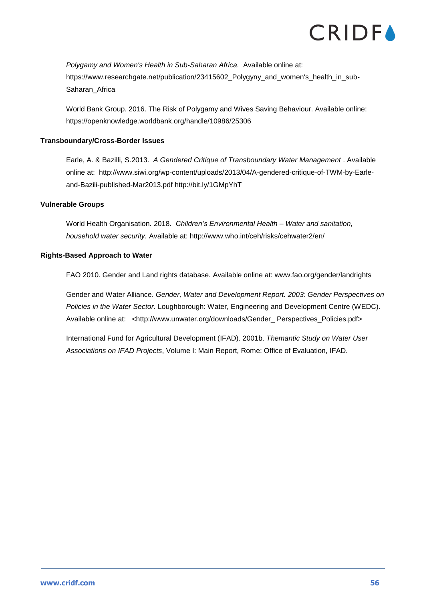*Polygamy and Women's Health in Sub-Saharan Africa.* Available online at: [https://www.researchgate.net/publication/23415602\\_Polygyny\\_and\\_women's\\_health\\_in\\_sub-](https://www.researchgate.net/publication/23415602_Polygyny_and_women)[Saharan\\_Africa](https://www.researchgate.net/publication/23415602_Polygyny_and_women)

World Bank Group. 2016. The Risk of Polygamy and Wives Saving Behaviour. Available online: <https://openknowledge.worldbank.org/handle/10986/25306>

### **Transboundary/Cross-Border Issues**

Earle, A. & Bazilli, S.2013. *A Gendered Critique of Transboundary Water Management* . Available online at: http://www.siwi.org/wp-content/uploads/2013/04/A-gendered-critique-of-TWM-by-Earleand-Bazili-published-Mar2013.pdf http://bit.ly/1GMpYhT

### **Vulnerable Groups**

World Health Organisation. 2018. *Children's Environmental Health – Water and sanitation, household water security.* Available at: http://www.who.int/ceh/risks/cehwater2/en/

### **Rights-Based Approach to Water**

FAO 2010. Gender and Land rights database. Available online at: www.fao.org/gender/landrights

Gender and Water Alliance. *Gender, Water and Development Report. 2003: Gender Perspectives on Policies in the Water Sector.* Loughborough: Water, Engineering and Development Centre (WEDC). Available online at: <http://www.unwater.org/downloads/Gender\_ Perspectives\_Policies.pdf>

International Fund for Agricultural Development (IFAD). 2001b. *Themantic Study on Water User Associations on IFAD Projects*, Volume I: Main Report, Rome: Office of Evaluation, IFAD.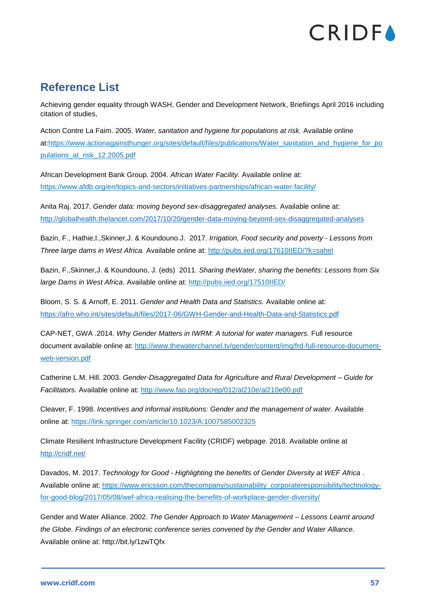### <span id="page-57-0"></span>**Reference List**

Achieving gender equality through WASH, Gender and Development Network, Briefiings April 2016 including citation of studies,

Action Contre La Faim. 2005. *Water, sanitation and hygiene for populations at risk.* Available online at[:https://www.actionagainsthunger.org/sites/default/files/publications/Water\\_sanitation\\_and\\_hygiene\\_for\\_po](https://www.actionagainsthunger.org/sites/default/files/publications/Water_sanitation_and_hygiene_for_populations_at_risk_12.2005.pdf) [pulations\\_at\\_risk\\_12.2005.pdf](https://www.actionagainsthunger.org/sites/default/files/publications/Water_sanitation_and_hygiene_for_populations_at_risk_12.2005.pdf)

African Development Bank Group. 2004. *African Water Facility.* Available online at: <https://www.afdb.org/en/topics-and-sectors/initiatives-partnerships/african-water-facility/>

Anita Raj. 2017. *Gender data: moving beyond sex-disaggregated analyses.* Available online at: <http://globalhealth.thelancet.com/2017/10/20/gender-data-moving-beyond-sex-disaggregated-analyses>

Bazin, F., Hathie,I.,Skinner,J. & Koundouno.J. 2017. *Irrigation, Food security and poverty - Lessons from Three large dams in West Africa.* Available online at:<http://pubs.iied.org/17610IIED/?k=sahel>

Bazin, F.,Skinner,J. & Koundouno, J. (eds) 2011. *Sharing theWater, sharing the benefits: Lessons from Six large Dams in West Africa*. Available online at:<http://pubs.iied.org/17510IIED/>

Bloom, S. S. & Arnoff, E. 2011. *Gender and Health Data and Statistics.* Available online at: <https://afro.who.int/sites/default/files/2017-06/GWH-Gender-and-Health-Data-and-Statistics.pdf>

CAP-NET, GWA .2014. *Why Gender Matters in IWRM: A tutorial for water managers.* Full resource document available online at: [http://www.thewaterchannel.tv/gender/content/img/frd-full-resource-document](http://www.thewaterchannel.tv/gender/content/img/frd-full-resource-document-web-version.pdf)[web-version.pdf](http://www.thewaterchannel.tv/gender/content/img/frd-full-resource-document-web-version.pdf)

Catherine L.M. Hill. 2003. *Gender-Disaggregated Data for Agriculture and Rural Development – Guide for Facilitators.* Available online at:<http://www.fao.org/docrep/012/al210e/al210e00.pdf>

Cleaver, F. 1998. *Incentives and informal institutions: Gender and the management of water.* Available online at: <https://link.springer.com/article/10.1023/A:1007585002325>

Climate Resilient Infrastructure Development Facility (CRIDF) webpage. 2018. Available online at <http://cridf.net/>

Davados, M. 2017. *Technology for Good - Highlighting the benefits of Gender Diversity at WEF Africa* . Available online at: [https://www.ericsson.com/thecompany/sustainability\\_corporateresponsibility/technology](https://www.ericsson.com/thecompany/sustainability_corporateresponsibility/technology-for-good-blog/2017/05/08/wef-africa-realising-the-benefits-of-workplace-gender-diversity/)[for-good-blog/2017/05/08/wef-africa-realising-the-benefits-of-workplace-gender-diversity/](https://www.ericsson.com/thecompany/sustainability_corporateresponsibility/technology-for-good-blog/2017/05/08/wef-africa-realising-the-benefits-of-workplace-gender-diversity/)

Gender and Water Alliance. 2002. *The Gender Approach to Water Management – Lessons Learnt around the Globe. Findings of an electronic conference series convened by the Gender and Water Alliance.* Available online at:<http://bit.ly/1zwTQfx>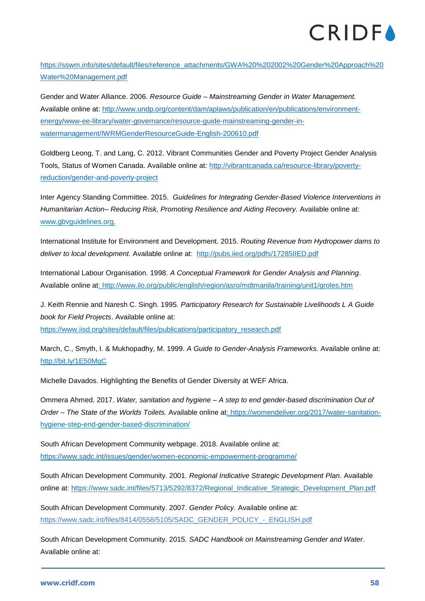[https://sswm.info/sites/default/files/reference\\_attachments/GWA%20%202002%20Gender%20Approach%20](https://sswm.info/sites/default/files/reference_attachments/GWA%20%202002%20Gender%20Approach%20Water%20Management.pdf) [Water%20Management.pdf](https://sswm.info/sites/default/files/reference_attachments/GWA%20%202002%20Gender%20Approach%20Water%20Management.pdf)

Gender and Water Alliance. 2006. *Resource Guide – Mainstreaming Gender in Water Management.*  Available online at: [http://www.undp.org/content/dam/aplaws/publication/en/publications/environment](http://www.undp.org/content/dam/aplaws/publication/en/publications/environment-energy/www-ee-library/water-governance/resource-guide-mainstreaming-gender-in-watermanagement/IWRMGenderResourceGuide-English-200610.pdf)[energy/www-ee-library/water-governance/resource-guide-mainstreaming-gender-in](http://www.undp.org/content/dam/aplaws/publication/en/publications/environment-energy/www-ee-library/water-governance/resource-guide-mainstreaming-gender-in-watermanagement/IWRMGenderResourceGuide-English-200610.pdf)[watermanagement/IWRMGenderResourceGuide-English-200610.pdf](http://www.undp.org/content/dam/aplaws/publication/en/publications/environment-energy/www-ee-library/water-governance/resource-guide-mainstreaming-gender-in-watermanagement/IWRMGenderResourceGuide-English-200610.pdf)

Goldberg Leong, T. and Lang, C. 2012. Vibrant Communities Gender and Poverty Project Gender Analysis Tools, Status of Women Canada. Available online at: [http://vibrantcanada.ca/resource-library/poverty](http://vibrantcanada.ca/resource-library/poverty-reduction/gender-and-poverty-project)[reduction/gender-and-poverty-project](http://vibrantcanada.ca/resource-library/poverty-reduction/gender-and-poverty-project)

Inter Agency Standing Committee. 2015. *Guidelines for Integrating Gender-Based Violence Interventions in Humanitarian Action– Reducing Risk, Promoting Resilience and Aiding Recovery.* Available online at: [www.gbvguidelines.org.](http://www.gbvguidelines.org/)

International Institute for Environment and Development. 2015. *Routing Revenue from Hydropower dams to deliver to local development.* Available online at: <http://pubs.iied.org/pdfs/17285IIED.pdf>

International Labour Organisation. 1998. *A Conceptual Framework for Gender Analysis and Planning*. Available online at:<http://www.ilo.org/public/english/region/asro/mdtmanila/training/unit1/groles.htm>

J. Keith Rennie and Naresh C. Singh. 1995. *Participatory Research for Sustainable Livelihoods L A Guide book for Field Projects*. Available online at: [https://www.iisd.org/sites/default/files/publications/participatory\\_research.pdf](https://www.iisd.org/sites/default/files/publications/participatory_research.pdf)

March, C., Smyth, I. & Mukhopadhy, M. 1999. *A Guide to Gender-Analysis Frameworks.* Available online at: <http://bit.ly/1E50MgC>

Michelle Davados. Highlighting the Benefits of Gender Diversity at WEF Africa.

Ommera Ahmed. 2017. *Water, sanitation and hygiene – A step to end gender-based discrimination Out of Order – The State of the Worlds Toilets.* Available online at: [https://womendeliver.org/2017/water-sanitation](https://womendeliver.org/2017/water-sanitation-hygiene-step-end-gender-based-discrimination/)[hygiene-step-end-gender-based-discrimination/](https://womendeliver.org/2017/water-sanitation-hygiene-step-end-gender-based-discrimination/)

South African Development Community webpage. 2018. Available online at: <https://www.sadc.int/issues/gender/women-economic-empowerment-programme/>

South African Development Community. 2001. *Regional Indicative Strategic Development Plan*. Available online at: [https://www.sadc.int/files/5713/5292/8372/Regional\\_Indicative\\_Strategic\\_Development\\_Plan.pdf](https://www.sadc.int/files/5713/5292/8372/Regional_Indicative_Strategic_Development_Plan.pdf)

South African Development Community. 2007. *Gender Policy.* Available online at: [https://www.sadc.int/files/8414/0558/5105/SADC\\_GENDER\\_POLICY\\_-\\_ENGLISH.pdf](https://www.sadc.int/files/8414/0558/5105/SADC_GENDER_POLICY_-_ENGLISH.pdf)

South African Development Community. 2015. *SADC Handbook on Mainstreaming Gender and Water*. Available online at: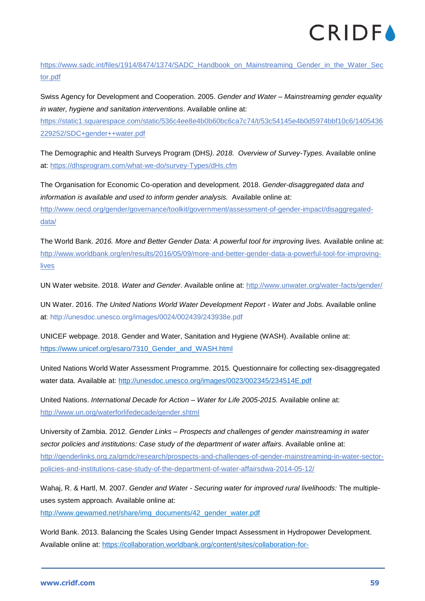

[https://www.sadc.int/files/1914/8474/1374/SADC\\_Handbook\\_on\\_Mainstreaming\\_Gender\\_in\\_the\\_Water\\_Sec](https://www.sadc.int/files/1914/8474/1374/SADC_Handbook_on_Mainstreaming_Gender_in_the_Water_Sector.pdf) [tor.pdf](https://www.sadc.int/files/1914/8474/1374/SADC_Handbook_on_Mainstreaming_Gender_in_the_Water_Sector.pdf)

Swiss Agency for Development and Cooperation. 2005. *Gender and Water – Mainstreaming gender equality in water, hygiene and sanitation interventions*. Available online at:

[https://static1.squarespace.com/static/536c4ee8e4b0b60bc6ca7c74/t/53c54145e4b0d5974bbf10c6/1405436](https://static1.squarespace.com/static/536c4ee8e4b0b60bc6ca7c74/t/53c54145e4b0d5974bbf10c6/1405436229252/SDC+gender++water.pdf) [229252/SDC+gender++water.pdf](https://static1.squarespace.com/static/536c4ee8e4b0b60bc6ca7c74/t/53c54145e4b0d5974bbf10c6/1405436229252/SDC+gender++water.pdf)

The Demographic and Health Surveys Program (DHS*). 2018. Overview of Survey-Types.* Available online at:<https://dhsprogram.com/what-we-do/survey-Types/dHs.cfm>

The Organisation for Economic Co-operation and development. 2018. *Gender-disaggregated data and information is available and used to inform gender analysis.* Available online at: [http://www.oecd.org/gender/governance/toolkit/government/assessment-of-gender-impact/disaggregated](http://www.oecd.org/gender/governance/toolkit/government/assessment-of-gender-impact/disaggregated-data/)[data/](http://www.oecd.org/gender/governance/toolkit/government/assessment-of-gender-impact/disaggregated-data/)

The World Bank. *2016. More and Better Gender Data: A powerful tool for improving lives.* Available online at: [http://www.worldbank.org/en/results/2016/05/09/more-and-better-gender-data-a-powerful-tool-for-improving](http://www.worldbank.org/en/results/2016/05/09/more-and-better-gender-data-a-powerful-tool-for-improving-lives)[lives](http://www.worldbank.org/en/results/2016/05/09/more-and-better-gender-data-a-powerful-tool-for-improving-lives)

UN Water website. 2018. *Water and Gender*. Available online at:<http://www.unwater.org/water-facts/gender/>

UN Water. 2016. *The United Nations World Water Development Report - Water and Jobs.* Available online at:<http://unesdoc.unesco.org/images/0024/002439/243938e.pdf>

UNICEF webpage. 2018. Gender and Water, Sanitation and Hygiene (WASH). Available online at: [https://www.unicef.org/esaro/7310\\_Gender\\_and\\_WASH.html](https://www.unicef.org/esaro/7310_Gender_and_WASH.html)

United Nations World Water Assessment Programme. 2015. Questionnaire for collecting sex-disaggregated water data. Available at: <http://unesdoc.unesco.org/images/0023/002345/234514E.pdf>

United Nations. *International Decade for Action – Water for Life 2005-2015.* Available online at: <http://www.un.org/waterforlifedecade/gender.shtml>

University of Zambia. 2012. *Gender Links – Prospects and challenges of gender mainstreaming in water sector policies and institutions: Case study of the department of water affairs.* Available online at: [http://genderlinks.org.za/gmdc/research/prospects-and-challenges-of-gender-mainstreaming-in-water-sector](http://genderlinks.org.za/gmdc/research/prospects-and-challenges-of-gender-mainstreaming-in-water-sector-policies-and-institutions-case-study-of-the-department-of-water-affairsdwa-2014-05-12/)[policies-and-institutions-case-study-of-the-department-of-water-affairsdwa-2014-05-12/](http://genderlinks.org.za/gmdc/research/prospects-and-challenges-of-gender-mainstreaming-in-water-sector-policies-and-institutions-case-study-of-the-department-of-water-affairsdwa-2014-05-12/)

Wahaj, R. & Hartl, M. 2007. *Gender and Water - Securing water for improved rural livelihoods:* The multipleuses system approach. Available online at:

[http://www.gewamed.net/share/img\\_documents/42\\_gender\\_water.pdf](http://www.gewamed.net/share/img_documents/42_gender_water.pdf)

World Bank. 2013. Balancing the Scales Using Gender Impact Assessment in Hydropower Development. Available online at: [https://collaboration.worldbank.org/content/sites/collaboration-for-](https://collaboration.worldbank.org/content/sites/collaboration-for-development/en/groups/gender-and-energy/documents.entry.html/2014/10/30/balancing_the_scales-FkKw.html)